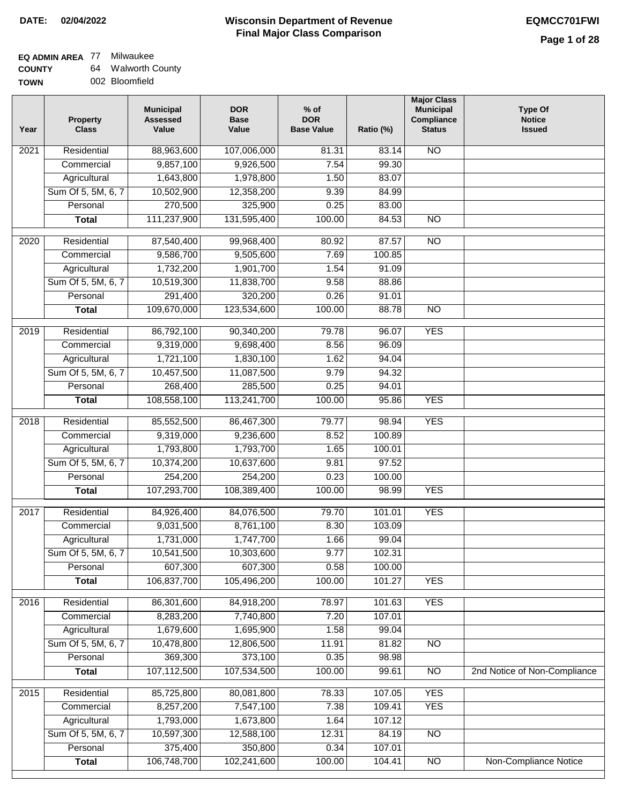# **EQ ADMIN AREA** 77 Milwaukee

**COUNTY TOWN** 64 Walworth County 002 Bloomfield

| Year | <b>Property</b><br><b>Class</b> | <b>Municipal</b><br><b>Assessed</b><br>Value | <b>DOR</b><br><b>Base</b><br>Value | $%$ of<br><b>DOR</b><br><b>Base Value</b> | Ratio (%) | <b>Major Class</b><br><b>Municipal</b><br>Compliance<br><b>Status</b> | <b>Type Of</b><br><b>Notice</b><br><b>Issued</b> |
|------|---------------------------------|----------------------------------------------|------------------------------------|-------------------------------------------|-----------|-----------------------------------------------------------------------|--------------------------------------------------|
| 2021 | Residential                     | 88,963,600                                   | 107,006,000                        | 81.31                                     | 83.14     | $\overline{NO}$                                                       |                                                  |
|      | Commercial                      | 9,857,100                                    | 9,926,500                          | 7.54                                      | 99.30     |                                                                       |                                                  |
|      | Agricultural                    | 1,643,800                                    | 1,978,800                          | 1.50                                      | 83.07     |                                                                       |                                                  |
|      | Sum Of 5, 5M, 6, 7              | 10,502,900                                   | 12,358,200                         | 9.39                                      | 84.99     |                                                                       |                                                  |
|      | Personal                        | 270,500                                      | 325,900                            | 0.25                                      | 83.00     |                                                                       |                                                  |
|      | <b>Total</b>                    | 111,237,900                                  | 131,595,400                        | 100.00                                    | 84.53     | <b>NO</b>                                                             |                                                  |
| 2020 | Residential                     | 87,540,400                                   | 99,968,400                         | 80.92                                     | 87.57     | $\overline{NO}$                                                       |                                                  |
|      | Commercial                      | 9,586,700                                    | 9,505,600                          | 7.69                                      | 100.85    |                                                                       |                                                  |
|      | Agricultural                    | 1,732,200                                    | 1,901,700                          | 1.54                                      | 91.09     |                                                                       |                                                  |
|      | Sum Of 5, 5M, 6, 7              | 10,519,300                                   | 11,838,700                         | 9.58                                      | 88.86     |                                                                       |                                                  |
|      | Personal                        | 291,400                                      | 320,200                            | 0.26                                      | 91.01     |                                                                       |                                                  |
|      | <b>Total</b>                    | 109,670,000                                  | 123,534,600                        | 100.00                                    | 88.78     | $\overline{NO}$                                                       |                                                  |
| 2019 | Residential                     | 86,792,100                                   | 90,340,200                         | 79.78                                     | 96.07     | <b>YES</b>                                                            |                                                  |
|      | Commercial                      | 9,319,000                                    | 9,698,400                          | 8.56                                      | 96.09     |                                                                       |                                                  |
|      | Agricultural                    | 1,721,100                                    | 1,830,100                          | 1.62                                      | 94.04     |                                                                       |                                                  |
|      | Sum Of 5, 5M, 6, 7              | 10,457,500                                   | 11,087,500                         | 9.79                                      | 94.32     |                                                                       |                                                  |
|      | Personal                        | 268,400                                      | 285,500                            | 0.25                                      | 94.01     |                                                                       |                                                  |
|      | <b>Total</b>                    | 108,558,100                                  | 113,241,700                        | 100.00                                    | 95.86     | <b>YES</b>                                                            |                                                  |
| 2018 | Residential                     | 85,552,500                                   | 86,467,300                         | 79.77                                     | 98.94     | <b>YES</b>                                                            |                                                  |
|      | Commercial                      | 9,319,000                                    | 9,236,600                          | 8.52                                      | 100.89    |                                                                       |                                                  |
|      | Agricultural                    | 1,793,800                                    | 1,793,700                          | 1.65                                      | 100.01    |                                                                       |                                                  |
|      | Sum Of 5, 5M, 6, 7              | 10,374,200                                   | 10,637,600                         | 9.81                                      | 97.52     |                                                                       |                                                  |
|      | Personal                        | 254,200                                      | 254,200                            | 0.23                                      | 100.00    |                                                                       |                                                  |
|      | <b>Total</b>                    | 107,293,700                                  | 108,389,400                        | 100.00                                    | 98.99     | <b>YES</b>                                                            |                                                  |
| 2017 | Residential                     | 84,926,400                                   | 84,076,500                         | 79.70                                     | 101.01    | <b>YES</b>                                                            |                                                  |
|      | Commercial                      | 9,031,500                                    | 8,761,100                          | 8.30                                      | 103.09    |                                                                       |                                                  |
|      | Agricultural                    | 1,731,000                                    | 1,747,700                          | 1.66                                      | 99.04     |                                                                       |                                                  |
|      | Sum Of 5, 5M, 6, 7              | 10,541,500                                   | 10,303,600                         | 9.77                                      | 102.31    |                                                                       |                                                  |
|      | Personal                        | 607,300                                      | 607,300                            | 0.58                                      | 100.00    |                                                                       |                                                  |
|      | <b>Total</b>                    | 106,837,700                                  | 105,496,200                        | 100.00                                    | 101.27    | <b>YES</b>                                                            |                                                  |
| 2016 | Residential                     | 86,301,600                                   | 84,918,200                         | 78.97                                     | 101.63    | <b>YES</b>                                                            |                                                  |
|      | Commercial                      | 8,283,200                                    | 7,740,800                          | 7.20                                      | 107.01    |                                                                       |                                                  |
|      | Agricultural                    | 1,679,600                                    | 1,695,900                          | 1.58                                      | 99.04     |                                                                       |                                                  |
|      | Sum Of 5, 5M, 6, 7              | 10,478,800                                   | 12,806,500                         | 11.91                                     | 81.82     | N <sub>O</sub>                                                        |                                                  |
|      | Personal                        | 369,300                                      | 373,100                            | 0.35                                      | 98.98     |                                                                       |                                                  |
|      | <b>Total</b>                    | 107,112,500                                  | 107,534,500                        | 100.00                                    | 99.61     | <b>NO</b>                                                             | 2nd Notice of Non-Compliance                     |
| 2015 | Residential                     | 85,725,800                                   | 80,081,800                         | 78.33                                     | 107.05    | <b>YES</b>                                                            |                                                  |
|      | Commercial                      | 8,257,200                                    | 7,547,100                          | 7.38                                      | 109.41    | <b>YES</b>                                                            |                                                  |
|      | Agricultural                    | 1,793,000                                    | 1,673,800                          | 1.64                                      | 107.12    |                                                                       |                                                  |
|      | Sum Of 5, 5M, 6, 7              | 10,597,300                                   | 12,588,100                         | 12.31                                     | 84.19     | $\overline{NO}$                                                       |                                                  |
|      | Personal                        | 375,400                                      | 350,800                            | 0.34                                      | 107.01    |                                                                       |                                                  |
|      | <b>Total</b>                    | 106,748,700                                  | 102,241,600                        | 100.00                                    | 104.41    | $\overline{NO}$                                                       | Non-Compliance Notice                            |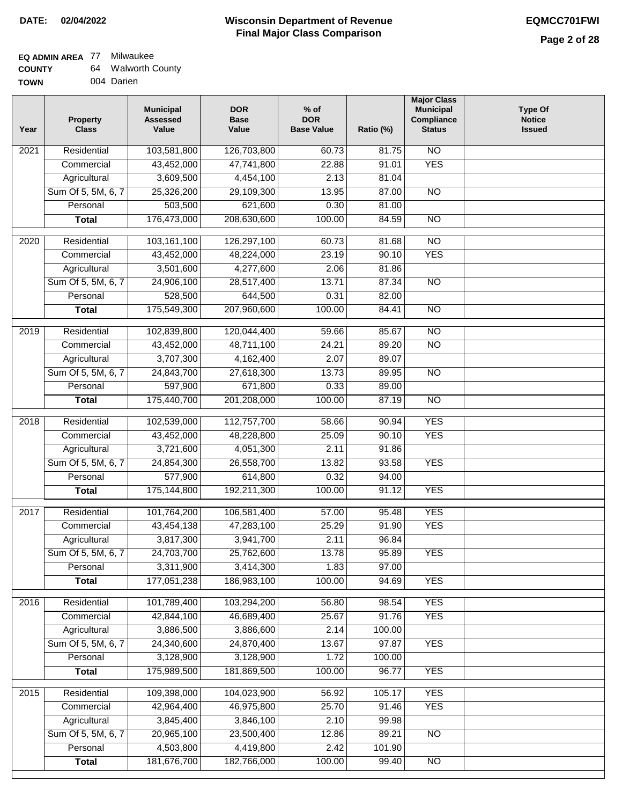#### **Wisconsin Department of Revenue Final Major Class Comparison DATE: 02/04/2022 EQMCC701FWI**

### **EQ ADMIN AREA** 77 Milwaukee **COUNTY**

| <b>COUNTY</b> | 64 | <b>Walworth County</b> |
|---------------|----|------------------------|
| <b>TOWN</b>   |    | 004 Darien             |

| Year              | <b>Property</b><br><b>Class</b> | <b>Municipal</b><br><b>Assessed</b><br>Value | <b>DOR</b><br><b>Base</b><br>Value | $%$ of<br><b>DOR</b><br><b>Base Value</b> | Ratio (%) | <b>Major Class</b><br><b>Municipal</b><br>Compliance<br><b>Status</b> | <b>Type Of</b><br><b>Notice</b><br><b>Issued</b> |
|-------------------|---------------------------------|----------------------------------------------|------------------------------------|-------------------------------------------|-----------|-----------------------------------------------------------------------|--------------------------------------------------|
| 2021              | Residential                     | 103,581,800                                  | 126,703,800                        | 60.73                                     | 81.75     | <b>NO</b>                                                             |                                                  |
|                   | Commercial                      | 43,452,000                                   | 47,741,800                         | 22.88                                     | 91.01     | <b>YES</b>                                                            |                                                  |
|                   | Agricultural                    | 3,609,500                                    | 4,454,100                          | 2.13                                      | 81.04     |                                                                       |                                                  |
|                   | Sum Of 5, 5M, 6, 7              | 25,326,200                                   | 29,109,300                         | 13.95                                     | 87.00     | $\overline{NO}$                                                       |                                                  |
|                   | Personal                        | 503,500                                      | 621,600                            | 0.30                                      | 81.00     |                                                                       |                                                  |
|                   | <b>Total</b>                    | 176,473,000                                  | 208,630,600                        | 100.00                                    | 84.59     | $\overline{NO}$                                                       |                                                  |
| $\overline{2020}$ | Residential                     | 103,161,100                                  | 126,297,100                        | 60.73                                     | 81.68     | $\overline{10}$                                                       |                                                  |
|                   | Commercial                      | 43,452,000                                   | 48,224,000                         | 23.19                                     | 90.10     | <b>YES</b>                                                            |                                                  |
|                   | Agricultural                    | 3,501,600                                    | 4,277,600                          | 2.06                                      | 81.86     |                                                                       |                                                  |
|                   | Sum Of 5, 5M, 6, 7              | 24,906,100                                   | 28,517,400                         | 13.71                                     | 87.34     | $\overline{NO}$                                                       |                                                  |
|                   | Personal                        | 528,500                                      | 644,500                            | 0.31                                      | 82.00     |                                                                       |                                                  |
|                   | <b>Total</b>                    | 175,549,300                                  | 207,960,600                        | 100.00                                    | 84.41     | <b>NO</b>                                                             |                                                  |
|                   |                                 |                                              |                                    |                                           |           |                                                                       |                                                  |
| $\frac{1}{2019}$  | Residential                     | 102,839,800                                  | 120,044,400                        | 59.66                                     | 85.67     | $\overline{NO}$                                                       |                                                  |
|                   | Commercial                      | 43,452,000                                   | 48,711,100                         | 24.21                                     | 89.20     | $\overline{NO}$                                                       |                                                  |
|                   | Agricultural                    | 3,707,300                                    | 4,162,400                          | 2.07                                      | 89.07     |                                                                       |                                                  |
|                   | Sum Of 5, 5M, 6, 7              | 24,843,700                                   | 27,618,300                         | 13.73                                     | 89.95     | $\overline{NO}$                                                       |                                                  |
|                   | Personal                        | 597,900                                      | 671,800                            | 0.33                                      | 89.00     |                                                                       |                                                  |
|                   | <b>Total</b>                    | 175,440,700                                  | 201,208,000                        | 100.00                                    | 87.19     | $\overline{NO}$                                                       |                                                  |
| $\overline{2018}$ | Residential                     | 102,539,000                                  | 112,757,700                        | 58.66                                     | 90.94     | <b>YES</b>                                                            |                                                  |
|                   | Commercial                      | 43,452,000                                   | 48,228,800                         | 25.09                                     | 90.10     | <b>YES</b>                                                            |                                                  |
|                   | Agricultural                    | 3,721,600                                    | 4,051,300                          | 2.11                                      | 91.86     |                                                                       |                                                  |
|                   | Sum Of 5, 5M, 6, 7              | 24,854,300                                   | 26,558,700                         | 13.82                                     | 93.58     | <b>YES</b>                                                            |                                                  |
|                   | Personal                        | 577,900                                      | 614,800                            | 0.32                                      | 94.00     |                                                                       |                                                  |
|                   | <b>Total</b>                    | 175,144,800                                  | 192,211,300                        | 100.00                                    | 91.12     | <b>YES</b>                                                            |                                                  |
| 2017              | Residential                     | 101,764,200                                  | 106,581,400                        | 57.00                                     | 95.48     | <b>YES</b>                                                            |                                                  |
|                   | Commercial                      | 43,454,138                                   | 47,283,100                         | 25.29                                     | 91.90     | <b>YES</b>                                                            |                                                  |
|                   | Agricultural                    | 3,817,300                                    | 3,941,700                          | 2.11                                      | 96.84     |                                                                       |                                                  |
|                   | Sum Of 5, 5M, 6, 7              | 24,703,700                                   | 25,762,600                         | 13.78                                     | 95.89     | <b>YES</b>                                                            |                                                  |
|                   | Personal                        | 3,311,900                                    | 3,414,300                          | 1.83                                      | 97.00     |                                                                       |                                                  |
|                   | <b>Total</b>                    | 177,051,238                                  | 186,983,100                        | 100.00                                    | 94.69     | <b>YES</b>                                                            |                                                  |
| 2016              | Residential                     | 101,789,400                                  | 103,294,200                        | 56.80                                     | 98.54     | <b>YES</b>                                                            |                                                  |
|                   | Commercial                      | 42,844,100                                   | 46,689,400                         | 25.67                                     | 91.76     | <b>YES</b>                                                            |                                                  |
|                   | Agricultural                    | 3,886,500                                    | 3,886,600                          | 2.14                                      | 100.00    |                                                                       |                                                  |
|                   | Sum Of 5, 5M, 6, 7              | 24,340,600                                   | 24,870,400                         | 13.67                                     | 97.87     | <b>YES</b>                                                            |                                                  |
|                   | Personal                        | 3,128,900                                    | 3,128,900                          | 1.72                                      | 100.00    |                                                                       |                                                  |
|                   | <b>Total</b>                    | 175,989,500                                  | 181,869,500                        | 100.00                                    | 96.77     | <b>YES</b>                                                            |                                                  |
| 2015              | Residential                     | 109,398,000                                  | 104,023,900                        | 56.92                                     | 105.17    | <b>YES</b>                                                            |                                                  |
|                   | Commercial                      | 42,964,400                                   | 46,975,800                         | 25.70                                     | 91.46     | <b>YES</b>                                                            |                                                  |
|                   | Agricultural                    | 3,845,400                                    | 3,846,100                          | 2.10                                      | 99.98     |                                                                       |                                                  |
|                   | Sum Of 5, 5M, 6, 7              | 20,965,100                                   | 23,500,400                         | 12.86                                     | 89.21     | <b>NO</b>                                                             |                                                  |
|                   | Personal                        | 4,503,800                                    | 4,419,800                          | 2.42                                      | 101.90    |                                                                       |                                                  |
|                   | <b>Total</b>                    | 181,676,700                                  | 182,766,000                        | 100.00                                    | 99.40     | $\overline{NO}$                                                       |                                                  |
|                   |                                 |                                              |                                    |                                           |           |                                                                       |                                                  |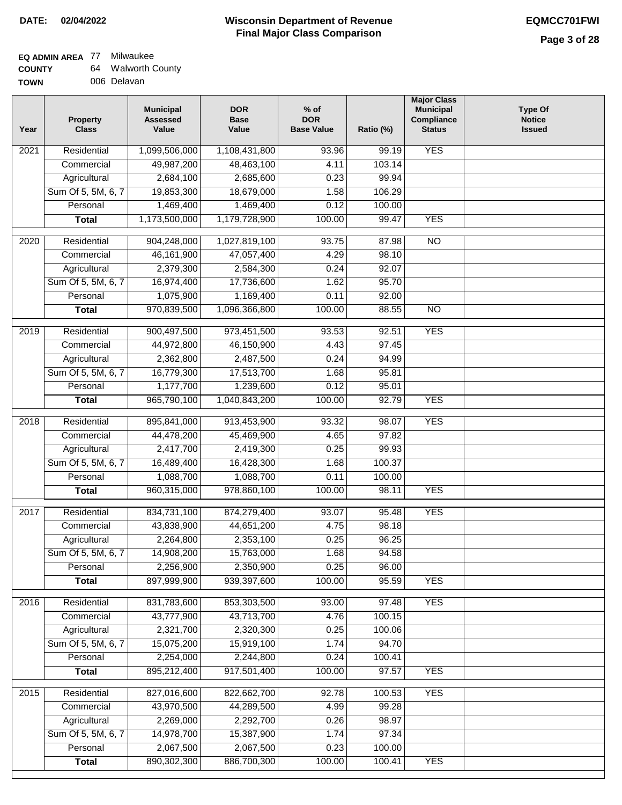#### **Wisconsin Department of Revenue Final Major Class Comparison DATE: 02/04/2022 EQMCC701FWI**

#### **EQ ADMIN AREA** 77 Milwaukee **COUNTY** 64 Walworth County

| <b>UUUNII</b> | $-$ | wawonn vuu  |
|---------------|-----|-------------|
| <b>TOWN</b>   |     | 006 Delavan |

| Year              | <b>Property</b><br><b>Class</b> | <b>Municipal</b><br><b>Assessed</b><br>Value | <b>DOR</b><br><b>Base</b><br>Value | $%$ of<br><b>DOR</b><br><b>Base Value</b> | Ratio (%)      | <b>Major Class</b><br><b>Municipal</b><br>Compliance<br><b>Status</b> | <b>Type Of</b><br><b>Notice</b><br><b>Issued</b> |
|-------------------|---------------------------------|----------------------------------------------|------------------------------------|-------------------------------------------|----------------|-----------------------------------------------------------------------|--------------------------------------------------|
| 2021              | Residential                     | 1,099,506,000                                | 1,108,431,800                      | 93.96                                     | 99.19          | <b>YES</b>                                                            |                                                  |
|                   | Commercial                      | 49,987,200                                   | 48,463,100                         | 4.11                                      | 103.14         |                                                                       |                                                  |
|                   | Agricultural                    | 2,684,100                                    | 2,685,600                          | 0.23                                      | 99.94          |                                                                       |                                                  |
|                   | Sum Of 5, 5M, 6, 7              | 19,853,300                                   | 18,679,000                         | 1.58                                      | 106.29         |                                                                       |                                                  |
|                   | Personal                        | 1,469,400                                    | 1,469,400                          | 0.12                                      | 100.00         |                                                                       |                                                  |
|                   | <b>Total</b>                    | 1,173,500,000                                | 1,179,728,900                      | 100.00                                    | 99.47          | <b>YES</b>                                                            |                                                  |
| $\overline{2020}$ | Residential                     | 904,248,000                                  | 1,027,819,100                      | 93.75                                     | 87.98          | $\overline{10}$                                                       |                                                  |
|                   | Commercial                      | 46, 161, 900                                 | 47,057,400                         | 4.29                                      | 98.10          |                                                                       |                                                  |
|                   | Agricultural                    | 2,379,300                                    | 2,584,300                          | 0.24                                      | 92.07          |                                                                       |                                                  |
|                   | Sum Of 5, 5M, 6, 7              | 16,974,400                                   | 17,736,600                         | 1.62                                      | 95.70          |                                                                       |                                                  |
|                   | Personal                        | 1,075,900                                    | 1,169,400                          | 0.11                                      | 92.00          |                                                                       |                                                  |
|                   | <b>Total</b>                    | 970,839,500                                  | 1,096,366,800                      | 100.00                                    | 88.55          | $\overline{NO}$                                                       |                                                  |
| $\frac{1}{2019}$  | Residential                     | 900,497,500                                  | 973,451,500                        | 93.53                                     | 92.51          | <b>YES</b>                                                            |                                                  |
|                   | Commercial                      | 44,972,800                                   | 46,150,900                         | 4.43                                      | 97.45          |                                                                       |                                                  |
|                   | Agricultural                    | 2,362,800                                    | 2,487,500                          | 0.24                                      | 94.99          |                                                                       |                                                  |
|                   | Sum Of 5, 5M, 6, 7              | 16,779,300                                   | 17,513,700                         | 1.68                                      | 95.81          |                                                                       |                                                  |
|                   | Personal                        | 1,177,700                                    | 1,239,600                          | 0.12                                      | 95.01          |                                                                       |                                                  |
|                   | <b>Total</b>                    | 965,790,100                                  | 1,040,843,200                      | 100.00                                    | 92.79          | <b>YES</b>                                                            |                                                  |
| $\overline{2018}$ | Residential                     | 895,841,000                                  | 913,453,900                        | 93.32                                     | 98.07          | <b>YES</b>                                                            |                                                  |
|                   | Commercial                      | 44,478,200                                   | 45,469,900                         | 4.65                                      | 97.82          |                                                                       |                                                  |
|                   | Agricultural                    | 2,417,700                                    | 2,419,300                          | 0.25                                      | 99.93          |                                                                       |                                                  |
|                   | Sum Of 5, 5M, 6, 7              | 16,489,400                                   | 16,428,300                         | 1.68                                      | 100.37         |                                                                       |                                                  |
|                   | Personal                        | 1,088,700                                    | 1,088,700                          | 0.11                                      | 100.00         |                                                                       |                                                  |
|                   | <b>Total</b>                    | 960,315,000                                  | 978,860,100                        | 100.00                                    | 98.11          | <b>YES</b>                                                            |                                                  |
| 2017              | Residential                     | 834,731,100                                  | 874,279,400                        | 93.07                                     | 95.48          | <b>YES</b>                                                            |                                                  |
|                   | Commercial                      | 43,838,900                                   | 44,651,200                         | 4.75                                      | 98.18          |                                                                       |                                                  |
|                   | Agricultural                    | 2,264,800                                    | 2,353,100                          | 0.25                                      | 96.25          |                                                                       |                                                  |
|                   | Sum Of 5, 5M, 6, 7              | 14,908,200                                   | 15,763,000                         | 1.68                                      | 94.58          |                                                                       |                                                  |
|                   | Personal                        | 2,256,900                                    | 2,350,900                          | 0.25                                      | 96.00          |                                                                       |                                                  |
|                   | <b>Total</b>                    | 897,999,900                                  | 939,397,600                        | 100.00                                    | 95.59          | <b>YES</b>                                                            |                                                  |
| 2016              | Residential                     | 831,783,600                                  | 853,303,500                        | 93.00                                     | 97.48          | <b>YES</b>                                                            |                                                  |
|                   | Commercial                      | 43,777,900                                   | 43,713,700                         | 4.76                                      | 100.15         |                                                                       |                                                  |
|                   | Agricultural                    | 2,321,700                                    | 2,320,300                          | 0.25                                      | 100.06         |                                                                       |                                                  |
|                   | Sum Of 5, 5M, 6, 7              | 15,075,200                                   | 15,919,100                         | 1.74                                      | 94.70          |                                                                       |                                                  |
|                   | Personal                        | 2,254,000                                    | 2,244,800                          | 0.24                                      | 100.41         |                                                                       |                                                  |
|                   | <b>Total</b>                    | 895,212,400                                  | 917,501,400                        | 100.00                                    | 97.57          | <b>YES</b>                                                            |                                                  |
|                   |                                 |                                              |                                    |                                           |                |                                                                       |                                                  |
| 2015              | Residential                     | 827,016,600                                  | 822,662,700                        | 92.78                                     | 100.53         | <b>YES</b>                                                            |                                                  |
|                   | Commercial<br>Agricultural      | 43,970,500<br>2,269,000                      | 44,289,500<br>2,292,700            | 4.99<br>0.26                              | 99.28<br>98.97 |                                                                       |                                                  |
|                   | Sum Of 5, 5M, 6, 7              | 14,978,700                                   | 15,387,900                         | 1.74                                      | 97.34          |                                                                       |                                                  |
|                   | Personal                        | 2,067,500                                    | 2,067,500                          | 0.23                                      | 100.00         |                                                                       |                                                  |
|                   | <b>Total</b>                    | 890,302,300                                  | 886,700,300                        | 100.00                                    | 100.41         | <b>YES</b>                                                            |                                                  |
|                   |                                 |                                              |                                    |                                           |                |                                                                       |                                                  |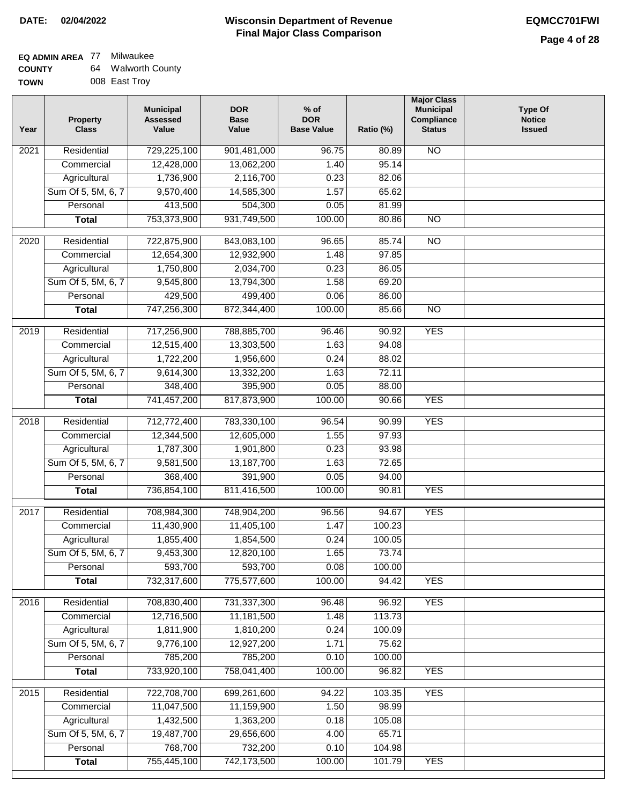#### **Wisconsin Department of Revenue Final Major Class Comparison DATE: 02/04/2022 EQMCC701FWI**

#### **EQ ADMIN AREA** 77 Milwaukee **COUNTY** 64 Walworth County

| TOWN | 008 East Troy |
|------|---------------|
|      |               |

| Year              | <b>Property</b><br><b>Class</b> | <b>Municipal</b><br><b>Assessed</b><br>Value | <b>DOR</b><br><b>Base</b><br>Value | $%$ of<br><b>DOR</b><br><b>Base Value</b> | Ratio (%) | <b>Major Class</b><br><b>Municipal</b><br>Compliance<br><b>Status</b> | <b>Type Of</b><br><b>Notice</b><br><b>Issued</b> |
|-------------------|---------------------------------|----------------------------------------------|------------------------------------|-------------------------------------------|-----------|-----------------------------------------------------------------------|--------------------------------------------------|
| 2021              | Residential                     | 729,225,100                                  | 901,481,000                        | 96.75                                     | 80.89     | N <sub>O</sub>                                                        |                                                  |
|                   | Commercial                      | 12,428,000                                   | 13,062,200                         | 1.40                                      | 95.14     |                                                                       |                                                  |
|                   | Agricultural                    | 1,736,900                                    | 2,116,700                          | 0.23                                      | 82.06     |                                                                       |                                                  |
|                   | Sum Of 5, 5M, 6, 7              | 9,570,400                                    | 14,585,300                         | 1.57                                      | 65.62     |                                                                       |                                                  |
|                   | Personal                        | 413,500                                      | 504,300                            | 0.05                                      | 81.99     |                                                                       |                                                  |
|                   | <b>Total</b>                    | 753,373,900                                  | 931,749,500                        | 100.00                                    | 80.86     | $\overline{NO}$                                                       |                                                  |
| 2020              | Residential                     | 722,875,900                                  | 843,083,100                        | 96.65                                     | 85.74     | $\overline{NO}$                                                       |                                                  |
|                   | Commercial                      | 12,654,300                                   | 12,932,900                         | 1.48                                      | 97.85     |                                                                       |                                                  |
|                   | Agricultural                    | 1,750,800                                    | 2,034,700                          | 0.23                                      | 86.05     |                                                                       |                                                  |
|                   | Sum Of 5, 5M, 6, 7              | 9,545,800                                    | 13,794,300                         | 1.58                                      | 69.20     |                                                                       |                                                  |
|                   | Personal                        | 429,500                                      | 499,400                            | 0.06                                      | 86.00     |                                                                       |                                                  |
|                   | <b>Total</b>                    | 747,256,300                                  | 872,344,400                        | 100.00                                    | 85.66     | $\overline{NO}$                                                       |                                                  |
| 2019              | Residential                     | 717,256,900                                  | 788,885,700                        | 96.46                                     | 90.92     | <b>YES</b>                                                            |                                                  |
|                   | Commercial                      | 12,515,400                                   | 13,303,500                         | 1.63                                      | 94.08     |                                                                       |                                                  |
|                   | Agricultural                    | 1,722,200                                    | 1,956,600                          | 0.24                                      | 88.02     |                                                                       |                                                  |
|                   | Sum Of 5, 5M, 6, 7              | 9,614,300                                    | 13,332,200                         | 1.63                                      | 72.11     |                                                                       |                                                  |
|                   | Personal                        | 348,400                                      | 395,900                            | 0.05                                      | 88.00     |                                                                       |                                                  |
|                   | <b>Total</b>                    | 741,457,200                                  | 817,873,900                        | 100.00                                    | 90.66     | <b>YES</b>                                                            |                                                  |
| $\overline{2018}$ | Residential                     | 712,772,400                                  | 783,330,100                        | 96.54                                     | 90.99     | <b>YES</b>                                                            |                                                  |
|                   | Commercial                      | 12,344,500                                   | 12,605,000                         | 1.55                                      | 97.93     |                                                                       |                                                  |
|                   | Agricultural                    | 1,787,300                                    | 1,901,800                          | 0.23                                      | 93.98     |                                                                       |                                                  |
|                   | Sum Of 5, 5M, 6, 7              | 9,581,500                                    | 13,187,700                         | 1.63                                      | 72.65     |                                                                       |                                                  |
|                   | Personal                        | 368,400                                      | 391,900                            | 0.05                                      | 94.00     |                                                                       |                                                  |
|                   | <b>Total</b>                    | 736,854,100                                  | 811,416,500                        | 100.00                                    | 90.81     | <b>YES</b>                                                            |                                                  |
| 2017              | Residential                     | 708,984,300                                  | 748,904,200                        | 96.56                                     | 94.67     | <b>YES</b>                                                            |                                                  |
|                   | Commercial                      | 11,430,900                                   | 11,405,100                         | 1.47                                      | 100.23    |                                                                       |                                                  |
|                   | Agricultural                    | 1,855,400                                    | 1,854,500                          | 0.24                                      | 100.05    |                                                                       |                                                  |
|                   | Sum Of 5, 5M, 6, 7              | 9,453,300                                    | 12,820,100                         | 1.65                                      | 73.74     |                                                                       |                                                  |
|                   | Personal                        | 593,700                                      | 593,700                            | 0.08                                      | 100.00    |                                                                       |                                                  |
|                   | <b>Total</b>                    | 732,317,600                                  | 775,577,600                        | 100.00                                    | 94.42     | <b>YES</b>                                                            |                                                  |
|                   |                                 |                                              |                                    |                                           |           |                                                                       |                                                  |
| 2016              | Residential                     | 708,830,400                                  | 731,337,300                        | 96.48                                     | 96.92     | <b>YES</b>                                                            |                                                  |
|                   | Commercial                      | 12,716,500                                   | 11,181,500                         | 1.48                                      | 113.73    |                                                                       |                                                  |
|                   | Agricultural                    | 1,811,900                                    | 1,810,200                          | 0.24                                      | 100.09    |                                                                       |                                                  |
|                   | Sum Of 5, 5M, 6, 7              | 9,776,100                                    | 12,927,200                         | 1.71                                      | 75.62     |                                                                       |                                                  |
|                   | Personal                        | 785,200                                      | 785,200                            | 0.10                                      | 100.00    |                                                                       |                                                  |
|                   | <b>Total</b>                    | 733,920,100                                  | 758,041,400                        | 100.00                                    | 96.82     | <b>YES</b>                                                            |                                                  |
| 2015              | Residential                     | 722,708,700                                  | 699,261,600                        | 94.22                                     | 103.35    | <b>YES</b>                                                            |                                                  |
|                   | Commercial                      | 11,047,500                                   | 11,159,900                         | 1.50                                      | 98.99     |                                                                       |                                                  |
|                   | Agricultural                    | 1,432,500                                    | 1,363,200                          | 0.18                                      | 105.08    |                                                                       |                                                  |
|                   | Sum Of 5, 5M, 6, 7              | 19,487,700                                   | 29,656,600                         | 4.00                                      | 65.71     |                                                                       |                                                  |
|                   | Personal                        | 768,700                                      | 732,200                            | 0.10                                      | 104.98    |                                                                       |                                                  |
|                   | <b>Total</b>                    | 755,445,100                                  | 742,173,500                        | 100.00                                    | 101.79    | <b>YES</b>                                                            |                                                  |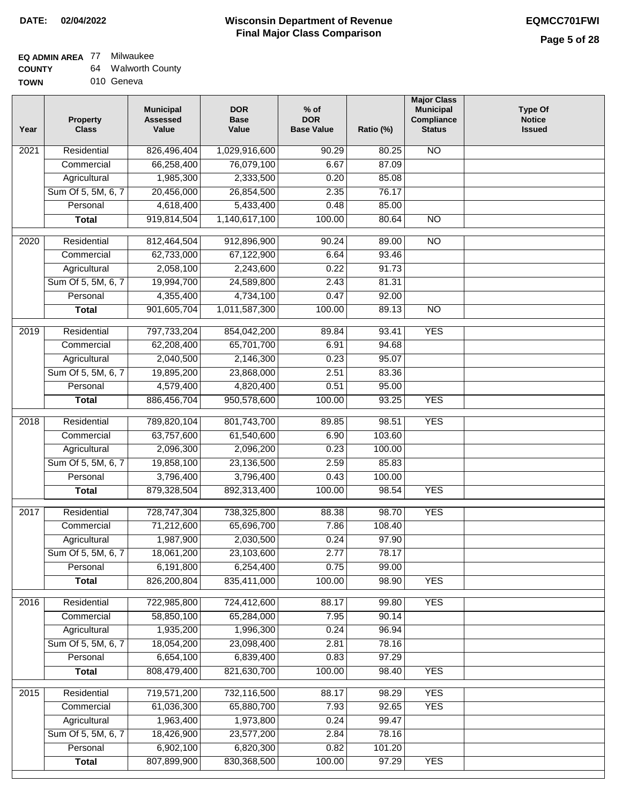### **EQ ADMIN AREA** 77 Milwaukee

| <b>COUNTY</b> | 64 | <b>Walworth County</b> |
|---------------|----|------------------------|
| <b>TOWN</b>   |    | 010 Geneva             |

010 Geneva

| Year | <b>Property</b><br><b>Class</b> | <b>Municipal</b><br><b>Assessed</b><br>Value | <b>DOR</b><br><b>Base</b><br>Value | $%$ of<br><b>DOR</b><br><b>Base Value</b> | Ratio (%) | <b>Major Class</b><br><b>Municipal</b><br>Compliance<br><b>Status</b> | <b>Type Of</b><br><b>Notice</b><br><b>Issued</b> |
|------|---------------------------------|----------------------------------------------|------------------------------------|-------------------------------------------|-----------|-----------------------------------------------------------------------|--------------------------------------------------|
| 2021 | Residential                     | 826,496,404                                  | 1,029,916,600                      | 90.29                                     | 80.25     | N <sub>O</sub>                                                        |                                                  |
|      | Commercial                      | 66,258,400                                   | 76,079,100                         | 6.67                                      | 87.09     |                                                                       |                                                  |
|      | Agricultural                    | 1,985,300                                    | 2,333,500                          | 0.20                                      | 85.08     |                                                                       |                                                  |
|      | Sum Of 5, 5M, 6, 7              | 20,456,000                                   | 26,854,500                         | 2.35                                      | 76.17     |                                                                       |                                                  |
|      | Personal                        | 4,618,400                                    | 5,433,400                          | 0.48                                      | 85.00     |                                                                       |                                                  |
|      | <b>Total</b>                    | 919,814,504                                  | 1,140,617,100                      | 100.00                                    | 80.64     | $\overline{NO}$                                                       |                                                  |
| 2020 | Residential                     | 812,464,504                                  | 912,896,900                        | 90.24                                     | 89.00     | $\overline{NO}$                                                       |                                                  |
|      | Commercial                      | 62,733,000                                   | 67,122,900                         | 6.64                                      | 93.46     |                                                                       |                                                  |
|      | Agricultural                    | 2,058,100                                    | 2,243,600                          | 0.22                                      | 91.73     |                                                                       |                                                  |
|      | Sum Of 5, 5M, 6, 7              | 19,994,700                                   | 24,589,800                         | 2.43                                      | 81.31     |                                                                       |                                                  |
|      | Personal                        | 4,355,400                                    | 4,734,100                          | 0.47                                      | 92.00     |                                                                       |                                                  |
|      | <b>Total</b>                    | 901,605,704                                  | 1,011,587,300                      | 100.00                                    | 89.13     | <b>NO</b>                                                             |                                                  |
| 2019 | Residential                     | 797,733,204                                  | 854,042,200                        | 89.84                                     | 93.41     | <b>YES</b>                                                            |                                                  |
|      | Commercial                      | 62,208,400                                   | 65,701,700                         | 6.91                                      | 94.68     |                                                                       |                                                  |
|      | Agricultural                    | 2,040,500                                    | 2,146,300                          | 0.23                                      | 95.07     |                                                                       |                                                  |
|      | Sum Of 5, 5M, 6, 7              | 19,895,200                                   | 23,868,000                         | 2.51                                      | 83.36     |                                                                       |                                                  |
|      | Personal                        | 4,579,400                                    | 4,820,400                          | 0.51                                      | 95.00     |                                                                       |                                                  |
|      | <b>Total</b>                    | 886,456,704                                  | 950,578,600                        | 100.00                                    | 93.25     | <b>YES</b>                                                            |                                                  |
| 2018 | Residential                     | 789,820,104                                  | 801,743,700                        | 89.85                                     | 98.51     | <b>YES</b>                                                            |                                                  |
|      | Commercial                      | 63,757,600                                   | 61,540,600                         | 6.90                                      | 103.60    |                                                                       |                                                  |
|      | Agricultural                    | 2,096,300                                    | 2,096,200                          | 0.23                                      | 100.00    |                                                                       |                                                  |
|      | Sum Of 5, 5M, 6, 7              | 19,858,100                                   | 23,136,500                         | 2.59                                      | 85.83     |                                                                       |                                                  |
|      | Personal                        | 3,796,400                                    | 3,796,400                          | 0.43                                      | 100.00    |                                                                       |                                                  |
|      | <b>Total</b>                    | 879,328,504                                  | 892,313,400                        | 100.00                                    | 98.54     | <b>YES</b>                                                            |                                                  |
| 2017 | Residential                     | 728,747,304                                  | 738,325,800                        | 88.38                                     | 98.70     | <b>YES</b>                                                            |                                                  |
|      | Commercial                      | 71,212,600                                   | 65,696,700                         | 7.86                                      | 108.40    |                                                                       |                                                  |
|      | Agricultural                    | 1,987,900                                    | 2,030,500                          | 0.24                                      | 97.90     |                                                                       |                                                  |
|      | Sum Of 5, 5M, 6, 7              | 18,061,200                                   | 23,103,600                         | 2.77                                      | 78.17     |                                                                       |                                                  |
|      | Personal                        | 6,191,800                                    | 6,254,400                          | 0.75                                      | 99.00     |                                                                       |                                                  |
|      | <b>Total</b>                    | 826,200,804                                  | 835,411,000                        | 100.00                                    | 98.90     | <b>YES</b>                                                            |                                                  |
| 2016 | Residential                     | 722,985,800                                  | 724,412,600                        | 88.17                                     | 99.80     | <b>YES</b>                                                            |                                                  |
|      | Commercial                      | 58,850,100                                   | 65,284,000                         | 7.95                                      | 90.14     |                                                                       |                                                  |
|      | Agricultural                    | 1,935,200                                    | 1,996,300                          | 0.24                                      | 96.94     |                                                                       |                                                  |
|      | Sum Of 5, 5M, 6, 7              | 18,054,200                                   | 23,098,400                         | 2.81                                      | 78.16     |                                                                       |                                                  |
|      | Personal                        | 6,654,100                                    | 6,839,400                          | 0.83                                      | 97.29     |                                                                       |                                                  |
|      | <b>Total</b>                    | 808,479,400                                  | 821,630,700                        | 100.00                                    | 98.40     | <b>YES</b>                                                            |                                                  |
| 2015 | Residential                     | 719,571,200                                  | 732,116,500                        | 88.17                                     | 98.29     | <b>YES</b>                                                            |                                                  |
|      | Commercial                      | 61,036,300                                   | 65,880,700                         | 7.93                                      | 92.65     | <b>YES</b>                                                            |                                                  |
|      | Agricultural                    | 1,963,400                                    | 1,973,800                          | 0.24                                      | 99.47     |                                                                       |                                                  |
|      | Sum Of 5, 5M, 6, 7              | 18,426,900                                   | 23,577,200                         | 2.84                                      | 78.16     |                                                                       |                                                  |
|      | Personal                        | 6,902,100                                    | 6,820,300                          | 0.82                                      | 101.20    |                                                                       |                                                  |
|      | <b>Total</b>                    | 807,899,900                                  | 830, 368, 500                      | 100.00                                    | 97.29     | <b>YES</b>                                                            |                                                  |
|      |                                 |                                              |                                    |                                           |           |                                                                       |                                                  |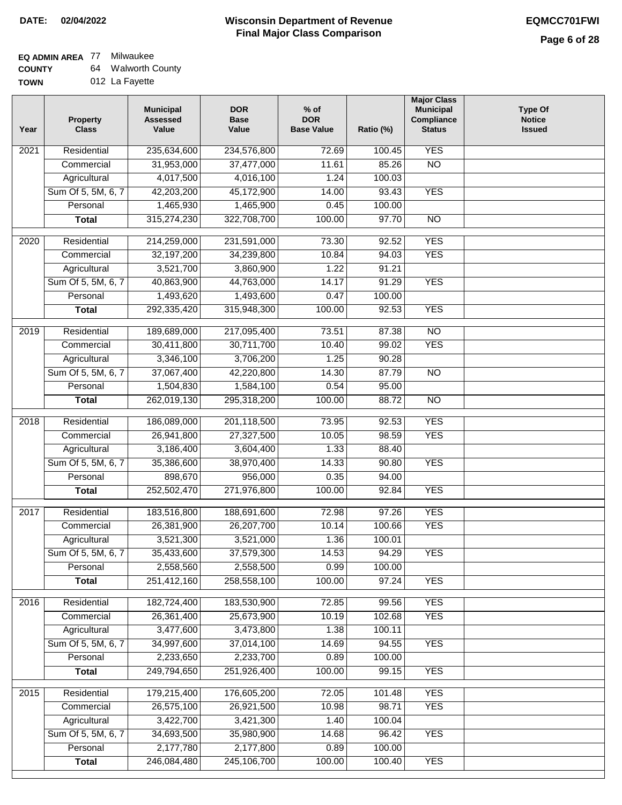## **EQ ADMIN AREA** 77 Milwaukee

**COUNTY TOWN** 64 Walworth County

|  | 012 La Fayette |
|--|----------------|
|  |                |

| Year              | <b>Property</b><br><b>Class</b> | <b>Municipal</b><br><b>Assessed</b><br>Value | <b>DOR</b><br><b>Base</b><br>Value | $%$ of<br><b>DOR</b><br><b>Base Value</b> | Ratio (%) | <b>Major Class</b><br><b>Municipal</b><br>Compliance<br><b>Status</b> | <b>Type Of</b><br><b>Notice</b><br><b>Issued</b> |
|-------------------|---------------------------------|----------------------------------------------|------------------------------------|-------------------------------------------|-----------|-----------------------------------------------------------------------|--------------------------------------------------|
| $\overline{202}1$ | Residential                     | 235,634,600                                  | 234,576,800                        | 72.69                                     | 100.45    | <b>YES</b>                                                            |                                                  |
|                   | Commercial                      | 31,953,000                                   | 37,477,000                         | 11.61                                     | 85.26     | $\overline{NO}$                                                       |                                                  |
|                   | Agricultural                    | 4,017,500                                    | 4,016,100                          | 1.24                                      | 100.03    |                                                                       |                                                  |
|                   | Sum Of 5, 5M, 6, 7              | 42,203,200                                   | 45,172,900                         | 14.00                                     | 93.43     | <b>YES</b>                                                            |                                                  |
|                   | Personal                        | 1,465,930                                    | 1,465,900                          | 0.45                                      | 100.00    |                                                                       |                                                  |
|                   | <b>Total</b>                    | 315,274,230                                  | 322,708,700                        | 100.00                                    | 97.70     | $\overline{NO}$                                                       |                                                  |
| $\overline{2020}$ | Residential                     | 214,259,000                                  | 231,591,000                        | 73.30                                     | 92.52     | <b>YES</b>                                                            |                                                  |
|                   | Commercial                      | 32,197,200                                   | 34,239,800                         | 10.84                                     | 94.03     | <b>YES</b>                                                            |                                                  |
|                   | Agricultural                    | 3,521,700                                    | 3,860,900                          | 1.22                                      | 91.21     |                                                                       |                                                  |
|                   | Sum Of 5, 5M, 6, 7              | 40,863,900                                   | 44,763,000                         | 14.17                                     | 91.29     | <b>YES</b>                                                            |                                                  |
|                   | Personal                        | 1,493,620                                    | 1,493,600                          | 0.47                                      | 100.00    |                                                                       |                                                  |
|                   | <b>Total</b>                    | 292,335,420                                  | 315,948,300                        | 100.00                                    | 92.53     | <b>YES</b>                                                            |                                                  |
|                   |                                 |                                              |                                    |                                           |           |                                                                       |                                                  |
| 2019              | Residential                     | 189,689,000                                  | 217,095,400                        | 73.51                                     | 87.38     | $\overline{10}$                                                       |                                                  |
|                   | Commercial                      | 30,411,800                                   | 30,711,700                         | 10.40                                     | 99.02     | <b>YES</b>                                                            |                                                  |
|                   | Agricultural                    | 3,346,100                                    | 3,706,200                          | 1.25                                      | 90.28     |                                                                       |                                                  |
|                   | Sum Of 5, 5M, 6, 7              | 37,067,400                                   | 42,220,800                         | 14.30                                     | 87.79     | $\overline{NO}$                                                       |                                                  |
|                   | Personal                        | 1,504,830                                    | 1,584,100                          | 0.54                                      | 95.00     |                                                                       |                                                  |
|                   | <b>Total</b>                    | 262,019,130                                  | 295,318,200                        | 100.00                                    | 88.72     | $\overline{NO}$                                                       |                                                  |
| 2018              | Residential                     | 186,089,000                                  | 201,118,500                        | 73.95                                     | 92.53     | <b>YES</b>                                                            |                                                  |
|                   | Commercial                      | 26,941,800                                   | 27,327,500                         | 10.05                                     | 98.59     | <b>YES</b>                                                            |                                                  |
|                   | Agricultural                    | 3,186,400                                    | 3,604,400                          | 1.33                                      | 88.40     |                                                                       |                                                  |
|                   | Sum Of 5, 5M, 6, 7              | 35,386,600                                   | 38,970,400                         | 14.33                                     | 90.80     | <b>YES</b>                                                            |                                                  |
|                   | Personal                        | 898,670                                      | 956,000                            | 0.35                                      | 94.00     |                                                                       |                                                  |
|                   | <b>Total</b>                    | 252,502,470                                  | 271,976,800                        | 100.00                                    | 92.84     | <b>YES</b>                                                            |                                                  |
| $\overline{2017}$ | Residential                     | 183,516,800                                  | 188,691,600                        | 72.98                                     | 97.26     | <b>YES</b>                                                            |                                                  |
|                   | Commercial                      | 26,381,900                                   | 26,207,700                         | 10.14                                     | 100.66    | <b>YES</b>                                                            |                                                  |
|                   | Agricultural                    | 3,521,300                                    | 3,521,000                          | 1.36                                      | 100.01    |                                                                       |                                                  |
|                   | Sum Of 5, 5M, 6, 7              | 35,433,600                                   | 37,579,300                         | 14.53                                     | 94.29     | <b>YES</b>                                                            |                                                  |
|                   | Personal                        | 2,558,560                                    | 2,558,500                          | 0.99                                      | 100.00    |                                                                       |                                                  |
|                   | <b>Total</b>                    | 251,412,160                                  | 258,558,100                        | 100.00                                    | 97.24     | <b>YES</b>                                                            |                                                  |
| 2016              | Residential                     | 182,724,400                                  | 183,530,900                        | 72.85                                     | 99.56     | <b>YES</b>                                                            |                                                  |
|                   | Commercial                      | 26,361,400                                   | 25,673,900                         | 10.19                                     | 102.68    | <b>YES</b>                                                            |                                                  |
|                   | Agricultural                    | 3,477,600                                    | 3,473,800                          | 1.38                                      | 100.11    |                                                                       |                                                  |
|                   | Sum Of 5, 5M, 6, 7              | 34,997,600                                   | 37,014,100                         | 14.69                                     | 94.55     | <b>YES</b>                                                            |                                                  |
|                   | Personal                        | 2,233,650                                    | 2,233,700                          | 0.89                                      | 100.00    |                                                                       |                                                  |
|                   | <b>Total</b>                    | 249,794,650                                  | 251,926,400                        | 100.00                                    | 99.15     | <b>YES</b>                                                            |                                                  |
| 2015              | Residential                     | 179,215,400                                  | 176,605,200                        | 72.05                                     | 101.48    | <b>YES</b>                                                            |                                                  |
|                   | Commercial                      | 26,575,100                                   | 26,921,500                         | 10.98                                     | 98.71     | <b>YES</b>                                                            |                                                  |
|                   | Agricultural                    | 3,422,700                                    | 3,421,300                          | 1.40                                      | 100.04    |                                                                       |                                                  |
|                   | Sum Of 5, 5M, 6, 7              | 34,693,500                                   | 35,980,900                         | 14.68                                     | 96.42     | <b>YES</b>                                                            |                                                  |
|                   | Personal                        | 2,177,780                                    | 2,177,800                          | 0.89                                      | 100.00    |                                                                       |                                                  |
|                   | <b>Total</b>                    | 246,084,480                                  | 245,106,700                        | 100.00                                    | 100.40    | <b>YES</b>                                                            |                                                  |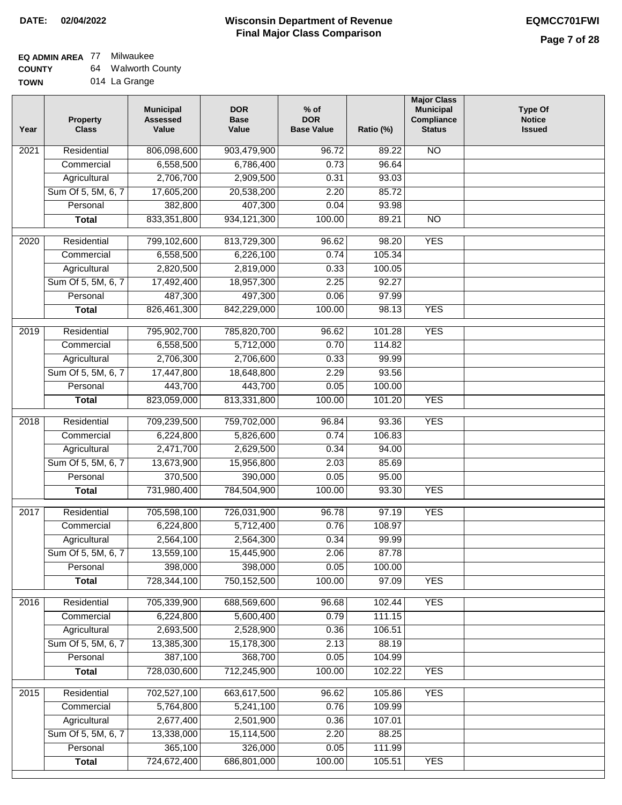## **EQ ADMIN AREA** 77 Milwaukee

| <b>COUNTY</b> | 64 | <b>Walworth County</b> |
|---------------|----|------------------------|
| <b>TOWN</b>   |    | 014 La Grange          |

| Year              | <b>Property</b><br><b>Class</b> | <b>Municipal</b><br><b>Assessed</b><br>Value | <b>DOR</b><br><b>Base</b><br>Value | % of<br><b>DOR</b><br><b>Base Value</b> | Ratio (%) | <b>Major Class</b><br><b>Municipal</b><br>Compliance<br><b>Status</b> | <b>Type Of</b><br><b>Notice</b><br><b>Issued</b> |
|-------------------|---------------------------------|----------------------------------------------|------------------------------------|-----------------------------------------|-----------|-----------------------------------------------------------------------|--------------------------------------------------|
| $\overline{202}1$ | Residential                     | 806,098,600                                  | 903,479,900                        | 96.72                                   | 89.22     | $\overline{NO}$                                                       |                                                  |
|                   | Commercial                      | 6,558,500                                    | 6,786,400                          | 0.73                                    | 96.64     |                                                                       |                                                  |
|                   | Agricultural                    | 2,706,700                                    | 2,909,500                          | 0.31                                    | 93.03     |                                                                       |                                                  |
|                   | Sum Of 5, 5M, 6, 7              | 17,605,200                                   | 20,538,200                         | 2.20                                    | 85.72     |                                                                       |                                                  |
|                   | Personal                        | 382,800                                      | 407,300                            | 0.04                                    | 93.98     |                                                                       |                                                  |
|                   | <b>Total</b>                    | 833, 351, 800                                | 934, 121, 300                      | 100.00                                  | 89.21     | $\overline{NO}$                                                       |                                                  |
| $\overline{2020}$ | Residential                     | 799,102,600                                  | 813,729,300                        | 96.62                                   | 98.20     | <b>YES</b>                                                            |                                                  |
|                   | Commercial                      | 6,558,500                                    | 6,226,100                          | 0.74                                    | 105.34    |                                                                       |                                                  |
|                   | Agricultural                    | 2,820,500                                    | 2,819,000                          | 0.33                                    | 100.05    |                                                                       |                                                  |
|                   | Sum Of 5, 5M, 6, 7              | 17,492,400                                   | 18,957,300                         | 2.25                                    | 92.27     |                                                                       |                                                  |
|                   | Personal                        | 487,300                                      | 497,300                            | 0.06                                    | 97.99     |                                                                       |                                                  |
|                   | <b>Total</b>                    | 826,461,300                                  | 842,229,000                        | 100.00                                  | 98.13     | <b>YES</b>                                                            |                                                  |
| 2019              | Residential                     | 795,902,700                                  | 785,820,700                        | 96.62                                   | 101.28    | <b>YES</b>                                                            |                                                  |
|                   | Commercial                      | 6,558,500                                    | 5,712,000                          | 0.70                                    | 114.82    |                                                                       |                                                  |
|                   | Agricultural                    | 2,706,300                                    | 2,706,600                          | 0.33                                    | 99.99     |                                                                       |                                                  |
|                   | Sum Of 5, 5M, 6, 7              | 17,447,800                                   | 18,648,800                         | 2.29                                    | 93.56     |                                                                       |                                                  |
|                   | Personal                        | 443,700                                      | 443,700                            | 0.05                                    | 100.00    |                                                                       |                                                  |
|                   | <b>Total</b>                    | 823,059,000                                  | 813,331,800                        | 100.00                                  | 101.20    | <b>YES</b>                                                            |                                                  |
|                   |                                 |                                              |                                    |                                         |           |                                                                       |                                                  |
| 2018              | Residential                     | 709,239,500                                  | 759,702,000                        | 96.84                                   | 93.36     | <b>YES</b>                                                            |                                                  |
|                   | Commercial                      | 6,224,800                                    | 5,826,600                          | 0.74                                    | 106.83    |                                                                       |                                                  |
|                   | Agricultural                    | 2,471,700                                    | 2,629,500                          | 0.34                                    | 94.00     |                                                                       |                                                  |
|                   | Sum Of 5, 5M, 6, 7              | 13,673,900                                   | 15,956,800                         | 2.03                                    | 85.69     |                                                                       |                                                  |
|                   | Personal                        | 370,500                                      | 390,000                            | 0.05                                    | 95.00     |                                                                       |                                                  |
|                   | <b>Total</b>                    | 731,980,400                                  | 784,504,900                        | 100.00                                  | 93.30     | <b>YES</b>                                                            |                                                  |
| 2017              | Residential                     | 705,598,100                                  | 726,031,900                        | 96.78                                   | 97.19     | <b>YES</b>                                                            |                                                  |
|                   | Commercial                      | 6,224,800                                    | 5,712,400                          | 0.76                                    | 108.97    |                                                                       |                                                  |
|                   | Agricultural                    | 2,564,100                                    | 2,564,300                          | 0.34                                    | 99.99     |                                                                       |                                                  |
|                   | Sum Of 5, 5M, 6, 7              | 13,559,100                                   | 15,445,900                         | 2.06                                    | 87.78     |                                                                       |                                                  |
|                   | Personal                        | 398,000                                      | 398,000                            | 0.05                                    | 100.00    |                                                                       |                                                  |
|                   | <b>Total</b>                    | 728,344,100                                  | 750,152,500                        | 100.00                                  | 97.09     | <b>YES</b>                                                            |                                                  |
| 2016              | Residential                     | 705,339,900                                  | 688,569,600                        | 96.68                                   | 102.44    | <b>YES</b>                                                            |                                                  |
|                   | Commercial                      | 6,224,800                                    | 5,600,400                          | 0.79                                    | 111.15    |                                                                       |                                                  |
|                   | Agricultural                    | 2,693,500                                    | 2,528,900                          | 0.36                                    | 106.51    |                                                                       |                                                  |
|                   | Sum Of 5, 5M, 6, 7              | 13,385,300                                   | 15,178,300                         | 2.13                                    | 88.19     |                                                                       |                                                  |
|                   | Personal                        | 387,100                                      | 368,700                            | 0.05                                    | 104.99    |                                                                       |                                                  |
|                   | <b>Total</b>                    | 728,030,600                                  | 712,245,900                        | 100.00                                  | 102.22    | <b>YES</b>                                                            |                                                  |
| 2015              | Residential                     | 702,527,100                                  | 663,617,500                        | 96.62                                   | 105.86    | <b>YES</b>                                                            |                                                  |
|                   | Commercial                      | 5,764,800                                    | 5,241,100                          | 0.76                                    | 109.99    |                                                                       |                                                  |
|                   | Agricultural                    | 2,677,400                                    | 2,501,900                          | 0.36                                    | 107.01    |                                                                       |                                                  |
|                   | Sum Of 5, 5M, 6, 7              | 13,338,000                                   | 15,114,500                         | 2.20                                    | 88.25     |                                                                       |                                                  |
|                   | Personal                        | 365,100                                      | 326,000                            | 0.05                                    | 111.99    |                                                                       |                                                  |
|                   | <b>Total</b>                    | 724,672,400                                  | 686,801,000                        | 100.00                                  | 105.51    | <b>YES</b>                                                            |                                                  |
|                   |                                 |                                              |                                    |                                         |           |                                                                       |                                                  |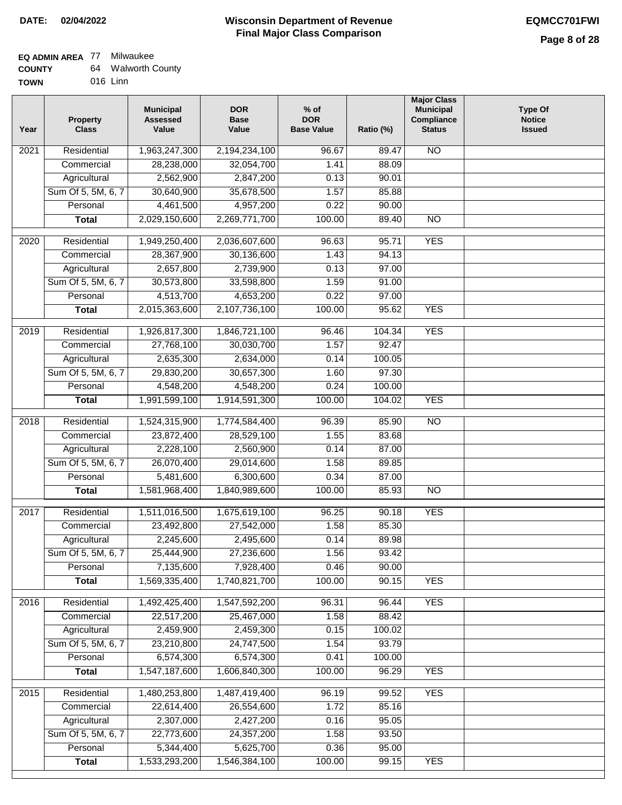#### **Wisconsin Department of Revenue Final Major Class Comparison DATE: 02/04/2022 EQMCC701FWI**

### **EQ ADMIN AREA** 77 Milwaukee **COUNTY**

| <b>COUNTY</b> | 64. | <b>Walworth County</b> |
|---------------|-----|------------------------|
| <b>TOWN</b>   |     | 016 Linn               |

| Year              | <b>Property</b><br><b>Class</b> | <b>Municipal</b><br><b>Assessed</b><br>Value | <b>DOR</b><br><b>Base</b><br>Value | $%$ of<br><b>DOR</b><br><b>Base Value</b> | Ratio (%) | <b>Major Class</b><br><b>Municipal</b><br>Compliance<br><b>Status</b> | <b>Type Of</b><br><b>Notice</b><br><b>Issued</b> |
|-------------------|---------------------------------|----------------------------------------------|------------------------------------|-------------------------------------------|-----------|-----------------------------------------------------------------------|--------------------------------------------------|
| 2021              | Residential                     | 1,963,247,300                                | 2,194,234,100                      | 96.67                                     | 89.47     | <b>NO</b>                                                             |                                                  |
|                   | Commercial                      | 28,238,000                                   | 32,054,700                         | 1.41                                      | 88.09     |                                                                       |                                                  |
|                   | Agricultural                    | 2,562,900                                    | 2,847,200                          | 0.13                                      | 90.01     |                                                                       |                                                  |
|                   | Sum Of 5, 5M, 6, 7              | 30,640,900                                   | 35,678,500                         | 1.57                                      | 85.88     |                                                                       |                                                  |
|                   | Personal                        | 4,461,500                                    | 4,957,200                          | 0.22                                      | 90.00     |                                                                       |                                                  |
|                   | <b>Total</b>                    | 2,029,150,600                                | 2,269,771,700                      | 100.00                                    | 89.40     | $\overline{NO}$                                                       |                                                  |
| $\overline{2020}$ | Residential                     | 1,949,250,400                                | 2,036,607,600                      | 96.63                                     | 95.71     | <b>YES</b>                                                            |                                                  |
|                   | Commercial                      | 28,367,900                                   | 30,136,600                         | 1.43                                      | 94.13     |                                                                       |                                                  |
|                   | Agricultural                    | 2,657,800                                    | 2,739,900                          | 0.13                                      | 97.00     |                                                                       |                                                  |
|                   | Sum Of 5, 5M, 6, 7              | 30,573,800                                   | 33,598,800                         | 1.59                                      | 91.00     |                                                                       |                                                  |
|                   | Personal                        | 4,513,700                                    | 4,653,200                          | 0.22                                      | 97.00     |                                                                       |                                                  |
|                   | <b>Total</b>                    | 2,015,363,600                                | 2,107,736,100                      | 100.00                                    | 95.62     | <b>YES</b>                                                            |                                                  |
| $\frac{2019}{ }$  | Residential                     | 1,926,817,300                                | 1,846,721,100                      | 96.46                                     | 104.34    | <b>YES</b>                                                            |                                                  |
|                   | Commercial                      | 27,768,100                                   | 30,030,700                         | 1.57                                      | 92.47     |                                                                       |                                                  |
|                   | Agricultural                    | 2,635,300                                    | 2,634,000                          | 0.14                                      | 100.05    |                                                                       |                                                  |
|                   | Sum Of 5, 5M, 6, 7              | 29,830,200                                   | 30,657,300                         | 1.60                                      | 97.30     |                                                                       |                                                  |
|                   | Personal                        | 4,548,200                                    | 4,548,200                          | 0.24                                      | 100.00    |                                                                       |                                                  |
|                   | <b>Total</b>                    | 1,991,599,100                                | 1,914,591,300                      | 100.00                                    | 104.02    | <b>YES</b>                                                            |                                                  |
| 2018              | Residential                     | 1,524,315,900                                | 1,774,584,400                      | 96.39                                     | 85.90     | $\overline{NO}$                                                       |                                                  |
|                   | Commercial                      | 23,872,400                                   | 28,529,100                         | 1.55                                      | 83.68     |                                                                       |                                                  |
|                   | Agricultural                    | 2,228,100                                    | 2,560,900                          | 0.14                                      | 87.00     |                                                                       |                                                  |
|                   | Sum Of 5, 5M, 6, 7              | 26,070,400                                   | 29,014,600                         | 1.58                                      | 89.85     |                                                                       |                                                  |
|                   | Personal                        | 5,481,600                                    | 6,300,600                          | 0.34                                      | 87.00     |                                                                       |                                                  |
|                   | <b>Total</b>                    | 1,581,968,400                                | 1,840,989,600                      | 100.00                                    | 85.93     | N <sub>O</sub>                                                        |                                                  |
| 2017              | Residential                     | 1,511,016,500                                | 1,675,619,100                      | 96.25                                     | 90.18     | <b>YES</b>                                                            |                                                  |
|                   | Commercial                      | 23,492,800                                   | 27,542,000                         | 1.58                                      | 85.30     |                                                                       |                                                  |
|                   | Agricultural                    | 2,245,600                                    | 2,495,600                          | 0.14                                      | 89.98     |                                                                       |                                                  |
|                   | Sum Of 5, 5M, 6, 7              | 25,444,900                                   | 27,236,600                         | 1.56                                      | 93.42     |                                                                       |                                                  |
|                   | Personal                        | 7,135,600                                    | 7,928,400                          | 0.46                                      | 90.00     |                                                                       |                                                  |
|                   | <b>Total</b>                    | 1,569,335,400                                | 1,740,821,700                      | 100.00                                    | 90.15     | <b>YES</b>                                                            |                                                  |
| 2016              | Residential                     | 1,492,425,400                                | 1,547,592,200                      | 96.31                                     | 96.44     | <b>YES</b>                                                            |                                                  |
|                   | Commercial                      | 22,517,200                                   | 25,467,000                         | 1.58                                      | 88.42     |                                                                       |                                                  |
|                   | Agricultural                    | 2,459,900                                    | 2,459,300                          | 0.15                                      | 100.02    |                                                                       |                                                  |
|                   | Sum Of 5, 5M, 6, 7              | 23,210,800                                   | 24,747,500                         | 1.54                                      | 93.79     |                                                                       |                                                  |
|                   | Personal                        | 6,574,300                                    | 6,574,300                          | 0.41                                      | 100.00    |                                                                       |                                                  |
|                   | <b>Total</b>                    | 1,547,187,600                                | 1,606,840,300                      | 100.00                                    | 96.29     | <b>YES</b>                                                            |                                                  |
| 2015              | Residential                     | 1,480,253,800                                | 1,487,419,400                      | 96.19                                     | 99.52     | <b>YES</b>                                                            |                                                  |
|                   | Commercial                      | 22,614,400                                   | 26,554,600                         | 1.72                                      | 85.16     |                                                                       |                                                  |
|                   | Agricultural                    | 2,307,000                                    | 2,427,200                          | 0.16                                      | 95.05     |                                                                       |                                                  |
|                   | Sum Of 5, 5M, 6, 7              | 22,773,600                                   | 24,357,200                         | 1.58                                      | 93.50     |                                                                       |                                                  |
|                   | Personal                        | 5,344,400                                    | 5,625,700                          | 0.36                                      | 95.00     |                                                                       |                                                  |
|                   | <b>Total</b>                    | 1,533,293,200                                | 1,546,384,100                      | 100.00                                    | 99.15     | <b>YES</b>                                                            |                                                  |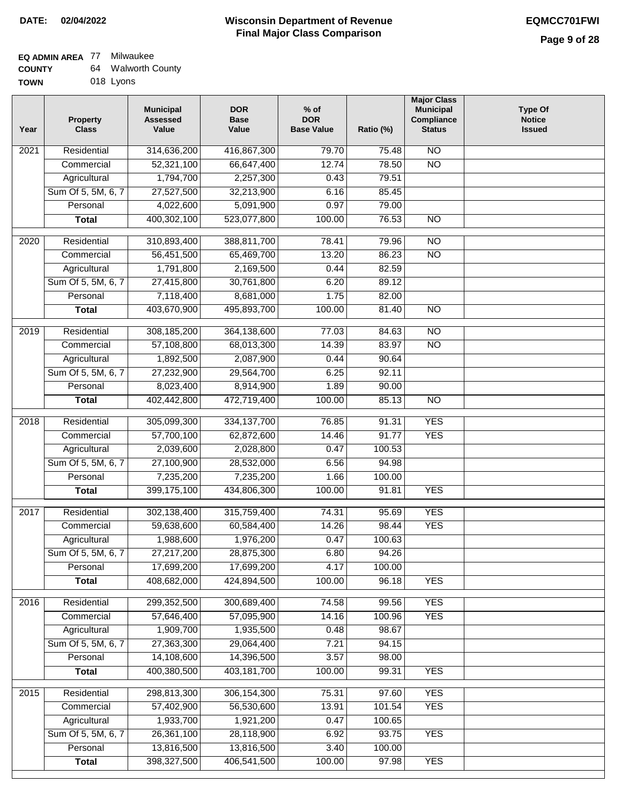$\overline{\phantom{a}}$ 

#### **EQ ADMIN AREA** 77 Milwaukee **COUNTY** 64 Walworth County

| ------- | --- | .         |  |
|---------|-----|-----------|--|
| TOWN    |     | 018 Lyons |  |

| Year | <b>Property</b><br><b>Class</b> | <b>Municipal</b><br><b>Assessed</b><br>Value | <b>DOR</b><br><b>Base</b><br>Value | $%$ of<br><b>DOR</b><br><b>Base Value</b> | Ratio (%) | <b>Major Class</b><br><b>Municipal</b><br>Compliance<br><b>Status</b> | <b>Type Of</b><br><b>Notice</b><br><b>Issued</b> |
|------|---------------------------------|----------------------------------------------|------------------------------------|-------------------------------------------|-----------|-----------------------------------------------------------------------|--------------------------------------------------|
| 2021 | Residential                     | 314,636,200                                  | 416,867,300                        | 79.70                                     | 75.48     | N <sub>O</sub>                                                        |                                                  |
|      | Commercial                      | 52,321,100                                   | 66,647,400                         | 12.74                                     | 78.50     | $\overline{NO}$                                                       |                                                  |
|      | Agricultural                    | 1,794,700                                    | 2,257,300                          | 0.43                                      | 79.51     |                                                                       |                                                  |
|      | Sum Of 5, 5M, 6, 7              | 27,527,500                                   | 32,213,900                         | 6.16                                      | 85.45     |                                                                       |                                                  |
|      | Personal                        | 4,022,600                                    | 5,091,900                          | 0.97                                      | 79.00     |                                                                       |                                                  |
|      | <b>Total</b>                    | 400,302,100                                  | 523,077,800                        | 100.00                                    | 76.53     | $\overline{NO}$                                                       |                                                  |
| 2020 | Residential                     | 310,893,400                                  | 388,811,700                        | 78.41                                     | 79.96     | $\overline{N}$                                                        |                                                  |
|      | Commercial                      | 56,451,500                                   | 65,469,700                         | 13.20                                     | 86.23     | $\overline{NO}$                                                       |                                                  |
|      | Agricultural                    | 1,791,800                                    | 2,169,500                          | 0.44                                      | 82.59     |                                                                       |                                                  |
|      | Sum Of 5, 5M, 6, 7              | 27,415,800                                   | 30,761,800                         | 6.20                                      | 89.12     |                                                                       |                                                  |
|      | Personal                        | 7,118,400                                    | 8,681,000                          | 1.75                                      | 82.00     |                                                                       |                                                  |
|      | <b>Total</b>                    | 403,670,900                                  | 495,893,700                        | 100.00                                    | 81.40     | $\overline{NO}$                                                       |                                                  |
|      |                                 |                                              |                                    |                                           |           |                                                                       |                                                  |
| 2019 | Residential                     | 308,185,200                                  | 364,138,600                        | 77.03                                     | 84.63     | N <sub>O</sub>                                                        |                                                  |
|      | Commercial                      | 57,108,800                                   | 68,013,300                         | 14.39                                     | 83.97     | $\overline{NO}$                                                       |                                                  |
|      | Agricultural                    | 1,892,500                                    | 2,087,900                          | 0.44                                      | 90.64     |                                                                       |                                                  |
|      | Sum Of 5, 5M, 6, 7              | 27,232,900                                   | 29,564,700                         | 6.25                                      | 92.11     |                                                                       |                                                  |
|      | Personal                        | 8,023,400                                    | 8,914,900                          | 1.89                                      | 90.00     |                                                                       |                                                  |
|      | <b>Total</b>                    | 402,442,800                                  | 472,719,400                        | 100.00                                    | 85.13     | $\overline{NO}$                                                       |                                                  |
| 2018 | Residential                     | 305,099,300                                  | 334, 137, 700                      | 76.85                                     | 91.31     | <b>YES</b>                                                            |                                                  |
|      | Commercial                      | 57,700,100                                   | 62,872,600                         | 14.46                                     | 91.77     | <b>YES</b>                                                            |                                                  |
|      | Agricultural                    | 2,039,600                                    | 2,028,800                          | 0.47                                      | 100.53    |                                                                       |                                                  |
|      | Sum Of 5, 5M, 6, 7              | 27,100,900                                   | 28,532,000                         | 6.56                                      | 94.98     |                                                                       |                                                  |
|      | Personal                        | 7,235,200                                    | 7,235,200                          | 1.66                                      | 100.00    |                                                                       |                                                  |
|      | <b>Total</b>                    | 399,175,100                                  | 434,806,300                        | 100.00                                    | 91.81     | <b>YES</b>                                                            |                                                  |
| 2017 | Residential                     | 302,138,400                                  | 315,759,400                        | 74.31                                     | 95.69     | <b>YES</b>                                                            |                                                  |
|      | Commercial                      | 59,638,600                                   | 60,584,400                         | 14.26                                     | 98.44     | <b>YES</b>                                                            |                                                  |
|      | Agricultural                    | 1,988,600                                    | 1,976,200                          | 0.47                                      | 100.63    |                                                                       |                                                  |
|      | Sum Of 5, 5M, 6, 7              | 27,217,200                                   | 28,875,300                         | 6.80                                      | 94.26     |                                                                       |                                                  |
|      | Personal                        | 17,699,200                                   | 17,699,200                         | 4.17                                      | 100.00    |                                                                       |                                                  |
|      | <b>Total</b>                    | 408,682,000                                  | 424,894,500                        | 100.00                                    | 96.18     | <b>YES</b>                                                            |                                                  |
| 2016 | Residential                     | 299,352,500                                  | 300,689,400                        | 74.58                                     | 99.56     | <b>YES</b>                                                            |                                                  |
|      | Commercial                      | 57,646,400                                   | 57,095,900                         | 14.16                                     | 100.96    | <b>YES</b>                                                            |                                                  |
|      | Agricultural                    | 1,909,700                                    | 1,935,500                          | 0.48                                      | 98.67     |                                                                       |                                                  |
|      | Sum Of 5, 5M, 6, 7              | 27,363,300                                   | 29,064,400                         | 7.21                                      | 94.15     |                                                                       |                                                  |
|      | Personal                        | 14,108,600                                   | 14,396,500                         | 3.57                                      | 98.00     |                                                                       |                                                  |
|      | <b>Total</b>                    | 400,380,500                                  | 403,181,700                        | 100.00                                    | 99.31     | <b>YES</b>                                                            |                                                  |
| 2015 | Residential                     | 298,813,300                                  | 306, 154, 300                      | 75.31                                     | 97.60     | <b>YES</b>                                                            |                                                  |
|      | Commercial                      | 57,402,900                                   | 56,530,600                         | 13.91                                     | 101.54    | <b>YES</b>                                                            |                                                  |
|      | Agricultural                    | 1,933,700                                    | 1,921,200                          | 0.47                                      | 100.65    |                                                                       |                                                  |
|      | Sum Of 5, 5M, 6, 7              | 26,361,100                                   | 28,118,900                         | 6.92                                      | 93.75     | <b>YES</b>                                                            |                                                  |
|      | Personal                        | 13,816,500                                   | 13,816,500                         | 3.40                                      | 100.00    |                                                                       |                                                  |
|      | <b>Total</b>                    | 398,327,500                                  | 406,541,500                        | 100.00                                    | 97.98     | <b>YES</b>                                                            |                                                  |
|      |                                 |                                              |                                    |                                           |           |                                                                       |                                                  |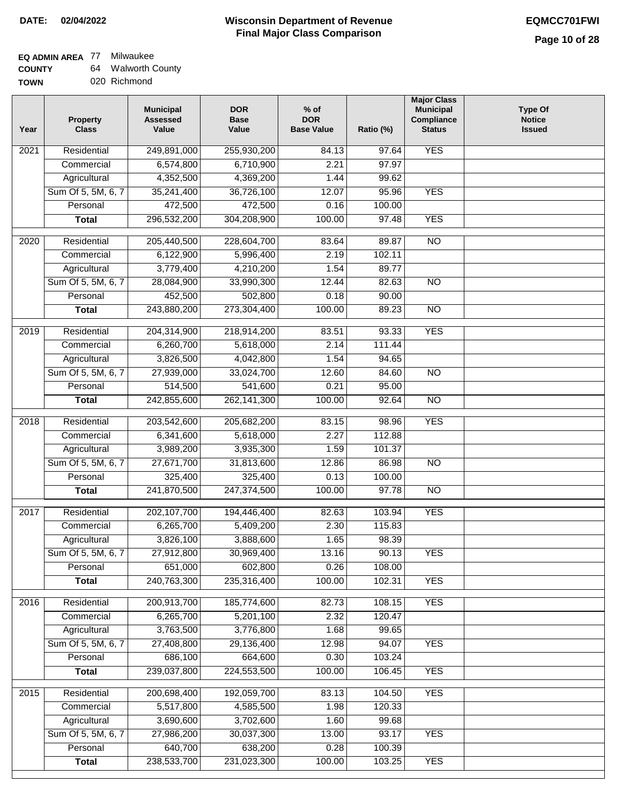# **EQ ADMIN AREA** 77 Milwaukee

**COUNTY TOWN** 64 Walworth County 020 Richmond

| Year             | <b>Property</b><br><b>Class</b> | <b>Municipal</b><br><b>Assessed</b><br>Value | <b>DOR</b><br><b>Base</b><br>Value | $%$ of<br><b>DOR</b><br><b>Base Value</b> | Ratio (%) | <b>Major Class</b><br><b>Municipal</b><br>Compliance<br><b>Status</b> | <b>Type Of</b><br><b>Notice</b><br><b>Issued</b> |
|------------------|---------------------------------|----------------------------------------------|------------------------------------|-------------------------------------------|-----------|-----------------------------------------------------------------------|--------------------------------------------------|
| 2021             | Residential                     | 249,891,000                                  | 255,930,200                        | 84.13                                     | 97.64     | <b>YES</b>                                                            |                                                  |
|                  | Commercial                      | 6,574,800                                    | 6,710,900                          | 2.21                                      | 97.97     |                                                                       |                                                  |
|                  | Agricultural                    | 4,352,500                                    | 4,369,200                          | 1.44                                      | 99.62     |                                                                       |                                                  |
|                  | Sum Of 5, 5M, 6, 7              | 35,241,400                                   | 36,726,100                         | 12.07                                     | 95.96     | <b>YES</b>                                                            |                                                  |
|                  | Personal                        | 472,500                                      | 472,500                            | 0.16                                      | 100.00    |                                                                       |                                                  |
|                  | <b>Total</b>                    | 296,532,200                                  | 304,208,900                        | 100.00                                    | 97.48     | <b>YES</b>                                                            |                                                  |
| 2020             | Residential                     | 205,440,500                                  | 228,604,700                        | 83.64                                     | 89.87     | $\overline{NO}$                                                       |                                                  |
|                  | Commercial                      | 6,122,900                                    | 5,996,400                          | 2.19                                      | 102.11    |                                                                       |                                                  |
|                  | Agricultural                    | 3,779,400                                    | 4,210,200                          | 1.54                                      | 89.77     |                                                                       |                                                  |
|                  | Sum Of 5, 5M, 6, 7              | 28,084,900                                   | 33,990,300                         | 12.44                                     | 82.63     | $\overline{NO}$                                                       |                                                  |
|                  | Personal                        | 452,500                                      | 502,800                            | 0.18                                      | 90.00     |                                                                       |                                                  |
|                  | <b>Total</b>                    | 243,880,200                                  | 273,304,400                        | 100.00                                    | 89.23     | $\overline{NO}$                                                       |                                                  |
|                  |                                 |                                              |                                    |                                           |           |                                                                       |                                                  |
| $\frac{1}{2019}$ | Residential                     | 204,314,900                                  | 218,914,200                        | 83.51                                     | 93.33     | <b>YES</b>                                                            |                                                  |
|                  | Commercial                      | 6,260,700                                    | 5,618,000                          | 2.14                                      | 111.44    |                                                                       |                                                  |
|                  | Agricultural                    | 3,826,500                                    | 4,042,800                          | 1.54                                      | 94.65     |                                                                       |                                                  |
|                  | Sum Of 5, 5M, 6, 7              | 27,939,000                                   | 33,024,700                         | 12.60                                     | 84.60     | $\overline{NO}$                                                       |                                                  |
|                  | Personal                        | 514,500                                      | 541,600                            | 0.21                                      | 95.00     |                                                                       |                                                  |
|                  | <b>Total</b>                    | 242,855,600                                  | 262, 141, 300                      | 100.00                                    | 92.64     | $\overline{N}$                                                        |                                                  |
| 2018             | Residential                     | 203,542,600                                  | 205,682,200                        | 83.15                                     | 98.96     | <b>YES</b>                                                            |                                                  |
|                  | Commercial                      | 6,341,600                                    | 5,618,000                          | 2.27                                      | 112.88    |                                                                       |                                                  |
|                  | Agricultural                    | 3,989,200                                    | 3,935,300                          | 1.59                                      | 101.37    |                                                                       |                                                  |
|                  | Sum Of 5, 5M, 6, 7              | 27,671,700                                   | 31,813,600                         | 12.86                                     | 86.98     | $\overline{10}$                                                       |                                                  |
|                  | Personal                        | 325,400                                      | 325,400                            | 0.13                                      | 100.00    |                                                                       |                                                  |
|                  | <b>Total</b>                    | 241,870,500                                  | 247,374,500                        | 100.00                                    | 97.78     | <b>NO</b>                                                             |                                                  |
| 2017             | Residential                     | 202, 107, 700                                | 194,446,400                        | 82.63                                     | 103.94    | <b>YES</b>                                                            |                                                  |
|                  | Commercial                      | 6,265,700                                    | 5,409,200                          | 2.30                                      | 115.83    |                                                                       |                                                  |
|                  | Agricultural                    | 3,826,100                                    | 3,888,600                          | 1.65                                      | 98.39     |                                                                       |                                                  |
|                  | Sum Of 5, 5M, 6, 7              | 27,912,800                                   | 30,969,400                         | 13.16                                     | 90.13     | <b>YES</b>                                                            |                                                  |
|                  | Personal                        | 651,000                                      | 602,800                            | 0.26                                      | 108.00    |                                                                       |                                                  |
|                  | <b>Total</b>                    | 240,763,300                                  | 235,316,400                        | 100.00                                    | 102.31    | <b>YES</b>                                                            |                                                  |
|                  |                                 |                                              |                                    |                                           |           |                                                                       |                                                  |
| 2016             | Residential                     | 200,913,700                                  | 185,774,600                        | 82.73                                     | 108.15    | <b>YES</b>                                                            |                                                  |
|                  | Commercial                      | 6,265,700                                    | 5,201,100                          | 2.32                                      | 120.47    |                                                                       |                                                  |
|                  | Agricultural                    | 3,763,500                                    | 3,776,800                          | 1.68                                      | 99.65     |                                                                       |                                                  |
|                  | Sum Of 5, 5M, 6, 7              | 27,408,800                                   | 29,136,400                         | 12.98                                     | 94.07     | <b>YES</b>                                                            |                                                  |
|                  | Personal                        | 686,100                                      | 664,600                            | 0.30                                      | 103.24    |                                                                       |                                                  |
|                  | <b>Total</b>                    | 239,037,800                                  | 224,553,500                        | 100.00                                    | 106.45    | <b>YES</b>                                                            |                                                  |
| 2015             | Residential                     | 200,698,400                                  | 192,059,700                        | 83.13                                     | 104.50    | <b>YES</b>                                                            |                                                  |
|                  | Commercial                      | 5,517,800                                    | 4,585,500                          | 1.98                                      | 120.33    |                                                                       |                                                  |
|                  | Agricultural                    | 3,690,600                                    | 3,702,600                          | 1.60                                      | 99.68     |                                                                       |                                                  |
|                  | Sum Of 5, 5M, 6, 7              | 27,986,200                                   | 30,037,300                         | 13.00                                     | 93.17     | <b>YES</b>                                                            |                                                  |
|                  | Personal                        | 640,700                                      | 638,200                            | 0.28                                      | 100.39    |                                                                       |                                                  |
|                  | <b>Total</b>                    | 238,533,700                                  | 231,023,300                        | 100.00                                    | 103.25    | <b>YES</b>                                                            |                                                  |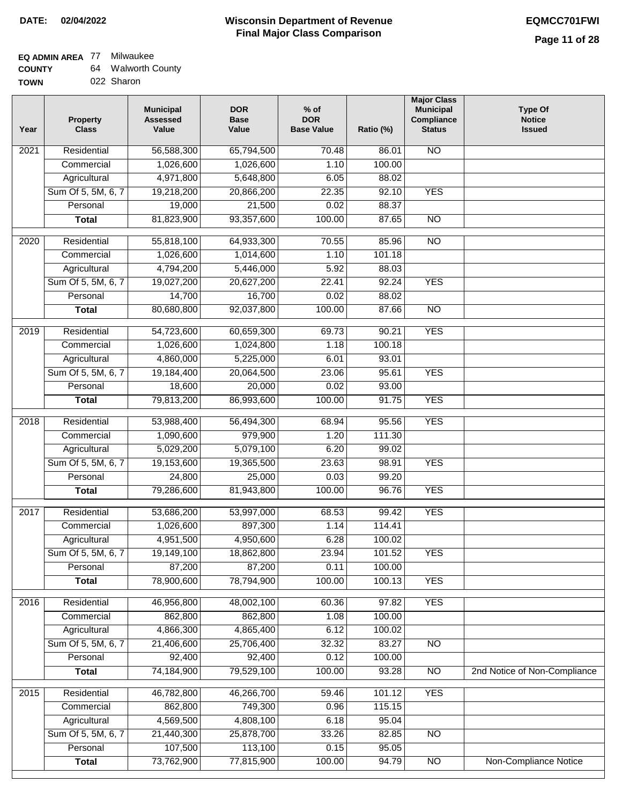### **EQ ADMIN AREA** 77 Milwaukee **COUNTY**

| <b>COUNTY</b> | 64. | <b>Walworth County</b> |
|---------------|-----|------------------------|
| <b>TOWN</b>   |     | 022 Sharon             |

| Year | <b>Property</b><br><b>Class</b>    | <b>Municipal</b><br><b>Assessed</b><br>Value | <b>DOR</b><br><b>Base</b><br>Value | $%$ of<br><b>DOR</b><br><b>Base Value</b> | Ratio (%) | <b>Major Class</b><br><b>Municipal</b><br>Compliance<br><b>Status</b> | <b>Type Of</b><br><b>Notice</b><br><b>Issued</b> |
|------|------------------------------------|----------------------------------------------|------------------------------------|-------------------------------------------|-----------|-----------------------------------------------------------------------|--------------------------------------------------|
| 2021 | Residential                        | 56,588,300                                   | 65,794,500                         | 70.48                                     | 86.01     | N <sub>O</sub>                                                        |                                                  |
|      | Commercial                         | 1,026,600                                    | 1,026,600                          | 1.10                                      | 100.00    |                                                                       |                                                  |
|      | Agricultural                       | 4,971,800                                    | 5,648,800                          | 6.05                                      | 88.02     |                                                                       |                                                  |
|      | Sum Of 5, 5M, 6, 7                 | 19,218,200                                   | 20,866,200                         | 22.35                                     | 92.10     | <b>YES</b>                                                            |                                                  |
|      | Personal                           | 19,000                                       | 21,500                             | 0.02                                      | 88.37     |                                                                       |                                                  |
|      | <b>Total</b>                       | 81,823,900                                   | 93,357,600                         | 100.00                                    | 87.65     | $\overline{NO}$                                                       |                                                  |
| 2020 | Residential                        | 55,818,100                                   | 64,933,300                         | 70.55                                     | 85.96     | $\overline{3}$                                                        |                                                  |
|      | Commercial                         | 1,026,600                                    | 1,014,600                          | 1.10                                      | 101.18    |                                                                       |                                                  |
|      | Agricultural                       | 4,794,200                                    | 5,446,000                          | 5.92                                      | 88.03     |                                                                       |                                                  |
|      | Sum Of 5, 5M, 6, 7                 | 19,027,200                                   | 20,627,200                         | 22.41                                     | 92.24     | <b>YES</b>                                                            |                                                  |
|      | Personal                           | 14,700                                       | 16,700                             | 0.02                                      | 88.02     |                                                                       |                                                  |
|      | Total                              | 80,680,800                                   | 92,037,800                         | 100.00                                    | 87.66     | $\overline{NO}$                                                       |                                                  |
|      | Residential                        | 54,723,600                                   | 60,659,300                         | 69.73                                     | 90.21     | <b>YES</b>                                                            |                                                  |
| 2019 | Commercial                         | 1,026,600                                    | 1,024,800                          | 1.18                                      | 100.18    |                                                                       |                                                  |
|      |                                    | 4,860,000                                    | 5,225,000                          | 6.01                                      | 93.01     |                                                                       |                                                  |
|      | Agricultural<br>Sum Of 5, 5M, 6, 7 |                                              | 20,064,500                         | 23.06                                     | 95.61     | <b>YES</b>                                                            |                                                  |
|      | Personal                           | 19,184,400                                   |                                    | 0.02                                      | 93.00     |                                                                       |                                                  |
|      |                                    | 18,600                                       | 20,000                             | 100.00                                    | 91.75     | <b>YES</b>                                                            |                                                  |
|      | <b>Total</b>                       | 79,813,200                                   | 86,993,600                         |                                           |           |                                                                       |                                                  |
| 2018 | Residential                        | 53,988,400                                   | 56,494,300                         | 68.94                                     | 95.56     | <b>YES</b>                                                            |                                                  |
|      | Commercial                         | 1,090,600                                    | 979,900                            | 1.20                                      | 111.30    |                                                                       |                                                  |
|      | Agricultural                       | 5,029,200                                    | 5,079,100                          | 6.20                                      | 99.02     |                                                                       |                                                  |
|      | Sum Of 5, 5M, 6, 7                 | 19,153,600                                   | 19,365,500                         | 23.63                                     | 98.91     | <b>YES</b>                                                            |                                                  |
|      | Personal                           | 24,800                                       | 25,000                             | 0.03                                      | 99.20     |                                                                       |                                                  |
|      | <b>Total</b>                       | 79,286,600                                   | 81,943,800                         | 100.00                                    | 96.76     | <b>YES</b>                                                            |                                                  |
| 2017 | Residential                        | 53,686,200                                   | 53,997,000                         | 68.53                                     | 99.42     | <b>YES</b>                                                            |                                                  |
|      | Commercial                         | 1,026,600                                    | 897,300                            | 1.14                                      | 114.41    |                                                                       |                                                  |
|      | Agricultural                       | 4,951,500                                    | 4,950,600                          | 6.28                                      | 100.02    |                                                                       |                                                  |
|      | Sum Of 5, 5M, 6, 7                 | 19,149,100                                   | 18,862,800                         | 23.94                                     | 101.52    | <b>YES</b>                                                            |                                                  |
|      | Personal                           | 87,200                                       | 87,200                             | 0.11                                      | 100.00    |                                                                       |                                                  |
|      | <b>Total</b>                       | 78,900,600                                   | 78,794,900                         | 100.00                                    | 100.13    | <b>YES</b>                                                            |                                                  |
| 2016 | Residential                        | 46,956,800                                   | 48,002,100                         | 60.36                                     | 97.82     | <b>YES</b>                                                            |                                                  |
|      | Commercial                         | 862,800                                      | 862,800                            | 1.08                                      | 100.00    |                                                                       |                                                  |
|      | Agricultural                       | 4,866,300                                    | 4,865,400                          | 6.12                                      | 100.02    |                                                                       |                                                  |
|      | Sum Of 5, 5M, 6, 7                 | 21,406,600                                   | 25,706,400                         | 32.32                                     | 83.27     | N <sub>O</sub>                                                        |                                                  |
|      | Personal                           | 92,400                                       | 92,400                             | 0.12                                      | 100.00    |                                                                       |                                                  |
|      | <b>Total</b>                       | 74,184,900                                   | 79,529,100                         | 100.00                                    | 93.28     | $\overline{NO}$                                                       | 2nd Notice of Non-Compliance                     |
| 2015 | Residential                        | 46,782,800                                   | 46,266,700                         | 59.46                                     | 101.12    | <b>YES</b>                                                            |                                                  |
|      | Commercial                         | 862,800                                      | 749,300                            | 0.96                                      | 115.15    |                                                                       |                                                  |
|      | Agricultural                       | 4,569,500                                    | 4,808,100                          | 6.18                                      | 95.04     |                                                                       |                                                  |
|      | Sum Of 5, 5M, 6, 7                 | 21,440,300                                   | 25,878,700                         | 33.26                                     | 82.85     | <b>NO</b>                                                             |                                                  |
|      | Personal                           | 107,500                                      | 113,100                            | 0.15                                      | 95.05     |                                                                       |                                                  |
|      | <b>Total</b>                       | 73,762,900                                   | 77,815,900                         | 100.00                                    | 94.79     | N <sub>O</sub>                                                        | Non-Compliance Notice                            |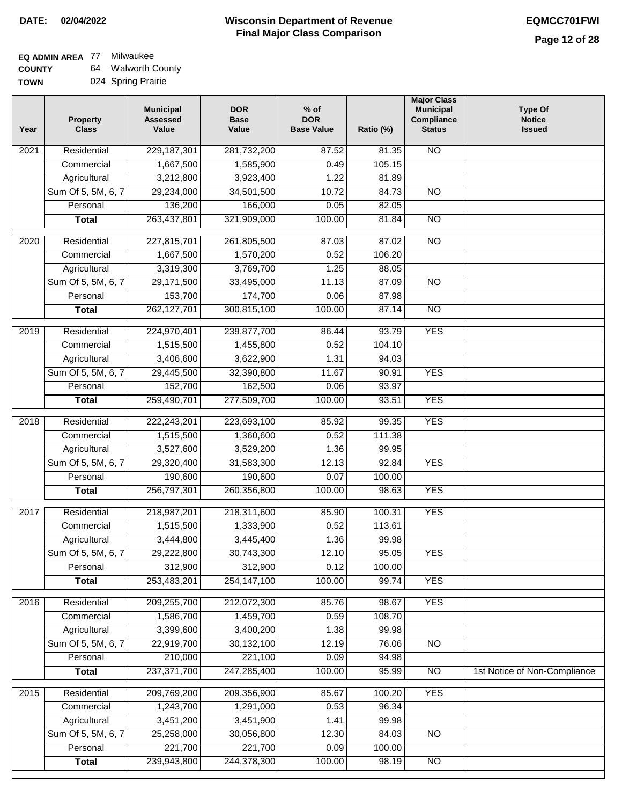### **EQ ADMIN AREA** 77 Milwaukee **COUNTY**

**TOWN** 64 Walworth County 024 Spring Prairie

| Year              | <b>Property</b><br><b>Class</b>    | <b>Municipal</b><br><b>Assessed</b><br>Value | <b>DOR</b><br><b>Base</b><br>Value | % of<br><b>DOR</b><br><b>Base Value</b> | Ratio (%) | <b>Major Class</b><br><b>Municipal</b><br>Compliance<br><b>Status</b> | <b>Type Of</b><br><b>Notice</b><br><b>Issued</b> |
|-------------------|------------------------------------|----------------------------------------------|------------------------------------|-----------------------------------------|-----------|-----------------------------------------------------------------------|--------------------------------------------------|
| $\overline{202}1$ | Residential                        | 229, 187, 301                                | 281,732,200                        | 87.52                                   | 81.35     | $\overline{NO}$                                                       |                                                  |
|                   | Commercial                         | 1,667,500                                    | 1,585,900                          | 0.49                                    | 105.15    |                                                                       |                                                  |
|                   | Agricultural                       | 3,212,800                                    | 3,923,400                          | 1.22                                    | 81.89     |                                                                       |                                                  |
|                   | Sum Of 5, 5M, 6, 7                 | 29,234,000                                   | 34,501,500                         | 10.72                                   | 84.73     | N <sub>O</sub>                                                        |                                                  |
|                   | Personal                           | 136,200                                      | 166,000                            | 0.05                                    | 82.05     |                                                                       |                                                  |
|                   | <b>Total</b>                       | 263,437,801                                  | 321,909,000                        | 100.00                                  | 81.84     | $\overline{NO}$                                                       |                                                  |
| $\overline{2020}$ | Residential                        | 227,815,701                                  | 261,805,500                        | 87.03                                   | 87.02     | $\overline{NO}$                                                       |                                                  |
|                   | Commercial                         | 1,667,500                                    | 1,570,200                          | 0.52                                    | 106.20    |                                                                       |                                                  |
|                   | Agricultural                       | 3,319,300                                    | 3,769,700                          | 1.25                                    | 88.05     |                                                                       |                                                  |
|                   | Sum Of 5, 5M, 6, 7                 | 29,171,500                                   | 33,495,000                         | 11.13                                   | 87.09     | $\overline{NO}$                                                       |                                                  |
|                   | Personal                           | 153,700                                      | 174,700                            | 0.06                                    | 87.98     |                                                                       |                                                  |
|                   | <b>Total</b>                       | 262, 127, 701                                | 300,815,100                        | 100.00                                  | 87.14     | $\overline{NO}$                                                       |                                                  |
| 2019              | Residential                        | 224,970,401                                  | 239,877,700                        | 86.44                                   | 93.79     | <b>YES</b>                                                            |                                                  |
|                   | Commercial                         | 1,515,500                                    | 1,455,800                          | 0.52                                    | 104.10    |                                                                       |                                                  |
|                   |                                    | 3,406,600                                    | 3,622,900                          | 1.31                                    | 94.03     |                                                                       |                                                  |
|                   | Agricultural<br>Sum Of 5, 5M, 6, 7 | 29,445,500                                   | 32,390,800                         | 11.67                                   | 90.91     | <b>YES</b>                                                            |                                                  |
|                   | Personal                           | 152,700                                      | 162,500                            | 0.06                                    | 93.97     |                                                                       |                                                  |
|                   | <b>Total</b>                       | 259,490,701                                  | 277,509,700                        | 100.00                                  | 93.51     | <b>YES</b>                                                            |                                                  |
|                   |                                    |                                              |                                    |                                         |           |                                                                       |                                                  |
| 2018              | Residential                        | 222,243,201                                  | 223,693,100                        | 85.92                                   | 99.35     | <b>YES</b>                                                            |                                                  |
|                   | Commercial                         | 1,515,500                                    | 1,360,600                          | 0.52                                    | 111.38    |                                                                       |                                                  |
|                   | Agricultural                       | 3,527,600                                    | 3,529,200                          | 1.36                                    | 99.95     |                                                                       |                                                  |
|                   | Sum Of 5, 5M, 6, 7                 | 29,320,400                                   | 31,583,300                         | 12.13                                   | 92.84     | <b>YES</b>                                                            |                                                  |
|                   | Personal                           | 190,600                                      | 190,600                            | 0.07                                    | 100.00    |                                                                       |                                                  |
|                   | <b>Total</b>                       | 256,797,301                                  | 260,356,800                        | 100.00                                  | 98.63     | <b>YES</b>                                                            |                                                  |
| 2017              | Residential                        | 218,987,201                                  | 218,311,600                        | 85.90                                   | 100.31    | <b>YES</b>                                                            |                                                  |
|                   | Commercial                         | 1,515,500                                    | 1,333,900                          | 0.52                                    | 113.61    |                                                                       |                                                  |
|                   | Agricultural                       | 3,444,800                                    | 3,445,400                          | 1.36                                    | 99.98     |                                                                       |                                                  |
|                   | Sum Of 5, 5M, 6, 7                 | 29,222,800                                   | 30,743,300                         | 12.10                                   | 95.05     | <b>YES</b>                                                            |                                                  |
|                   | Personal                           | 312,900                                      | 312,900                            | 0.12                                    | 100.00    |                                                                       |                                                  |
|                   | <b>Total</b>                       | 253,483,201                                  | 254, 147, 100                      | 100.00                                  | 99.74     | <b>YES</b>                                                            |                                                  |
| 2016              | Residential                        | 209,255,700                                  | 212,072,300                        | 85.76                                   | 98.67     | <b>YES</b>                                                            |                                                  |
|                   | Commercial                         | 1,586,700                                    | 1,459,700                          | 0.59                                    | 108.70    |                                                                       |                                                  |
|                   | Agricultural                       | 3,399,600                                    | 3,400,200                          | 1.38                                    | 99.98     |                                                                       |                                                  |
|                   | Sum Of 5, 5M, 6, 7                 | 22,919,700                                   | 30,132,100                         | 12.19                                   | 76.06     | $\overline{NO}$                                                       |                                                  |
|                   | Personal                           | 210,000                                      | 221,100                            | 0.09                                    | 94.98     |                                                                       |                                                  |
|                   | <b>Total</b>                       | 237, 371, 700                                | 247,285,400                        | 100.00                                  | 95.99     | $\overline{NO}$                                                       | 1st Notice of Non-Compliance                     |
| 2015              | Residential                        | 209,769,200                                  | 209,356,900                        | 85.67                                   | 100.20    | <b>YES</b>                                                            |                                                  |
|                   | Commercial                         | 1,243,700                                    | 1,291,000                          | 0.53                                    | 96.34     |                                                                       |                                                  |
|                   | Agricultural                       | 3,451,200                                    | 3,451,900                          | 1.41                                    | 99.98     |                                                                       |                                                  |
|                   | Sum Of 5, 5M, 6, 7                 | 25,258,000                                   | 30,056,800                         | 12.30                                   | 84.03     | $\overline{NO}$                                                       |                                                  |
|                   | Personal                           | 221,700                                      | 221,700                            | 0.09                                    | 100.00    |                                                                       |                                                  |
|                   | <b>Total</b>                       | 239,943,800                                  | 244,378,300                        | 100.00                                  | 98.19     | N <sub>O</sub>                                                        |                                                  |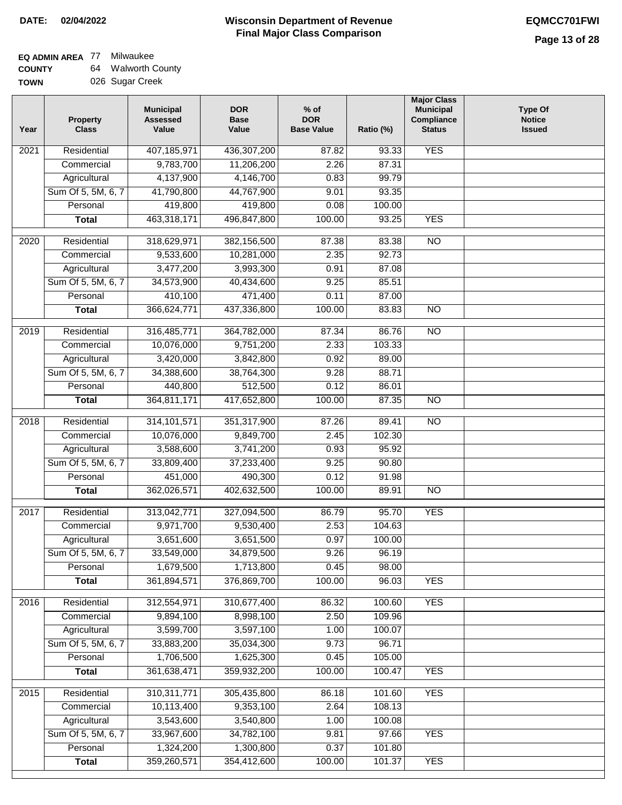#### **Wisconsin Department of Revenue Final Major Class Comparison DATE: 02/04/2022 EQMCC701FWI**

#### **EQ ADMIN AREA** 77 Milwaukee **COUNTY** 64 Walworth County

**TOWN** 026 Sugar Creek

| <b>YES</b><br>407,185,971<br>Residential<br>436,307,200<br>87.82<br>93.33<br>2021<br>9,783,700<br>11,206,200<br>2.26<br>87.31<br>Commercial<br>4,137,900<br>99.79<br>4,146,700<br>0.83<br>Agricultural<br>Sum Of 5, 5M, 6, 7<br>41,790,800<br>44,767,900<br>9.01<br>93.35<br>419,800<br>419,800<br>Personal<br>0.08<br>100.00<br>463,318,171<br><b>YES</b><br>496,847,800<br>100.00<br>93.25<br><b>Total</b><br>318,629,971<br>$\overline{NO}$<br>Residential<br>382,156,500<br>87.38<br>83.38<br>2020<br>92.73<br>9,533,600<br>2.35<br>Commercial<br>10,281,000<br>3,477,200<br>3,993,300<br>0.91<br>87.08<br>Agricultural<br>Sum Of 5, 5M, 6, 7<br>34,573,900<br>40,434,600<br>9.25<br>85.51<br>410,100<br>Personal<br>471,400<br>0.11<br>87.00<br>366,624,771<br>100.00<br>83.83<br>$\overline{NO}$<br>437,336,800<br><b>Total</b><br>Residential<br>316,485,771<br>364,782,000<br>87.34<br>86.76<br>N <sub>O</sub><br>2019<br>Commercial<br>10,076,000<br>9,751,200<br>2.33<br>103.33<br>3,420,000<br>Agricultural<br>3,842,800<br>0.92<br>89.00<br>Sum Of 5, 5M, 6, 7<br>34,388,600<br>38,764,300<br>9.28<br>88.71<br>Personal<br>440,800<br>512,500<br>0.12<br>86.01<br>364,811,171<br>417,652,800<br>100.00<br>87.35<br><b>NO</b><br><b>Total</b><br>Residential<br>314, 101, 571<br>351,317,900<br>89.41<br>$\overline{3}$<br>2018<br>87.26<br>Commercial<br>10,076,000<br>9,849,700<br>2.45<br>102.30<br>3,588,600<br>Agricultural<br>3,741,200<br>0.93<br>95.92 | Year | <b>Property</b><br><b>Class</b> | <b>Municipal</b><br><b>Assessed</b><br>Value | <b>DOR</b><br><b>Base</b><br>Value | $%$ of<br><b>DOR</b><br><b>Base Value</b> | Ratio (%) | <b>Major Class</b><br><b>Municipal</b><br>Compliance<br><b>Status</b> | <b>Type Of</b><br><b>Notice</b><br><b>Issued</b> |
|---------------------------------------------------------------------------------------------------------------------------------------------------------------------------------------------------------------------------------------------------------------------------------------------------------------------------------------------------------------------------------------------------------------------------------------------------------------------------------------------------------------------------------------------------------------------------------------------------------------------------------------------------------------------------------------------------------------------------------------------------------------------------------------------------------------------------------------------------------------------------------------------------------------------------------------------------------------------------------------------------------------------------------------------------------------------------------------------------------------------------------------------------------------------------------------------------------------------------------------------------------------------------------------------------------------------------------------------------------------------------------------------------------------------------------------------------------------------------|------|---------------------------------|----------------------------------------------|------------------------------------|-------------------------------------------|-----------|-----------------------------------------------------------------------|--------------------------------------------------|
|                                                                                                                                                                                                                                                                                                                                                                                                                                                                                                                                                                                                                                                                                                                                                                                                                                                                                                                                                                                                                                                                                                                                                                                                                                                                                                                                                                                                                                                                           |      |                                 |                                              |                                    |                                           |           |                                                                       |                                                  |
|                                                                                                                                                                                                                                                                                                                                                                                                                                                                                                                                                                                                                                                                                                                                                                                                                                                                                                                                                                                                                                                                                                                                                                                                                                                                                                                                                                                                                                                                           |      |                                 |                                              |                                    |                                           |           |                                                                       |                                                  |
|                                                                                                                                                                                                                                                                                                                                                                                                                                                                                                                                                                                                                                                                                                                                                                                                                                                                                                                                                                                                                                                                                                                                                                                                                                                                                                                                                                                                                                                                           |      |                                 |                                              |                                    |                                           |           |                                                                       |                                                  |
|                                                                                                                                                                                                                                                                                                                                                                                                                                                                                                                                                                                                                                                                                                                                                                                                                                                                                                                                                                                                                                                                                                                                                                                                                                                                                                                                                                                                                                                                           |      |                                 |                                              |                                    |                                           |           |                                                                       |                                                  |
|                                                                                                                                                                                                                                                                                                                                                                                                                                                                                                                                                                                                                                                                                                                                                                                                                                                                                                                                                                                                                                                                                                                                                                                                                                                                                                                                                                                                                                                                           |      |                                 |                                              |                                    |                                           |           |                                                                       |                                                  |
|                                                                                                                                                                                                                                                                                                                                                                                                                                                                                                                                                                                                                                                                                                                                                                                                                                                                                                                                                                                                                                                                                                                                                                                                                                                                                                                                                                                                                                                                           |      |                                 |                                              |                                    |                                           |           |                                                                       |                                                  |
|                                                                                                                                                                                                                                                                                                                                                                                                                                                                                                                                                                                                                                                                                                                                                                                                                                                                                                                                                                                                                                                                                                                                                                                                                                                                                                                                                                                                                                                                           |      |                                 |                                              |                                    |                                           |           |                                                                       |                                                  |
|                                                                                                                                                                                                                                                                                                                                                                                                                                                                                                                                                                                                                                                                                                                                                                                                                                                                                                                                                                                                                                                                                                                                                                                                                                                                                                                                                                                                                                                                           |      |                                 |                                              |                                    |                                           |           |                                                                       |                                                  |
|                                                                                                                                                                                                                                                                                                                                                                                                                                                                                                                                                                                                                                                                                                                                                                                                                                                                                                                                                                                                                                                                                                                                                                                                                                                                                                                                                                                                                                                                           |      |                                 |                                              |                                    |                                           |           |                                                                       |                                                  |
|                                                                                                                                                                                                                                                                                                                                                                                                                                                                                                                                                                                                                                                                                                                                                                                                                                                                                                                                                                                                                                                                                                                                                                                                                                                                                                                                                                                                                                                                           |      |                                 |                                              |                                    |                                           |           |                                                                       |                                                  |
|                                                                                                                                                                                                                                                                                                                                                                                                                                                                                                                                                                                                                                                                                                                                                                                                                                                                                                                                                                                                                                                                                                                                                                                                                                                                                                                                                                                                                                                                           |      |                                 |                                              |                                    |                                           |           |                                                                       |                                                  |
|                                                                                                                                                                                                                                                                                                                                                                                                                                                                                                                                                                                                                                                                                                                                                                                                                                                                                                                                                                                                                                                                                                                                                                                                                                                                                                                                                                                                                                                                           |      |                                 |                                              |                                    |                                           |           |                                                                       |                                                  |
|                                                                                                                                                                                                                                                                                                                                                                                                                                                                                                                                                                                                                                                                                                                                                                                                                                                                                                                                                                                                                                                                                                                                                                                                                                                                                                                                                                                                                                                                           |      |                                 |                                              |                                    |                                           |           |                                                                       |                                                  |
|                                                                                                                                                                                                                                                                                                                                                                                                                                                                                                                                                                                                                                                                                                                                                                                                                                                                                                                                                                                                                                                                                                                                                                                                                                                                                                                                                                                                                                                                           |      |                                 |                                              |                                    |                                           |           |                                                                       |                                                  |
|                                                                                                                                                                                                                                                                                                                                                                                                                                                                                                                                                                                                                                                                                                                                                                                                                                                                                                                                                                                                                                                                                                                                                                                                                                                                                                                                                                                                                                                                           |      |                                 |                                              |                                    |                                           |           |                                                                       |                                                  |
|                                                                                                                                                                                                                                                                                                                                                                                                                                                                                                                                                                                                                                                                                                                                                                                                                                                                                                                                                                                                                                                                                                                                                                                                                                                                                                                                                                                                                                                                           |      |                                 |                                              |                                    |                                           |           |                                                                       |                                                  |
|                                                                                                                                                                                                                                                                                                                                                                                                                                                                                                                                                                                                                                                                                                                                                                                                                                                                                                                                                                                                                                                                                                                                                                                                                                                                                                                                                                                                                                                                           |      |                                 |                                              |                                    |                                           |           |                                                                       |                                                  |
|                                                                                                                                                                                                                                                                                                                                                                                                                                                                                                                                                                                                                                                                                                                                                                                                                                                                                                                                                                                                                                                                                                                                                                                                                                                                                                                                                                                                                                                                           |      |                                 |                                              |                                    |                                           |           |                                                                       |                                                  |
|                                                                                                                                                                                                                                                                                                                                                                                                                                                                                                                                                                                                                                                                                                                                                                                                                                                                                                                                                                                                                                                                                                                                                                                                                                                                                                                                                                                                                                                                           |      |                                 |                                              |                                    |                                           |           |                                                                       |                                                  |
|                                                                                                                                                                                                                                                                                                                                                                                                                                                                                                                                                                                                                                                                                                                                                                                                                                                                                                                                                                                                                                                                                                                                                                                                                                                                                                                                                                                                                                                                           |      |                                 |                                              |                                    |                                           |           |                                                                       |                                                  |
|                                                                                                                                                                                                                                                                                                                                                                                                                                                                                                                                                                                                                                                                                                                                                                                                                                                                                                                                                                                                                                                                                                                                                                                                                                                                                                                                                                                                                                                                           |      |                                 |                                              |                                    |                                           |           |                                                                       |                                                  |
|                                                                                                                                                                                                                                                                                                                                                                                                                                                                                                                                                                                                                                                                                                                                                                                                                                                                                                                                                                                                                                                                                                                                                                                                                                                                                                                                                                                                                                                                           |      |                                 |                                              |                                    |                                           |           |                                                                       |                                                  |
| Sum Of 5, 5M, 6, 7<br>33,809,400<br>37,233,400<br>9.25<br>90.80                                                                                                                                                                                                                                                                                                                                                                                                                                                                                                                                                                                                                                                                                                                                                                                                                                                                                                                                                                                                                                                                                                                                                                                                                                                                                                                                                                                                           |      |                                 |                                              |                                    |                                           |           |                                                                       |                                                  |
| 451,000<br>Personal<br>490,300<br>0.12<br>91.98                                                                                                                                                                                                                                                                                                                                                                                                                                                                                                                                                                                                                                                                                                                                                                                                                                                                                                                                                                                                                                                                                                                                                                                                                                                                                                                                                                                                                           |      |                                 |                                              |                                    |                                           |           |                                                                       |                                                  |
| 362,026,571<br>402,632,500<br>100.00<br>89.91<br>$\overline{10}$<br><b>Total</b>                                                                                                                                                                                                                                                                                                                                                                                                                                                                                                                                                                                                                                                                                                                                                                                                                                                                                                                                                                                                                                                                                                                                                                                                                                                                                                                                                                                          |      |                                 |                                              |                                    |                                           |           |                                                                       |                                                  |
| <b>YES</b><br>2017<br>Residential<br>313,042,771<br>327,094,500<br>86.79<br>95.70                                                                                                                                                                                                                                                                                                                                                                                                                                                                                                                                                                                                                                                                                                                                                                                                                                                                                                                                                                                                                                                                                                                                                                                                                                                                                                                                                                                         |      |                                 |                                              |                                    |                                           |           |                                                                       |                                                  |
| 2.53<br>104.63<br>9,971,700<br>9,530,400<br>Commercial                                                                                                                                                                                                                                                                                                                                                                                                                                                                                                                                                                                                                                                                                                                                                                                                                                                                                                                                                                                                                                                                                                                                                                                                                                                                                                                                                                                                                    |      |                                 |                                              |                                    |                                           |           |                                                                       |                                                  |
| 3,651,600<br>3,651,500<br>0.97<br>100.00<br>Agricultural                                                                                                                                                                                                                                                                                                                                                                                                                                                                                                                                                                                                                                                                                                                                                                                                                                                                                                                                                                                                                                                                                                                                                                                                                                                                                                                                                                                                                  |      |                                 |                                              |                                    |                                           |           |                                                                       |                                                  |
| Sum Of 5, 5M, 6, 7<br>33,549,000<br>34,879,500<br>9.26<br>96.19                                                                                                                                                                                                                                                                                                                                                                                                                                                                                                                                                                                                                                                                                                                                                                                                                                                                                                                                                                                                                                                                                                                                                                                                                                                                                                                                                                                                           |      |                                 |                                              |                                    |                                           |           |                                                                       |                                                  |
| 1,679,500<br>1,713,800<br>0.45<br>98.00<br>Personal                                                                                                                                                                                                                                                                                                                                                                                                                                                                                                                                                                                                                                                                                                                                                                                                                                                                                                                                                                                                                                                                                                                                                                                                                                                                                                                                                                                                                       |      |                                 |                                              |                                    |                                           |           |                                                                       |                                                  |
| <b>YES</b><br>361,894,571<br>376,869,700<br>100.00<br>96.03<br><b>Total</b>                                                                                                                                                                                                                                                                                                                                                                                                                                                                                                                                                                                                                                                                                                                                                                                                                                                                                                                                                                                                                                                                                                                                                                                                                                                                                                                                                                                               |      |                                 |                                              |                                    |                                           |           |                                                                       |                                                  |
|                                                                                                                                                                                                                                                                                                                                                                                                                                                                                                                                                                                                                                                                                                                                                                                                                                                                                                                                                                                                                                                                                                                                                                                                                                                                                                                                                                                                                                                                           |      |                                 |                                              |                                    |                                           |           |                                                                       |                                                  |
| <b>YES</b><br>Residential<br>312,554,971<br>310,677,400<br>86.32<br>100.60<br>2016<br>109.96                                                                                                                                                                                                                                                                                                                                                                                                                                                                                                                                                                                                                                                                                                                                                                                                                                                                                                                                                                                                                                                                                                                                                                                                                                                                                                                                                                              |      |                                 |                                              |                                    |                                           |           |                                                                       |                                                  |
| 9,894,100<br>8,998,100<br>2.50<br>Commercial                                                                                                                                                                                                                                                                                                                                                                                                                                                                                                                                                                                                                                                                                                                                                                                                                                                                                                                                                                                                                                                                                                                                                                                                                                                                                                                                                                                                                              |      |                                 |                                              |                                    |                                           |           |                                                                       |                                                  |
| 3,599,700<br>Agricultural<br>3,597,100<br>1.00<br>100.07                                                                                                                                                                                                                                                                                                                                                                                                                                                                                                                                                                                                                                                                                                                                                                                                                                                                                                                                                                                                                                                                                                                                                                                                                                                                                                                                                                                                                  |      |                                 |                                              |                                    |                                           |           |                                                                       |                                                  |
| Sum Of 5, 5M, 6, 7<br>33,883,200<br>35,034,300<br>9.73<br>96.71<br>Personal                                                                                                                                                                                                                                                                                                                                                                                                                                                                                                                                                                                                                                                                                                                                                                                                                                                                                                                                                                                                                                                                                                                                                                                                                                                                                                                                                                                               |      |                                 |                                              |                                    |                                           |           |                                                                       |                                                  |
| 1,706,500<br>1,625,300<br>0.45<br>105.00                                                                                                                                                                                                                                                                                                                                                                                                                                                                                                                                                                                                                                                                                                                                                                                                                                                                                                                                                                                                                                                                                                                                                                                                                                                                                                                                                                                                                                  |      |                                 |                                              |                                    |                                           |           |                                                                       |                                                  |
| 361,638,471<br>359,932,200<br>100.00<br>100.47<br><b>YES</b><br><b>Total</b>                                                                                                                                                                                                                                                                                                                                                                                                                                                                                                                                                                                                                                                                                                                                                                                                                                                                                                                                                                                                                                                                                                                                                                                                                                                                                                                                                                                              |      |                                 |                                              |                                    |                                           |           |                                                                       |                                                  |
| 310, 311, 771<br>305,435,800<br><b>YES</b><br>2015<br>Residential<br>86.18<br>101.60                                                                                                                                                                                                                                                                                                                                                                                                                                                                                                                                                                                                                                                                                                                                                                                                                                                                                                                                                                                                                                                                                                                                                                                                                                                                                                                                                                                      |      |                                 |                                              |                                    |                                           |           |                                                                       |                                                  |
| 10,113,400<br>108.13<br>Commercial<br>9,353,100<br>2.64                                                                                                                                                                                                                                                                                                                                                                                                                                                                                                                                                                                                                                                                                                                                                                                                                                                                                                                                                                                                                                                                                                                                                                                                                                                                                                                                                                                                                   |      |                                 |                                              |                                    |                                           |           |                                                                       |                                                  |
| 3,543,600<br>Agricultural<br>3,540,800<br>1.00<br>100.08                                                                                                                                                                                                                                                                                                                                                                                                                                                                                                                                                                                                                                                                                                                                                                                                                                                                                                                                                                                                                                                                                                                                                                                                                                                                                                                                                                                                                  |      |                                 |                                              |                                    |                                           |           |                                                                       |                                                  |
| Sum Of 5, 5M, 6, 7<br>33,967,600<br>34,782,100<br>97.66<br><b>YES</b><br>9.81                                                                                                                                                                                                                                                                                                                                                                                                                                                                                                                                                                                                                                                                                                                                                                                                                                                                                                                                                                                                                                                                                                                                                                                                                                                                                                                                                                                             |      |                                 |                                              |                                    |                                           |           |                                                                       |                                                  |
| Personal<br>1,324,200<br>1,300,800<br>0.37<br>101.80                                                                                                                                                                                                                                                                                                                                                                                                                                                                                                                                                                                                                                                                                                                                                                                                                                                                                                                                                                                                                                                                                                                                                                                                                                                                                                                                                                                                                      |      |                                 |                                              |                                    |                                           |           |                                                                       |                                                  |
| <b>YES</b><br>359,260,571<br>354,412,600<br>100.00<br><b>Total</b><br>101.37                                                                                                                                                                                                                                                                                                                                                                                                                                                                                                                                                                                                                                                                                                                                                                                                                                                                                                                                                                                                                                                                                                                                                                                                                                                                                                                                                                                              |      |                                 |                                              |                                    |                                           |           |                                                                       |                                                  |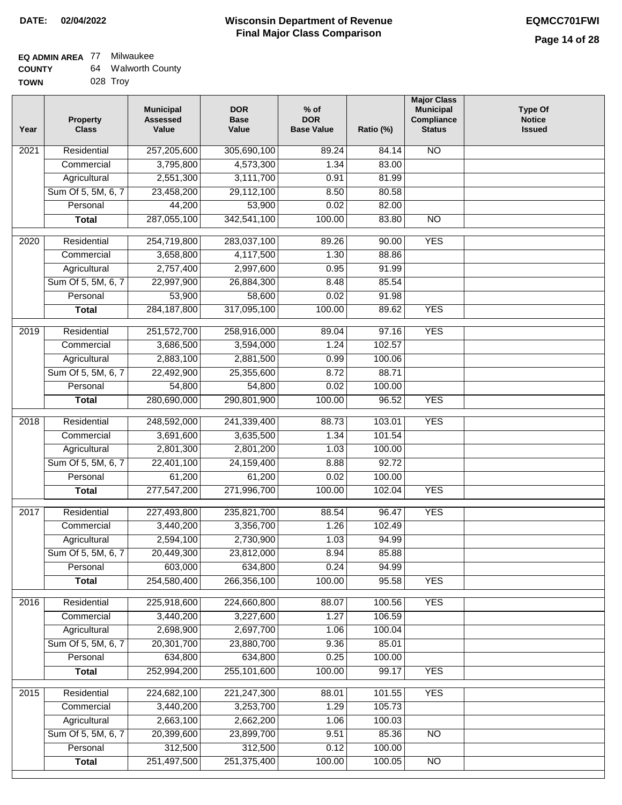#### **EQ ADMIN AREA** 77 Milwaukee **COUNTY** 64 Walworth County

| <b>TOWN</b> | 028 Troy |
|-------------|----------|

| Year              | <b>Property</b><br><b>Class</b> | <b>Municipal</b><br><b>Assessed</b><br>Value | <b>DOR</b><br><b>Base</b><br>Value | % of<br><b>DOR</b><br><b>Base Value</b> | Ratio (%)        | <b>Major Class</b><br><b>Municipal</b><br>Compliance<br><b>Status</b> | <b>Type Of</b><br><b>Notice</b><br><b>Issued</b> |
|-------------------|---------------------------------|----------------------------------------------|------------------------------------|-----------------------------------------|------------------|-----------------------------------------------------------------------|--------------------------------------------------|
| $\overline{202}1$ | Residential                     | 257,205,600                                  | 305,690,100                        | 89.24                                   | 84.14            | $\overline{NO}$                                                       |                                                  |
|                   | Commercial                      | 3,795,800                                    | 4,573,300                          | 1.34                                    | 83.00            |                                                                       |                                                  |
|                   | Agricultural                    | 2,551,300                                    | 3,111,700                          | 0.91                                    | 81.99            |                                                                       |                                                  |
|                   | Sum Of 5, 5M, 6, 7              | 23,458,200                                   | 29,112,100                         | 8.50                                    | 80.58            |                                                                       |                                                  |
|                   | Personal                        | 44,200                                       | 53,900                             | 0.02                                    | 82.00            |                                                                       |                                                  |
|                   | <b>Total</b>                    | 287,055,100                                  | 342,541,100                        | 100.00                                  | 83.80            | $\overline{NO}$                                                       |                                                  |
| $\overline{2020}$ | Residential                     | 254,719,800                                  | 283,037,100                        | 89.26                                   | 90.00            | <b>YES</b>                                                            |                                                  |
|                   | Commercial                      | 3,658,800                                    | 4,117,500                          | 1.30                                    | 88.86            |                                                                       |                                                  |
|                   | Agricultural                    | 2,757,400                                    | 2,997,600                          | 0.95                                    | 91.99            |                                                                       |                                                  |
|                   | Sum Of 5, 5M, 6, 7              | 22,997,900                                   | 26,884,300                         | 8.48                                    | 85.54            |                                                                       |                                                  |
|                   | Personal                        | 53,900                                       | 58,600                             | 0.02                                    | 91.98            |                                                                       |                                                  |
|                   | <b>Total</b>                    | 284, 187, 800                                | 317,095,100                        | 100.00                                  | 89.62            | <b>YES</b>                                                            |                                                  |
|                   |                                 |                                              |                                    |                                         |                  |                                                                       |                                                  |
| 2019              | Residential                     | 251,572,700                                  | 258,916,000                        | 89.04                                   | 97.16            | <b>YES</b>                                                            |                                                  |
|                   | Commercial                      | 3,686,500                                    | 3,594,000                          | 1.24                                    | 102.57           |                                                                       |                                                  |
|                   | Agricultural                    | 2,883,100                                    | 2,881,500                          | 0.99                                    | 100.06           |                                                                       |                                                  |
|                   | Sum Of 5, 5M, 6, 7              | 22,492,900                                   | 25,355,600                         | 8.72                                    | 88.71            |                                                                       |                                                  |
|                   | Personal                        | 54,800                                       | 54,800                             | 0.02                                    | 100.00           |                                                                       |                                                  |
|                   | <b>Total</b>                    | 280,690,000                                  | 290,801,900                        | 100.00                                  | 96.52            | <b>YES</b>                                                            |                                                  |
| 2018              | Residential                     | 248,592,000                                  | 241,339,400                        | 88.73                                   | 103.01           | <b>YES</b>                                                            |                                                  |
|                   | Commercial                      | 3,691,600                                    | 3,635,500                          | 1.34                                    | 101.54           |                                                                       |                                                  |
|                   | Agricultural                    | 2,801,300                                    | 2,801,200                          | 1.03                                    | 100.00           |                                                                       |                                                  |
|                   | Sum Of 5, 5M, 6, 7              | 22,401,100                                   | 24,159,400                         | 8.88                                    | 92.72            |                                                                       |                                                  |
|                   | Personal                        | 61,200                                       | 61,200                             | 0.02                                    | 100.00           |                                                                       |                                                  |
|                   | <b>Total</b>                    | 277,547,200                                  | 271,996,700                        | 100.00                                  | 102.04           | <b>YES</b>                                                            |                                                  |
| 2017              | Residential                     | 227,493,800                                  | 235,821,700                        | 88.54                                   | 96.47            | <b>YES</b>                                                            |                                                  |
|                   | Commercial                      | 3,440,200                                    | 3,356,700                          | 1.26                                    | 102.49           |                                                                       |                                                  |
|                   | Agricultural                    | 2,594,100                                    | 2,730,900                          | 1.03                                    | 94.99            |                                                                       |                                                  |
|                   | Sum Of 5, 5M, 6, 7              | 20,449,300                                   | 23,812,000                         | 8.94                                    | 85.88            |                                                                       |                                                  |
|                   | Personal                        | 603,000                                      | 634,800                            | 0.24                                    | 94.99            |                                                                       |                                                  |
|                   | <b>Total</b>                    | 254,580,400                                  | 266,356,100                        | 100.00                                  | 95.58            | <b>YES</b>                                                            |                                                  |
| 2016              | Residential                     | 225,918,600                                  | 224,660,800                        | 88.07                                   | 100.56           | <b>YES</b>                                                            |                                                  |
|                   | Commercial                      | 3,440,200                                    | 3,227,600                          | 1.27                                    | 106.59           |                                                                       |                                                  |
|                   | Agricultural                    | 2,698,900                                    | 2,697,700                          | 1.06                                    | 100.04           |                                                                       |                                                  |
|                   | Sum Of 5, 5M, 6, 7              | 20,301,700                                   | 23,880,700                         | 9.36                                    | 85.01            |                                                                       |                                                  |
|                   | Personal                        | 634,800                                      | 634,800                            | 0.25                                    | 100.00           |                                                                       |                                                  |
|                   | <b>Total</b>                    | 252,994,200                                  | 255,101,600                        | 100.00                                  | 99.17            | <b>YES</b>                                                            |                                                  |
|                   |                                 |                                              |                                    |                                         |                  |                                                                       |                                                  |
| 2015              | Residential                     | 224,682,100                                  | 221, 247, 300                      | 88.01                                   | 101.55           | <b>YES</b>                                                            |                                                  |
|                   | Commercial<br>Agricultural      | 3,440,200<br>2,663,100                       | 3,253,700<br>2,662,200             | 1.29<br>1.06                            | 105.73<br>100.03 |                                                                       |                                                  |
|                   | Sum Of 5, 5M, 6, 7              | 20,399,600                                   | 23,899,700                         | 9.51                                    | 85.36            | $\overline{NO}$                                                       |                                                  |
|                   | Personal                        | 312,500                                      | 312,500                            | 0.12                                    | 100.00           |                                                                       |                                                  |
|                   | <b>Total</b>                    | 251,497,500                                  | 251,375,400                        | 100.00                                  | 100.05           | N <sub>O</sub>                                                        |                                                  |
|                   |                                 |                                              |                                    |                                         |                  |                                                                       |                                                  |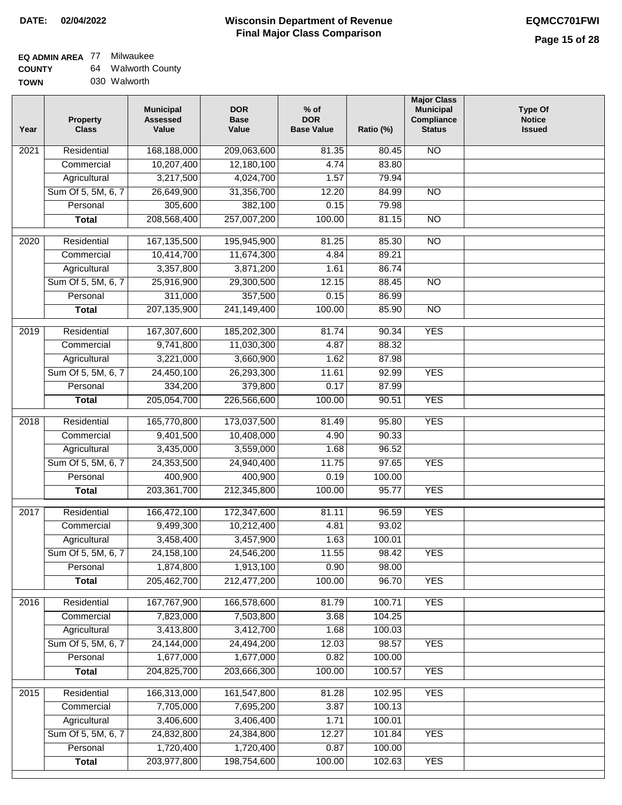#### **Wisconsin Department of Revenue Final Major Class Comparison DATE: 02/04/2022 EQMCC701FWI**

┓

### **EQ ADMIN AREA** 77 Milwaukee **COUNTY**

| <b>COUNTY</b> | 64 | <b>Walworth County</b> |
|---------------|----|------------------------|
| <b>TOWN</b>   |    | 030 Walworth           |

| Year              | <b>Property</b><br><b>Class</b> | <b>Municipal</b><br><b>Assessed</b><br>Value | <b>DOR</b><br><b>Base</b><br>Value | $%$ of<br><b>DOR</b><br><b>Base Value</b> | Ratio (%) | <b>Major Class</b><br><b>Municipal</b><br>Compliance<br><b>Status</b> | <b>Type Of</b><br><b>Notice</b><br><b>Issued</b> |
|-------------------|---------------------------------|----------------------------------------------|------------------------------------|-------------------------------------------|-----------|-----------------------------------------------------------------------|--------------------------------------------------|
| 2021              | Residential                     | 168,188,000                                  | 209,063,600                        | 81.35                                     | 80.45     | <b>NO</b>                                                             |                                                  |
|                   | Commercial                      | 10,207,400                                   | 12,180,100                         | 4.74                                      | 83.80     |                                                                       |                                                  |
|                   | Agricultural                    | 3,217,500                                    | 4,024,700                          | 1.57                                      | 79.94     |                                                                       |                                                  |
|                   | Sum Of 5, 5M, 6, 7              | 26,649,900                                   | 31,356,700                         | 12.20                                     | 84.99     | $\overline{NO}$                                                       |                                                  |
|                   | Personal                        | 305,600                                      | 382,100                            | 0.15                                      | 79.98     |                                                                       |                                                  |
|                   | <b>Total</b>                    | 208,568,400                                  | 257,007,200                        | 100.00                                    | 81.15     | $\overline{NO}$                                                       |                                                  |
| $\overline{2020}$ | Residential                     | 167, 135, 500                                | 195,945,900                        | 81.25                                     | 85.30     | $\overline{10}$                                                       |                                                  |
|                   | Commercial                      | 10,414,700                                   | 11,674,300                         | 4.84                                      | 89.21     |                                                                       |                                                  |
|                   | Agricultural                    | 3,357,800                                    | 3,871,200                          | 1.61                                      | 86.74     |                                                                       |                                                  |
|                   | Sum Of 5, 5M, 6, 7              | 25,916,900                                   | 29,300,500                         | 12.15                                     | 88.45     | $\overline{NO}$                                                       |                                                  |
|                   | Personal                        | 311,000                                      | 357,500                            | 0.15                                      | 86.99     |                                                                       |                                                  |
|                   | <b>Total</b>                    | 207,135,900                                  | 241,149,400                        | 100.00                                    | 85.90     | <b>NO</b>                                                             |                                                  |
|                   |                                 |                                              |                                    |                                           |           |                                                                       |                                                  |
| $\frac{1}{2019}$  | Residential                     | 167,307,600                                  | 185,202,300                        | 81.74                                     | 90.34     | <b>YES</b>                                                            |                                                  |
|                   | Commercial                      | 9,741,800                                    | 11,030,300                         | 4.87                                      | 88.32     |                                                                       |                                                  |
|                   | Agricultural                    | 3,221,000                                    | 3,660,900                          | 1.62                                      | 87.98     |                                                                       |                                                  |
|                   | Sum Of 5, 5M, 6, 7              | 24,450,100                                   | 26,293,300                         | 11.61                                     | 92.99     | <b>YES</b>                                                            |                                                  |
|                   | Personal                        | 334,200                                      | 379,800                            | 0.17                                      | 87.99     |                                                                       |                                                  |
|                   | <b>Total</b>                    | 205,054,700                                  | 226,566,600                        | 100.00                                    | 90.51     | <b>YES</b>                                                            |                                                  |
| 2018              | Residential                     | 165,770,800                                  | 173,037,500                        | 81.49                                     | 95.80     | <b>YES</b>                                                            |                                                  |
|                   | Commercial                      | 9,401,500                                    | 10,408,000                         | 4.90                                      | 90.33     |                                                                       |                                                  |
|                   | Agricultural                    | 3,435,000                                    | 3,559,000                          | 1.68                                      | 96.52     |                                                                       |                                                  |
|                   | Sum Of 5, 5M, 6, 7              | 24,353,500                                   | 24,940,400                         | 11.75                                     | 97.65     | <b>YES</b>                                                            |                                                  |
|                   | Personal                        | 400,900                                      | 400,900                            | 0.19                                      | 100.00    |                                                                       |                                                  |
|                   | <b>Total</b>                    | 203,361,700                                  | 212,345,800                        | 100.00                                    | 95.77     | <b>YES</b>                                                            |                                                  |
| 2017              | Residential                     | 166,472,100                                  | 172,347,600                        | 81.11                                     | 96.59     | <b>YES</b>                                                            |                                                  |
|                   | Commercial                      | 9,499,300                                    | 10,212,400                         | 4.81                                      | 93.02     |                                                                       |                                                  |
|                   | Agricultural                    | 3,458,400                                    | 3,457,900                          | 1.63                                      | 100.01    |                                                                       |                                                  |
|                   | Sum Of 5, 5M, 6, 7              | 24, 158, 100                                 | 24,546,200                         | 11.55                                     | 98.42     | <b>YES</b>                                                            |                                                  |
|                   | Personal                        | 1,874,800                                    | 1,913,100                          | 0.90                                      | 98.00     |                                                                       |                                                  |
|                   | <b>Total</b>                    | 205,462,700                                  | 212,477,200                        | 100.00                                    | 96.70     | <b>YES</b>                                                            |                                                  |
| 2016              | Residential                     | 167,767,900                                  | 166,578,600                        | 81.79                                     | 100.71    | <b>YES</b>                                                            |                                                  |
|                   | Commercial                      | 7,823,000                                    | 7,503,800                          | 3.68                                      | 104.25    |                                                                       |                                                  |
|                   | Agricultural                    | 3,413,800                                    | 3,412,700                          | 1.68                                      | 100.03    |                                                                       |                                                  |
|                   | Sum Of 5, 5M, 6, 7              | 24,144,000                                   | 24,494,200                         | 12.03                                     | 98.57     | <b>YES</b>                                                            |                                                  |
|                   | Personal                        | 1,677,000                                    | 1,677,000                          | 0.82                                      | 100.00    |                                                                       |                                                  |
|                   | <b>Total</b>                    | 204,825,700                                  | 203,666,300                        | 100.00                                    | 100.57    | <b>YES</b>                                                            |                                                  |
| 2015              | Residential                     | 166,313,000                                  | 161,547,800                        | 81.28                                     | 102.95    | <b>YES</b>                                                            |                                                  |
|                   | Commercial                      | 7,705,000                                    | 7,695,200                          | 3.87                                      | 100.13    |                                                                       |                                                  |
|                   | Agricultural                    | 3,406,600                                    | 3,406,400                          | 1.71                                      | 100.01    |                                                                       |                                                  |
|                   | Sum Of 5, 5M, 6, 7              | 24,832,800                                   | 24,384,800                         | 12.27                                     | 101.84    | <b>YES</b>                                                            |                                                  |
|                   | Personal                        | 1,720,400                                    | 1,720,400                          | 0.87                                      | 100.00    |                                                                       |                                                  |
|                   | <b>Total</b>                    | 203,977,800                                  | 198,754,600                        | 100.00                                    | 102.63    | <b>YES</b>                                                            |                                                  |
|                   |                                 |                                              |                                    |                                           |           |                                                                       |                                                  |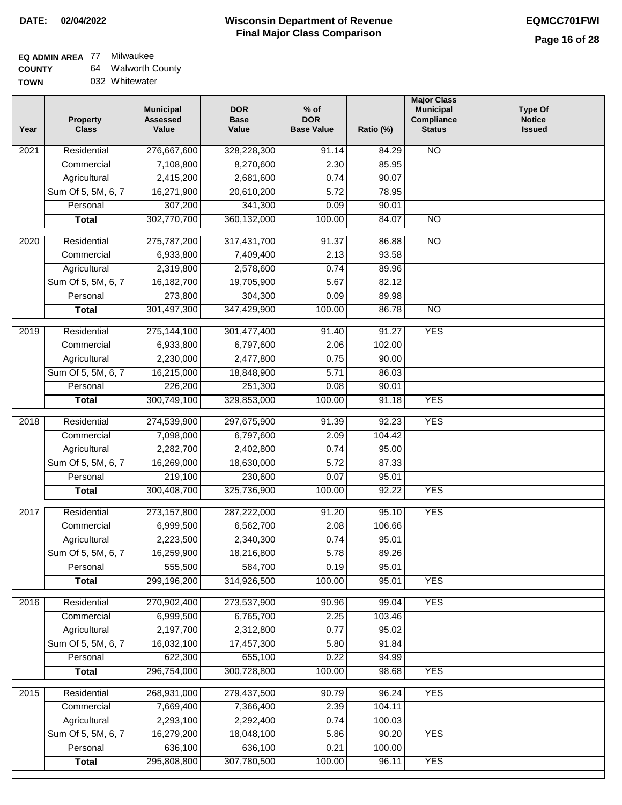#### **Wisconsin Department of Revenue Final Major Class Comparison DATE: 02/04/2022 EQMCC701FWI**

#### **EQ ADMIN AREA** 77 Milwaukee **COUNTY** 64 Walworth County

| <b>0000000</b> | . . |                |
|----------------|-----|----------------|
| <b>TOWN</b>    |     | 032 Whitewater |

| Year              | <b>Property</b><br><b>Class</b> | <b>Municipal</b><br><b>Assessed</b><br>Value | <b>DOR</b><br><b>Base</b><br>Value | $%$ of<br><b>DOR</b><br><b>Base Value</b> | Ratio (%)       | <b>Major Class</b><br><b>Municipal</b><br>Compliance<br><b>Status</b> | <b>Type Of</b><br><b>Notice</b><br><b>Issued</b> |
|-------------------|---------------------------------|----------------------------------------------|------------------------------------|-------------------------------------------|-----------------|-----------------------------------------------------------------------|--------------------------------------------------|
| 2021              | Residential                     | 276,667,600                                  | 328,228,300                        | 91.14                                     | 84.29           | <b>NO</b>                                                             |                                                  |
|                   | Commercial                      | 7,108,800                                    | 8,270,600                          | 2.30                                      | 85.95           |                                                                       |                                                  |
|                   | Agricultural                    | 2,415,200                                    | 2,681,600                          | 0.74                                      | 90.07           |                                                                       |                                                  |
|                   | Sum Of 5, 5M, 6, 7              | 16,271,900                                   | 20,610,200                         | 5.72                                      | 78.95           |                                                                       |                                                  |
|                   | Personal                        | 307,200                                      | 341,300                            | 0.09                                      | 90.01           |                                                                       |                                                  |
|                   | <b>Total</b>                    | 302,770,700                                  | 360,132,000                        | 100.00                                    | 84.07           | $\overline{NO}$                                                       |                                                  |
| $\overline{2020}$ | Residential                     | 275,787,200                                  | 317,431,700                        | 91.37                                     | 86.88           | $\overline{10}$                                                       |                                                  |
|                   | Commercial                      | 6,933,800                                    | 7,409,400                          | 2.13                                      | 93.58           |                                                                       |                                                  |
|                   | Agricultural                    | 2,319,800                                    | 2,578,600                          | 0.74                                      | 89.96           |                                                                       |                                                  |
|                   | Sum Of 5, 5M, 6, 7              | 16,182,700                                   | 19,705,900                         | 5.67                                      | 82.12           |                                                                       |                                                  |
|                   | Personal                        | 273,800                                      | 304,300                            | 0.09                                      | 89.98           |                                                                       |                                                  |
|                   | <b>Total</b>                    | 301,497,300                                  | 347,429,900                        | 100.00                                    | 86.78           | <b>NO</b>                                                             |                                                  |
| 2019              | Residential                     | 275,144,100                                  | 301,477,400                        | 91.40                                     | 91.27           | <b>YES</b>                                                            |                                                  |
|                   | Commercial                      | 6,933,800                                    | 6,797,600                          | 2.06                                      | 102.00          |                                                                       |                                                  |
|                   | Agricultural                    | 2,230,000                                    | 2,477,800                          | 0.75                                      | 90.00           |                                                                       |                                                  |
|                   | Sum Of 5, 5M, 6, 7              | 16,215,000                                   | 18,848,900                         | 5.71                                      | 86.03           |                                                                       |                                                  |
|                   | Personal                        | 226,200                                      | 251,300                            | 0.08                                      | 90.01           |                                                                       |                                                  |
|                   |                                 | 300,749,100                                  | 329,853,000                        | 100.00                                    | 91.18           | <b>YES</b>                                                            |                                                  |
|                   | <b>Total</b>                    |                                              |                                    |                                           |                 |                                                                       |                                                  |
| 2018              | Residential                     | 274,539,900                                  | 297,675,900                        | 91.39                                     | 92.23           | <b>YES</b>                                                            |                                                  |
|                   | Commercial                      | 7,098,000                                    | 6,797,600                          | 2.09                                      | 104.42          |                                                                       |                                                  |
|                   | Agricultural                    | 2,282,700                                    | 2,402,800                          | 0.74                                      | 95.00           |                                                                       |                                                  |
|                   | Sum Of 5, 5M, 6, 7              | 16,269,000                                   | 18,630,000                         | 5.72                                      | 87.33           |                                                                       |                                                  |
|                   | Personal                        | 219,100                                      | 230,600                            | 0.07                                      | 95.01           |                                                                       |                                                  |
|                   | <b>Total</b>                    | 300,408,700                                  | 325,736,900                        | 100.00                                    | 92.22           | <b>YES</b>                                                            |                                                  |
| 2017              | Residential                     | 273, 157, 800                                | 287,222,000                        | 91.20                                     | 95.10           | <b>YES</b>                                                            |                                                  |
|                   | Commercial                      | 6,999,500                                    | 6,562,700                          | 2.08                                      | 106.66          |                                                                       |                                                  |
|                   | Agricultural                    | 2,223,500                                    | 2,340,300                          | 0.74                                      | 95.01           |                                                                       |                                                  |
|                   | Sum Of 5, 5M, 6, 7              | 16,259,900                                   | 18,216,800                         | 5.78                                      | 89.26           |                                                                       |                                                  |
|                   | Personal                        | 555,500                                      | 584,700                            | 0.19                                      | 95.01           |                                                                       |                                                  |
|                   | <b>Total</b>                    | 299,196,200                                  | 314,926,500                        | 100.00                                    | 95.01           | <b>YES</b>                                                            |                                                  |
| 2016              | Residential                     | 270,902,400                                  | 273,537,900                        | 90.96                                     | 99.04           | <b>YES</b>                                                            |                                                  |
|                   | Commercial                      | 6,999,500                                    | 6,765,700                          | 2.25                                      | 103.46          |                                                                       |                                                  |
|                   | Agricultural                    | 2,197,700                                    | 2,312,800                          | 0.77                                      | 95.02           |                                                                       |                                                  |
|                   | Sum Of 5, 5M, 6, 7              | 16,032,100                                   | 17,457,300                         | 5.80                                      | 91.84           |                                                                       |                                                  |
|                   | Personal                        | 622,300                                      | 655,100                            | 0.22                                      | 94.99           |                                                                       |                                                  |
|                   | <b>Total</b>                    | 296,754,000                                  | 300,728,800                        | 100.00                                    | 98.68           | <b>YES</b>                                                            |                                                  |
|                   |                                 |                                              |                                    |                                           |                 |                                                                       |                                                  |
| 2015              | Residential                     | 268,931,000                                  | 279,437,500                        | 90.79                                     | 96.24           | <b>YES</b>                                                            |                                                  |
|                   | Commercial                      | 7,669,400                                    | 7,366,400                          | 2.39                                      | 104.11          |                                                                       |                                                  |
|                   | Agricultural                    | 2,293,100                                    | 2,292,400                          | 0.74                                      | 100.03          |                                                                       |                                                  |
|                   | Sum Of 5, 5M, 6, 7              | 16,279,200<br>636,100                        | 18,048,100<br>636,100              | 5.86                                      | 90.20           | <b>YES</b>                                                            |                                                  |
|                   | Personal                        | 295,808,800                                  | 307,780,500                        | 0.21<br>100.00                            | 100.00<br>96.11 | <b>YES</b>                                                            |                                                  |
|                   | <b>Total</b>                    |                                              |                                    |                                           |                 |                                                                       |                                                  |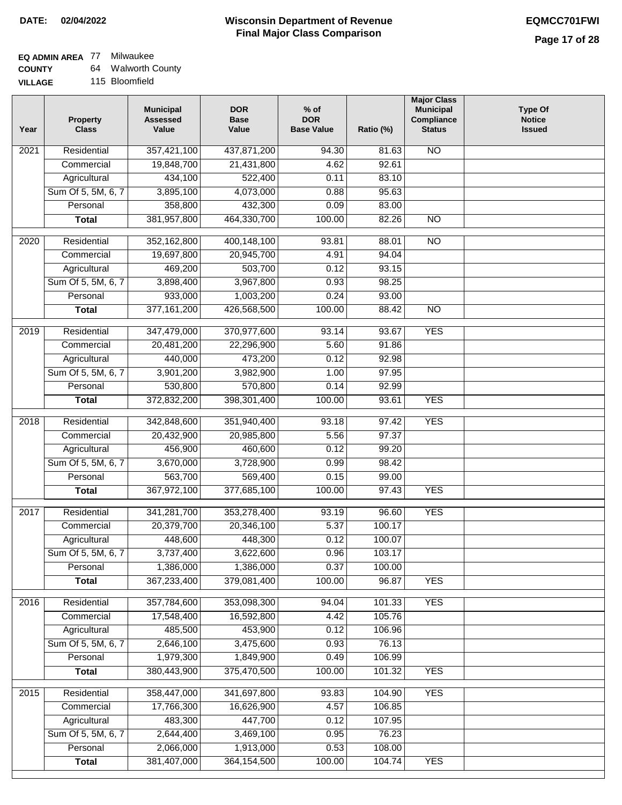# **EQ ADMIN AREA** 77 Milwaukee

**COUNTY VILLAGE** 64 Walworth County

115 Bloomfield

| Year              | <b>Property</b><br><b>Class</b> | <b>Municipal</b><br><b>Assessed</b><br>Value | <b>DOR</b><br><b>Base</b><br>Value | % of<br><b>DOR</b><br><b>Base Value</b> | Ratio (%) | <b>Major Class</b><br><b>Municipal</b><br>Compliance<br><b>Status</b> | <b>Type Of</b><br><b>Notice</b><br><b>Issued</b> |
|-------------------|---------------------------------|----------------------------------------------|------------------------------------|-----------------------------------------|-----------|-----------------------------------------------------------------------|--------------------------------------------------|
| $\overline{202}1$ | Residential                     | 357,421,100                                  | 437,871,200                        | 94.30                                   | 81.63     | $\overline{NO}$                                                       |                                                  |
|                   | Commercial                      | 19,848,700                                   | 21,431,800                         | 4.62                                    | 92.61     |                                                                       |                                                  |
|                   | Agricultural                    | 434,100                                      | 522,400                            | 0.11                                    | 83.10     |                                                                       |                                                  |
|                   | Sum Of 5, 5M, 6, 7              | 3,895,100                                    | 4,073,000                          | 0.88                                    | 95.63     |                                                                       |                                                  |
|                   | Personal                        | 358,800                                      | 432,300                            | 0.09                                    | 83.00     |                                                                       |                                                  |
|                   | <b>Total</b>                    | 381,957,800                                  | 464,330,700                        | 100.00                                  | 82.26     | $\overline{NO}$                                                       |                                                  |
| $\overline{2020}$ | Residential                     | 352,162,800                                  | 400,148,100                        | 93.81                                   | 88.01     | $\overline{NO}$                                                       |                                                  |
|                   | Commercial                      | 19,697,800                                   | 20,945,700                         | 4.91                                    | 94.04     |                                                                       |                                                  |
|                   | Agricultural                    | 469,200                                      | 503,700                            | 0.12                                    | 93.15     |                                                                       |                                                  |
|                   | Sum Of 5, 5M, 6, 7              | 3,898,400                                    | 3,967,800                          | 0.93                                    | 98.25     |                                                                       |                                                  |
|                   | Personal                        | 933,000                                      | 1,003,200                          | 0.24                                    | 93.00     |                                                                       |                                                  |
|                   | <b>Total</b>                    | 377, 161, 200                                | 426,568,500                        | 100.00                                  | 88.42     | $\overline{NO}$                                                       |                                                  |
|                   |                                 |                                              |                                    |                                         |           |                                                                       |                                                  |
| 2019              | Residential                     | 347,479,000                                  | 370,977,600                        | 93.14                                   | 93.67     | <b>YES</b>                                                            |                                                  |
|                   | Commercial                      | 20,481,200                                   | 22,296,900                         | 5.60                                    | 91.86     |                                                                       |                                                  |
|                   | Agricultural                    | 440,000                                      | 473,200                            | 0.12                                    | 92.98     |                                                                       |                                                  |
|                   | Sum Of 5, 5M, 6, 7              | 3,901,200                                    | 3,982,900                          | 1.00                                    | 97.95     |                                                                       |                                                  |
|                   | Personal                        | 530,800                                      | 570,800                            | 0.14                                    | 92.99     |                                                                       |                                                  |
|                   | <b>Total</b>                    | 372,832,200                                  | 398,301,400                        | 100.00                                  | 93.61     | <b>YES</b>                                                            |                                                  |
| 2018              | Residential                     | 342,848,600                                  | 351,940,400                        | 93.18                                   | 97.42     | <b>YES</b>                                                            |                                                  |
|                   | Commercial                      | 20,432,900                                   | 20,985,800                         | 5.56                                    | 97.37     |                                                                       |                                                  |
|                   | Agricultural                    | 456,900                                      | 460,600                            | 0.12                                    | 99.20     |                                                                       |                                                  |
|                   | Sum Of 5, 5M, 6, 7              | 3,670,000                                    | 3,728,900                          | 0.99                                    | 98.42     |                                                                       |                                                  |
|                   | Personal                        | 563,700                                      | 569,400                            | 0.15                                    | 99.00     |                                                                       |                                                  |
|                   | <b>Total</b>                    | 367,972,100                                  | 377,685,100                        | 100.00                                  | 97.43     | <b>YES</b>                                                            |                                                  |
| 2017              | Residential                     | 341,281,700                                  | 353,278,400                        | 93.19                                   | 96.60     | <b>YES</b>                                                            |                                                  |
|                   | Commercial                      | 20,379,700                                   | 20,346,100                         | 5.37                                    | 100.17    |                                                                       |                                                  |
|                   | Agricultural                    | 448,600                                      | 448,300                            | 0.12                                    | 100.07    |                                                                       |                                                  |
|                   | Sum Of 5, 5M, 6, 7              | 3,737,400                                    | 3,622,600                          | 0.96                                    | 103.17    |                                                                       |                                                  |
|                   | Personal                        | 1,386,000                                    | 1,386,000                          | 0.37                                    | 100.00    |                                                                       |                                                  |
|                   | <b>Total</b>                    | 367,233,400                                  | 379,081,400                        | 100.00                                  | 96.87     | <b>YES</b>                                                            |                                                  |
| 2016              | Residential                     | 357,784,600                                  | 353,098,300                        | 94.04                                   | 101.33    | <b>YES</b>                                                            |                                                  |
|                   | Commercial                      | 17,548,400                                   | 16,592,800                         | 4.42                                    | 105.76    |                                                                       |                                                  |
|                   | Agricultural                    | 485,500                                      | 453,900                            | 0.12                                    | 106.96    |                                                                       |                                                  |
|                   | Sum Of 5, 5M, 6, 7              | 2,646,100                                    | 3,475,600                          | 0.93                                    | 76.13     |                                                                       |                                                  |
|                   | Personal                        | 1,979,300                                    | 1,849,900                          | 0.49                                    | 106.99    |                                                                       |                                                  |
|                   | <b>Total</b>                    | 380,443,900                                  | 375,470,500                        | 100.00                                  | 101.32    | <b>YES</b>                                                            |                                                  |
| 2015              | Residential                     | 358,447,000                                  | 341,697,800                        | 93.83                                   | 104.90    | <b>YES</b>                                                            |                                                  |
|                   | Commercial                      | 17,766,300                                   | 16,626,900                         | 4.57                                    | 106.85    |                                                                       |                                                  |
|                   | Agricultural                    | 483,300                                      | 447,700                            | 0.12                                    | 107.95    |                                                                       |                                                  |
|                   | Sum Of 5, 5M, 6, 7              | 2,644,400                                    | 3,469,100                          | 0.95                                    | 76.23     |                                                                       |                                                  |
|                   | Personal                        | 2,066,000                                    | 1,913,000                          | 0.53                                    | 108.00    |                                                                       |                                                  |
|                   | <b>Total</b>                    | 381,407,000                                  | 364, 154, 500                      | 100.00                                  | 104.74    | <b>YES</b>                                                            |                                                  |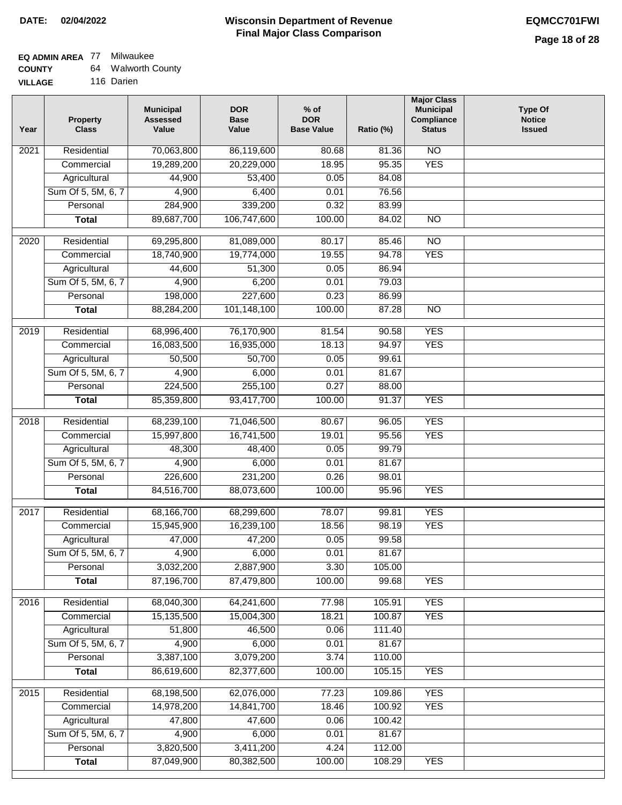#### **EQ ADMIN AREA** 77 Milwaukee **COUNTY**  $64$

| <b>COUNTY</b> | 64 Walworth County |
|---------------|--------------------|
|               |                    |

**VILLAGE** 116 Darien

| Year | <b>Property</b><br><b>Class</b> | <b>Municipal</b><br><b>Assessed</b><br>Value | <b>DOR</b><br><b>Base</b><br>Value | $%$ of<br><b>DOR</b><br><b>Base Value</b> | Ratio (%) | <b>Major Class</b><br><b>Municipal</b><br>Compliance<br><b>Status</b> | <b>Type Of</b><br><b>Notice</b><br><b>Issued</b> |
|------|---------------------------------|----------------------------------------------|------------------------------------|-------------------------------------------|-----------|-----------------------------------------------------------------------|--------------------------------------------------|
| 2021 | Residential                     | 70,063,800                                   | 86,119,600                         | 80.68                                     | 81.36     | N <sub>O</sub>                                                        |                                                  |
|      | Commercial                      | 19,289,200                                   | 20,229,000                         | 18.95                                     | 95.35     | <b>YES</b>                                                            |                                                  |
|      | Agricultural                    | 44,900                                       | 53,400                             | 0.05                                      | 84.08     |                                                                       |                                                  |
|      | Sum Of 5, 5M, 6, 7              | 4,900                                        | 6,400                              | 0.01                                      | 76.56     |                                                                       |                                                  |
|      | Personal                        | 284,900                                      | 339,200                            | 0.32                                      | 83.99     |                                                                       |                                                  |
|      | <b>Total</b>                    | 89,687,700                                   | 106,747,600                        | 100.00                                    | 84.02     | $\overline{NO}$                                                       |                                                  |
| 2020 | Residential                     | 69,295,800                                   | 81,089,000                         | 80.17                                     | 85.46     | $\overline{NO}$                                                       |                                                  |
|      | Commercial                      | 18,740,900                                   | 19,774,000                         | 19.55                                     | 94.78     | <b>YES</b>                                                            |                                                  |
|      | Agricultural                    | 44,600                                       | 51,300                             | 0.05                                      | 86.94     |                                                                       |                                                  |
|      | Sum Of 5, 5M, 6, 7              | 4,900                                        | 6,200                              | 0.01                                      | 79.03     |                                                                       |                                                  |
|      | Personal                        | 198,000                                      | 227,600                            | 0.23                                      | 86.99     |                                                                       |                                                  |
|      | <b>Total</b>                    | 88,284,200                                   | 101,148,100                        | 100.00                                    | 87.28     | $\overline{NO}$                                                       |                                                  |
| 2019 | Residential                     | 68,996,400                                   | 76,170,900                         | 81.54                                     | 90.58     | <b>YES</b>                                                            |                                                  |
|      | Commercial                      | 16,083,500                                   | 16,935,000                         | 18.13                                     | 94.97     | <b>YES</b>                                                            |                                                  |
|      | Agricultural                    | 50,500                                       | 50,700                             | 0.05                                      | 99.61     |                                                                       |                                                  |
|      | Sum Of 5, 5M, 6, 7              | 4,900                                        | 6,000                              | 0.01                                      | 81.67     |                                                                       |                                                  |
|      | Personal                        | 224,500                                      | 255,100                            | 0.27                                      | 88.00     |                                                                       |                                                  |
|      | <b>Total</b>                    | 85,359,800                                   | 93,417,700                         | 100.00                                    | 91.37     | <b>YES</b>                                                            |                                                  |
| 2018 | Residential                     | 68,239,100                                   | 71,046,500                         | 80.67                                     | 96.05     | <b>YES</b>                                                            |                                                  |
|      | Commercial                      | 15,997,800                                   | 16,741,500                         | 19.01                                     | 95.56     | <b>YES</b>                                                            |                                                  |
|      | Agricultural                    | 48,300                                       | 48,400                             | 0.05                                      | 99.79     |                                                                       |                                                  |
|      | Sum Of 5, 5M, 6, 7              | 4,900                                        | 6,000                              | 0.01                                      | 81.67     |                                                                       |                                                  |
|      | Personal                        | 226,600                                      | 231,200                            | 0.26                                      | 98.01     |                                                                       |                                                  |
|      | <b>Total</b>                    | 84,516,700                                   | 88,073,600                         | 100.00                                    | 95.96     | <b>YES</b>                                                            |                                                  |
| 2017 | Residential                     | 68,166,700                                   | 68,299,600                         | 78.07                                     | 99.81     | <b>YES</b>                                                            |                                                  |
|      | Commercial                      | 15,945,900                                   | 16,239,100                         | 18.56                                     | 98.19     | <b>YES</b>                                                            |                                                  |
|      | Agricultural                    | 47,000                                       | 47,200                             | 0.05                                      | 99.58     |                                                                       |                                                  |
|      | Sum Of 5, 5M, 6, 7              | 4,900                                        | 6,000                              | 0.01                                      | 81.67     |                                                                       |                                                  |
|      | Personal                        | 3,032,200                                    | 2,887,900                          | 3.30                                      | 105.00    |                                                                       |                                                  |
|      | <b>Total</b>                    | 87,196,700                                   | 87,479,800                         | 100.00                                    | 99.68     | <b>YES</b>                                                            |                                                  |
| 2016 | Residential                     | 68,040,300                                   | 64,241,600                         | 77.98                                     | 105.91    | <b>YES</b>                                                            |                                                  |
|      | Commercial                      | 15,135,500                                   | 15,004,300                         | 18.21                                     | 100.87    | <b>YES</b>                                                            |                                                  |
|      | Agricultural                    | 51,800                                       | 46,500                             | 0.06                                      | 111.40    |                                                                       |                                                  |
|      | Sum Of 5, 5M, 6, 7              | 4,900                                        | 6,000                              | 0.01                                      | 81.67     |                                                                       |                                                  |
|      | Personal                        | 3,387,100                                    | 3,079,200                          | 3.74                                      | 110.00    |                                                                       |                                                  |
|      | <b>Total</b>                    | 86,619,600                                   | 82,377,600                         | 100.00                                    | 105.15    | <b>YES</b>                                                            |                                                  |
| 2015 | Residential                     | 68,198,500                                   | 62,076,000                         | 77.23                                     | 109.86    | <b>YES</b>                                                            |                                                  |
|      | Commercial                      | 14,978,200                                   | 14,841,700                         | 18.46                                     | 100.92    | <b>YES</b>                                                            |                                                  |
|      | Agricultural                    | 47,800                                       | 47,600                             | 0.06                                      | 100.42    |                                                                       |                                                  |
|      | Sum Of 5, 5M, 6, 7              | 4,900                                        | 6,000                              | 0.01                                      | 81.67     |                                                                       |                                                  |
|      | Personal                        | 3,820,500                                    | 3,411,200                          | 4.24                                      | 112.00    |                                                                       |                                                  |
|      | <b>Total</b>                    | 87,049,900                                   | 80,382,500                         | 100.00                                    | 108.29    | <b>YES</b>                                                            |                                                  |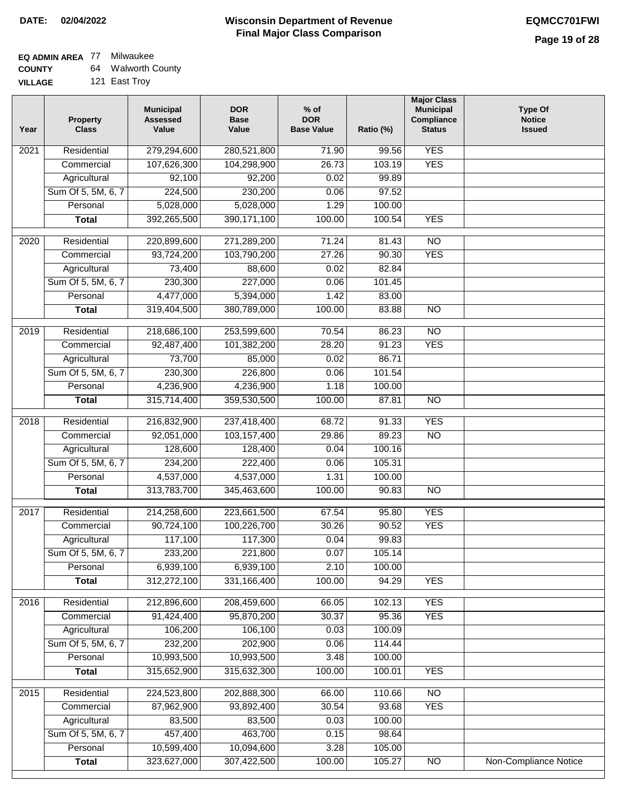# **EQ ADMIN AREA** 77 Milwaukee

**COUNTY VILLAGE** 64 Walworth County 121 East Troy

| Year              | <b>Property</b><br><b>Class</b> | <b>Municipal</b><br><b>Assessed</b><br>Value | <b>DOR</b><br><b>Base</b><br>Value | $%$ of<br><b>DOR</b><br><b>Base Value</b> | Ratio (%) | <b>Major Class</b><br><b>Municipal</b><br>Compliance<br><b>Status</b> | <b>Type Of</b><br><b>Notice</b><br><b>Issued</b> |
|-------------------|---------------------------------|----------------------------------------------|------------------------------------|-------------------------------------------|-----------|-----------------------------------------------------------------------|--------------------------------------------------|
| 2021              | Residential                     | 279,294,600                                  | 280,521,800                        | 71.90                                     | 99.56     | <b>YES</b>                                                            |                                                  |
|                   | Commercial                      | 107,626,300                                  | 104,298,900                        | 26.73                                     | 103.19    | <b>YES</b>                                                            |                                                  |
|                   | Agricultural                    | 92,100                                       | 92,200                             | 0.02                                      | 99.89     |                                                                       |                                                  |
|                   | Sum Of 5, 5M, 6, 7              | 224,500                                      | 230,200                            | 0.06                                      | 97.52     |                                                                       |                                                  |
|                   | Personal                        | 5,028,000                                    | 5,028,000                          | 1.29                                      | 100.00    |                                                                       |                                                  |
|                   | <b>Total</b>                    | 392,265,500                                  | 390, 171, 100                      | 100.00                                    | 100.54    | <b>YES</b>                                                            |                                                  |
| $\overline{2020}$ | Residential                     | 220,899,600                                  | 271,289,200                        | 71.24                                     | 81.43     | $\overline{NO}$                                                       |                                                  |
|                   | Commercial                      | 93,724,200                                   | 103,790,200                        | 27.26                                     | 90.30     | <b>YES</b>                                                            |                                                  |
|                   | Agricultural                    | 73,400                                       | 88,600                             | 0.02                                      | 82.84     |                                                                       |                                                  |
|                   | Sum Of 5, 5M, 6, 7              | 230,300                                      | 227,000                            | 0.06                                      | 101.45    |                                                                       |                                                  |
|                   | Personal                        | 4,477,000                                    | 5,394,000                          | 1.42                                      | 83.00     |                                                                       |                                                  |
|                   | <b>Total</b>                    | 319,404,500                                  | 380,789,000                        | 100.00                                    | 83.88     | $\overline{NO}$                                                       |                                                  |
|                   |                                 |                                              |                                    |                                           |           |                                                                       |                                                  |
| 2019              | Residential                     | 218,686,100                                  | 253,599,600                        | 70.54                                     | 86.23     | $\overline{NO}$                                                       |                                                  |
|                   | Commercial                      | 92,487,400                                   | 101,382,200                        | 28.20                                     | 91.23     | <b>YES</b>                                                            |                                                  |
|                   | Agricultural                    | 73,700                                       | 85,000                             | 0.02                                      | 86.71     |                                                                       |                                                  |
|                   | Sum Of 5, 5M, 6, 7              | 230,300                                      | 226,800                            | 0.06                                      | 101.54    |                                                                       |                                                  |
|                   | Personal                        | 4,236,900                                    | 4,236,900                          | 1.18                                      | 100.00    |                                                                       |                                                  |
|                   | <b>Total</b>                    | 315,714,400                                  | 359,530,500                        | 100.00                                    | 87.81     | $\overline{NO}$                                                       |                                                  |
| 2018              | Residential                     | 216,832,900                                  | 237,418,400                        | 68.72                                     | 91.33     | <b>YES</b>                                                            |                                                  |
|                   | Commercial                      | 92,051,000                                   | 103,157,400                        | 29.86                                     | 89.23     | $\overline{3}$                                                        |                                                  |
|                   | Agricultural                    | 128,600                                      | 128,400                            | 0.04                                      | 100.16    |                                                                       |                                                  |
|                   | Sum Of 5, 5M, 6, 7              | 234,200                                      | 222,400                            | 0.06                                      | 105.31    |                                                                       |                                                  |
|                   | Personal                        | 4,537,000                                    | 4,537,000                          | 1.31                                      | 100.00    |                                                                       |                                                  |
|                   | <b>Total</b>                    | 313,783,700                                  | 345,463,600                        | 100.00                                    | 90.83     | $\overline{10}$                                                       |                                                  |
|                   |                                 |                                              |                                    |                                           |           |                                                                       |                                                  |
| 2017              | Residential                     | 214,258,600                                  | 223,661,500                        | 67.54                                     | 95.80     | <b>YES</b>                                                            |                                                  |
|                   | Commercial                      | 90,724,100                                   | 100,226,700                        | 30.26                                     | 90.52     | <b>YES</b>                                                            |                                                  |
|                   | Agricultural                    | 117,100                                      | 117,300                            | 0.04                                      | 99.83     |                                                                       |                                                  |
|                   | Sum Of 5, 5M, 6, 7              | 233,200                                      | 221,800                            | 0.07                                      | 105.14    |                                                                       |                                                  |
|                   | Personal                        | 6,939,100                                    | 6,939,100                          | 2.10                                      | 100.00    |                                                                       |                                                  |
|                   | <b>Total</b>                    | 312,272,100                                  | 331,166,400                        | 100.00                                    | 94.29     | <b>YES</b>                                                            |                                                  |
| 2016              | Residential                     | 212,896,600                                  | 208,459,600                        | 66.05                                     | 102.13    | <b>YES</b>                                                            |                                                  |
|                   | Commercial                      | 91,424,400                                   | 95,870,200                         | 30.37                                     | 95.36     | <b>YES</b>                                                            |                                                  |
|                   | Agricultural                    | 106,200                                      | 106,100                            | 0.03                                      | 100.09    |                                                                       |                                                  |
|                   | Sum Of 5, 5M, 6, 7              | 232,200                                      | 202,900                            | 0.06                                      | 114.44    |                                                                       |                                                  |
|                   | Personal                        | 10,993,500                                   | 10,993,500                         | 3.48                                      | 100.00    |                                                                       |                                                  |
|                   | <b>Total</b>                    | 315,652,900                                  | 315,632,300                        | 100.00                                    | 100.01    | <b>YES</b>                                                            |                                                  |
| 2015              | Residential                     | 224,523,800                                  | 202,888,300                        | 66.00                                     | 110.66    | <b>NO</b>                                                             |                                                  |
|                   | Commercial                      | 87,962,900                                   | 93,892,400                         | 30.54                                     | 93.68     | <b>YES</b>                                                            |                                                  |
|                   | Agricultural                    | 83,500                                       | 83,500                             | 0.03                                      | 100.00    |                                                                       |                                                  |
|                   | Sum Of 5, 5M, 6, 7              | 457,400                                      | 463,700                            | 0.15                                      | 98.64     |                                                                       |                                                  |
|                   | Personal                        | 10,599,400                                   | 10,094,600                         | 3.28                                      | 105.00    |                                                                       |                                                  |
|                   | <b>Total</b>                    | 323,627,000                                  | 307,422,500                        | 100.00                                    | 105.27    | $\overline{NO}$                                                       | <b>Non-Compliance Notice</b>                     |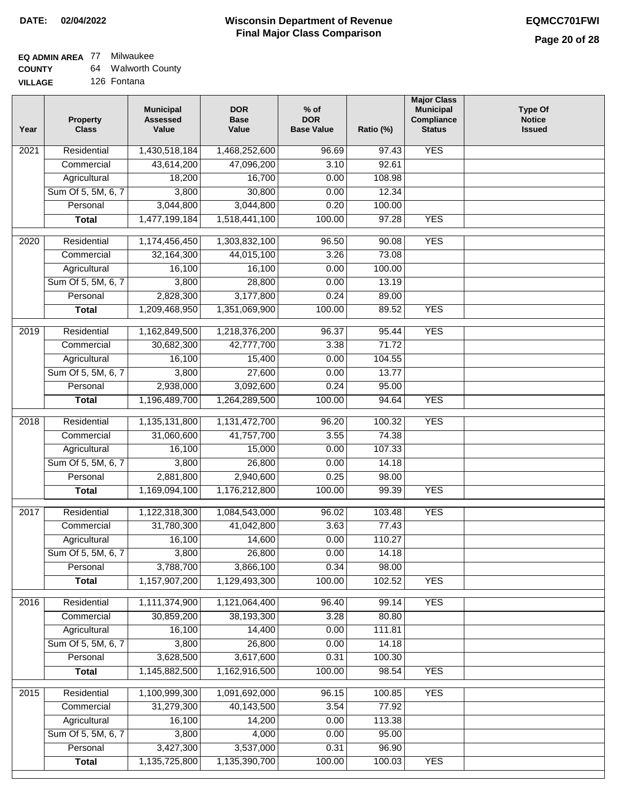# **EQ ADMIN AREA** 77 Milwaukee

| <b>COUNTY</b>  | 64 | <b>Walworth County</b> |
|----------------|----|------------------------|
| <b>VILLAGE</b> |    | 126 Fontana            |

| ЭE | 126 Fontana |
|----|-------------|
|    |             |

| Year              | <b>Property</b><br><b>Class</b> | <b>Municipal</b><br><b>Assessed</b><br>Value | <b>DOR</b><br><b>Base</b><br>Value | $%$ of<br><b>DOR</b><br><b>Base Value</b> | Ratio (%) | <b>Major Class</b><br><b>Municipal</b><br>Compliance<br><b>Status</b> | <b>Type Of</b><br><b>Notice</b><br><b>Issued</b> |
|-------------------|---------------------------------|----------------------------------------------|------------------------------------|-------------------------------------------|-----------|-----------------------------------------------------------------------|--------------------------------------------------|
| 2021              | Residential                     | 1,430,518,184                                | 1,468,252,600                      | 96.69                                     | 97.43     | <b>YES</b>                                                            |                                                  |
|                   | Commercial                      | 43,614,200                                   | 47,096,200                         | 3.10                                      | 92.61     |                                                                       |                                                  |
|                   | Agricultural                    | 18,200                                       | 16,700                             | 0.00                                      | 108.98    |                                                                       |                                                  |
|                   | Sum Of 5, 5M, 6, 7              | 3,800                                        | 30,800                             | 0.00                                      | 12.34     |                                                                       |                                                  |
|                   | Personal                        | 3,044,800                                    | 3,044,800                          | 0.20                                      | 100.00    |                                                                       |                                                  |
|                   | <b>Total</b>                    | 1,477,199,184                                | 1,518,441,100                      | 100.00                                    | 97.28     | <b>YES</b>                                                            |                                                  |
| $\overline{2020}$ | Residential                     | 1,174,456,450                                | 1,303,832,100                      | 96.50                                     | 90.08     | <b>YES</b>                                                            |                                                  |
|                   | Commercial                      | 32,164,300                                   | 44,015,100                         | 3.26                                      | 73.08     |                                                                       |                                                  |
|                   | Agricultural                    | 16,100                                       | 16,100                             | 0.00                                      | 100.00    |                                                                       |                                                  |
|                   | Sum Of 5, 5M, 6, 7              | 3,800                                        | 28,800                             | 0.00                                      | 13.19     |                                                                       |                                                  |
|                   | Personal                        | 2,828,300                                    | 3,177,800                          | 0.24                                      | 89.00     |                                                                       |                                                  |
|                   | <b>Total</b>                    | 1,209,468,950                                | 1,351,069,900                      | 100.00                                    | 89.52     | <b>YES</b>                                                            |                                                  |
|                   |                                 |                                              |                                    |                                           |           |                                                                       |                                                  |
| $\frac{1}{2019}$  | Residential                     | 1,162,849,500                                | 1,218,376,200                      | 96.37                                     | 95.44     | <b>YES</b>                                                            |                                                  |
|                   | Commercial                      | 30,682,300                                   | 42,777,700                         | 3.38                                      | 71.72     |                                                                       |                                                  |
|                   | Agricultural                    | 16,100                                       | 15,400                             | 0.00                                      | 104.55    |                                                                       |                                                  |
|                   | Sum Of 5, 5M, 6, 7              | 3,800                                        | 27,600                             | 0.00                                      | 13.77     |                                                                       |                                                  |
|                   | Personal                        | 2,938,000                                    | 3,092,600                          | 0.24                                      | 95.00     |                                                                       |                                                  |
|                   | <b>Total</b>                    | 1,196,489,700                                | 1,264,289,500                      | 100.00                                    | 94.64     | <b>YES</b>                                                            |                                                  |
| 2018              | Residential                     | 1,135,131,800                                | 1,131,472,700                      | 96.20                                     | 100.32    | <b>YES</b>                                                            |                                                  |
|                   | Commercial                      | 31,060,600                                   | 41,757,700                         | 3.55                                      | 74.38     |                                                                       |                                                  |
|                   | Agricultural                    | 16,100                                       | 15,000                             | 0.00                                      | 107.33    |                                                                       |                                                  |
|                   | Sum Of 5, 5M, 6, 7              | 3,800                                        | 26,800                             | 0.00                                      | 14.18     |                                                                       |                                                  |
|                   | Personal                        | 2,881,800                                    | 2,940,600                          | 0.25                                      | 98.00     |                                                                       |                                                  |
|                   | <b>Total</b>                    | 1,169,094,100                                | 1,176,212,800                      | 100.00                                    | 99.39     | <b>YES</b>                                                            |                                                  |
| $\overline{2017}$ | Residential                     | 1,122,318,300                                | 1,084,543,000                      | 96.02                                     | 103.48    | <b>YES</b>                                                            |                                                  |
|                   | Commercial                      | 31,780,300                                   | 41,042,800                         | 3.63                                      | 77.43     |                                                                       |                                                  |
|                   | Agricultural                    | 16,100                                       | 14,600                             | 0.00                                      | 110.27    |                                                                       |                                                  |
|                   | Sum Of 5, 5M, 6, 7              | 3,800                                        | 26,800                             | 0.00                                      | 14.18     |                                                                       |                                                  |
|                   | Personal                        | 3,788,700                                    | 3,866,100                          | 0.34                                      | 98.00     |                                                                       |                                                  |
|                   | <b>Total</b>                    | 1,157,907,200                                | 1,129,493,300                      | 100.00                                    | 102.52    | <b>YES</b>                                                            |                                                  |
| 2016              | Residential                     | 1,111,374,900                                | 1,121,064,400                      | 96.40                                     | 99.14     | <b>YES</b>                                                            |                                                  |
|                   | Commercial                      | 30,859,200                                   | 38,193,300                         | 3.28                                      | 80.80     |                                                                       |                                                  |
|                   | Agricultural                    | 16,100                                       | 14,400                             | 0.00                                      | 111.81    |                                                                       |                                                  |
|                   | Sum Of 5, 5M, 6, 7              | 3,800                                        | 26,800                             | 0.00                                      | 14.18     |                                                                       |                                                  |
|                   | Personal                        | 3,628,500                                    | 3,617,600                          | 0.31                                      | 100.30    |                                                                       |                                                  |
|                   | <b>Total</b>                    | 1,145,882,500                                | 1,162,916,500                      | 100.00                                    | 98.54     | <b>YES</b>                                                            |                                                  |
|                   |                                 |                                              |                                    |                                           |           |                                                                       |                                                  |
| 2015              | Residential                     | 1,100,999,300                                | 1,091,692,000                      | 96.15                                     | 100.85    | <b>YES</b>                                                            |                                                  |
|                   | Commercial                      | 31,279,300                                   | 40,143,500                         | 3.54                                      | 77.92     |                                                                       |                                                  |
|                   | Agricultural                    | 16,100                                       | 14,200                             | 0.00                                      | 113.38    |                                                                       |                                                  |
|                   | Sum Of 5, 5M, 6, 7              | 3,800                                        | 4,000                              | 0.00                                      | 95.00     |                                                                       |                                                  |
|                   | Personal                        | 3,427,300                                    | 3,537,000                          | 0.31                                      | 96.90     |                                                                       |                                                  |
|                   | <b>Total</b>                    | 1,135,725,800                                | 1,135,390,700                      | 100.00                                    | 100.03    | <b>YES</b>                                                            |                                                  |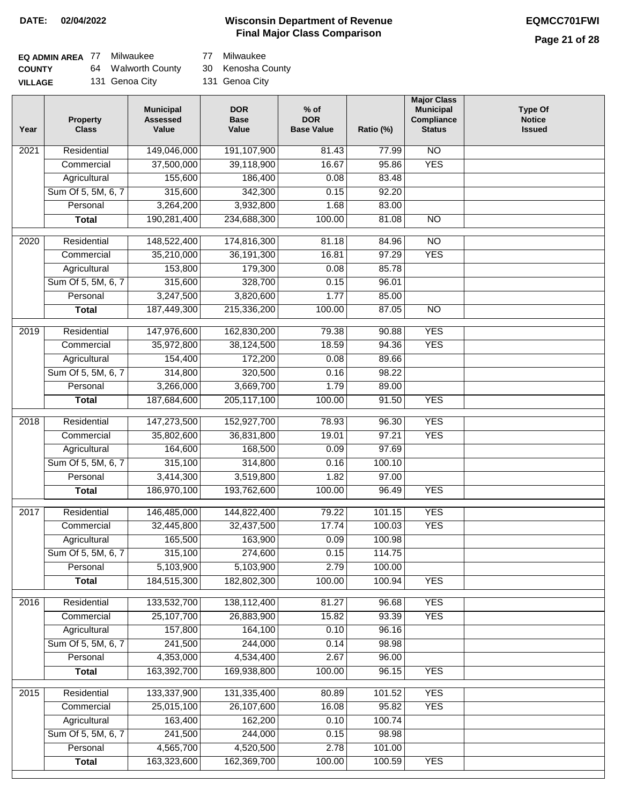### **Wisconsin Department of Revenue DATE: 02/04/2022 EQMCC701FWI Final Major Class Comparison**

| EQ ADMIN AREA 77 | Milwaukee          | 77  |
|------------------|--------------------|-----|
| <b>COUNTY</b>    | 64 Walworth County | 30  |
| <b>VILLAGE</b>   | 131 Genoa City     | 131 |

7 Milwaukee

0 Kenosha County

31 Genoa City

| Year              | <b>Property</b><br><b>Class</b> | <b>Municipal</b><br><b>Assessed</b><br>Value | <b>DOR</b><br><b>Base</b><br>Value | $%$ of<br><b>DOR</b><br><b>Base Value</b> | Ratio (%) | <b>Major Class</b><br><b>Municipal</b><br>Compliance<br><b>Status</b> | <b>Type Of</b><br><b>Notice</b><br><b>Issued</b> |
|-------------------|---------------------------------|----------------------------------------------|------------------------------------|-------------------------------------------|-----------|-----------------------------------------------------------------------|--------------------------------------------------|
| $\overline{202}1$ | Residential                     | 149,046,000                                  | 191,107,900                        | 81.43                                     | 77.99     | $\overline{NO}$                                                       |                                                  |
|                   | Commercial                      | 37,500,000                                   | 39,118,900                         | 16.67                                     | 95.86     | <b>YES</b>                                                            |                                                  |
|                   | Agricultural                    | 155,600                                      | 186,400                            | 0.08                                      | 83.48     |                                                                       |                                                  |
|                   | Sum Of 5, 5M, 6, 7              | 315,600                                      | 342,300                            | 0.15                                      | 92.20     |                                                                       |                                                  |
|                   | Personal                        | 3,264,200                                    | 3,932,800                          | 1.68                                      | 83.00     |                                                                       |                                                  |
|                   | <b>Total</b>                    | 190,281,400                                  | 234,688,300                        | 100.00                                    | 81.08     | <b>NO</b>                                                             |                                                  |
| 2020              | Residential                     | 148,522,400                                  | 174,816,300                        | 81.18                                     | 84.96     | $\overline{NO}$                                                       |                                                  |
|                   | Commercial                      | 35,210,000                                   | 36, 191, 300                       | 16.81                                     | 97.29     | <b>YES</b>                                                            |                                                  |
|                   | Agricultural                    | 153,800                                      | 179,300                            | 0.08                                      | 85.78     |                                                                       |                                                  |
|                   | Sum Of 5, 5M, 6, 7              | 315,600                                      | 328,700                            | 0.15                                      | 96.01     |                                                                       |                                                  |
|                   | Personal                        | 3,247,500                                    | 3,820,600                          | 1.77                                      | 85.00     |                                                                       |                                                  |
|                   | <b>Total</b>                    | 187,449,300                                  | 215,336,200                        | 100.00                                    | 87.05     | $\overline{NO}$                                                       |                                                  |
| 2019              | Residential                     | 147,976,600                                  | 162,830,200                        | 79.38                                     | 90.88     | <b>YES</b>                                                            |                                                  |
|                   | Commercial                      | 35,972,800                                   | 38,124,500                         | 18.59                                     | 94.36     | <b>YES</b>                                                            |                                                  |
|                   | Agricultural                    | 154,400                                      | 172,200                            | 0.08                                      | 89.66     |                                                                       |                                                  |
|                   | Sum Of 5, 5M, 6, 7              | 314,800                                      | 320,500                            | 0.16                                      | 98.22     |                                                                       |                                                  |
|                   | Personal                        | 3,266,000                                    | 3,669,700                          | 1.79                                      | 89.00     |                                                                       |                                                  |
|                   | <b>Total</b>                    | 187,684,600                                  | 205, 117, 100                      | 100.00                                    | 91.50     | <b>YES</b>                                                            |                                                  |
|                   |                                 |                                              |                                    |                                           |           |                                                                       |                                                  |
| 2018              | Residential                     | 147,273,500                                  | 152,927,700                        | 78.93                                     | 96.30     | <b>YES</b>                                                            |                                                  |
|                   | Commercial                      | 35,802,600                                   | 36,831,800                         | 19.01                                     | 97.21     | <b>YES</b>                                                            |                                                  |
|                   | Agricultural                    | 164,600                                      | 168,500                            | 0.09                                      | 97.69     |                                                                       |                                                  |
|                   | Sum Of 5, 5M, 6, 7              | 315,100                                      | 314,800                            | 0.16                                      | 100.10    |                                                                       |                                                  |
|                   | Personal                        | 3,414,300                                    | 3,519,800                          | 1.82                                      | 97.00     |                                                                       |                                                  |
|                   | <b>Total</b>                    | 186,970,100                                  | 193,762,600                        | 100.00                                    | 96.49     | <b>YES</b>                                                            |                                                  |
| $\overline{2017}$ | Residential                     | 146,485,000                                  | 144,822,400                        | 79.22                                     | 101.15    | <b>YES</b>                                                            |                                                  |
|                   | Commercial                      | 32,445,800                                   | 32,437,500                         | 17.74                                     | 100.03    | <b>YES</b>                                                            |                                                  |
|                   | Agricultural                    | 165,500                                      | 163,900                            | 0.09                                      | 100.98    |                                                                       |                                                  |
|                   | Sum Of 5, 5M, 6, 7              | 315,100                                      | 274,600                            | 0.15                                      | 114.75    |                                                                       |                                                  |
|                   | Personal                        | 5,103,900                                    | 5,103,900                          | 2.79                                      | 100.00    |                                                                       |                                                  |
|                   | <b>Total</b>                    | 184,515,300                                  | 182,802,300                        | 100.00                                    | 100.94    | <b>YES</b>                                                            |                                                  |
| 2016              | Residential                     | 133,532,700                                  | 138,112,400                        | 81.27                                     | 96.68     | <b>YES</b>                                                            |                                                  |
|                   | Commercial                      | 25,107,700                                   | 26,883,900                         | 15.82                                     | 93.39     | <b>YES</b>                                                            |                                                  |
|                   | Agricultural                    | 157,800                                      | 164,100                            | 0.10                                      | 96.16     |                                                                       |                                                  |
|                   | Sum Of 5, 5M, 6, 7              | 241,500                                      | 244,000                            | 0.14                                      | 98.98     |                                                                       |                                                  |
|                   | Personal                        | 4,353,000                                    | 4,534,400                          | 2.67                                      | 96.00     |                                                                       |                                                  |
|                   | <b>Total</b>                    | 163,392,700                                  | 169,938,800                        | 100.00                                    | 96.15     | <b>YES</b>                                                            |                                                  |
| 2015              | Residential                     | 133,337,900                                  | 131,335,400                        | 80.89                                     | 101.52    | <b>YES</b>                                                            |                                                  |
|                   | Commercial                      | 25,015,100                                   | 26,107,600                         | 16.08                                     | 95.82     | <b>YES</b>                                                            |                                                  |
|                   | Agricultural                    | 163,400                                      | 162,200                            | 0.10                                      | 100.74    |                                                                       |                                                  |
|                   | Sum Of 5, 5M, 6, 7              | 241,500                                      | 244,000                            | 0.15                                      | 98.98     |                                                                       |                                                  |
|                   | Personal                        | 4,565,700                                    | 4,520,500                          | 2.78                                      | 101.00    |                                                                       |                                                  |
|                   | <b>Total</b>                    | 163,323,600                                  | 162,369,700                        | 100.00                                    | 100.59    | <b>YES</b>                                                            |                                                  |
|                   |                                 |                                              |                                    |                                           |           |                                                                       |                                                  |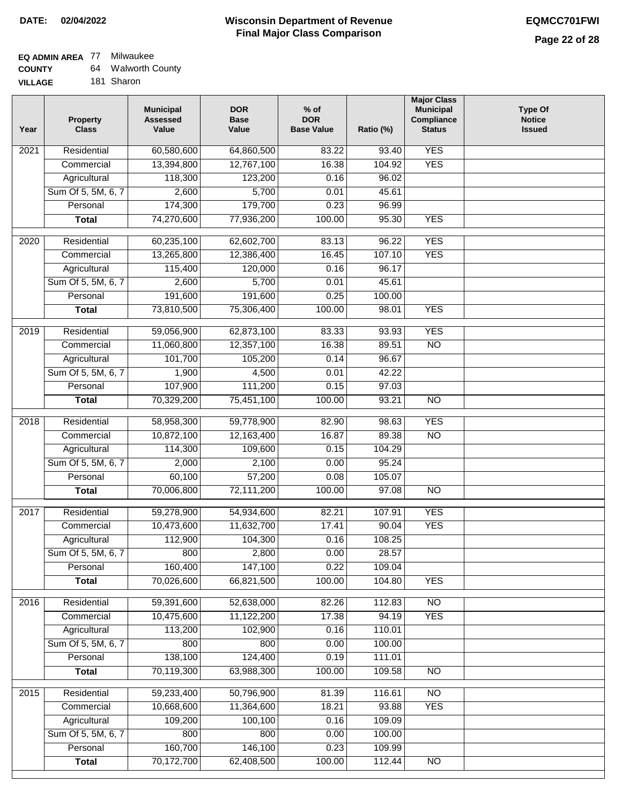#### **Wisconsin Department of Revenue Final Major Class Comparison DATE: 02/04/2022 EQMCC701FWI**

٦

#### **EQ ADMIN AREA** 77 Milwaukee **COUNTY** 64 Walworth County

| <b>UUUNII</b>  | $-$ | wawuu wu   |
|----------------|-----|------------|
| <b>VILLAGE</b> |     | 181 Sharon |

| Year             | <b>Property</b><br><b>Class</b> | <b>Municipal</b><br><b>Assessed</b><br>Value | <b>DOR</b><br><b>Base</b><br>Value | $%$ of<br><b>DOR</b><br><b>Base Value</b> | Ratio (%) | <b>Major Class</b><br><b>Municipal</b><br>Compliance<br><b>Status</b> | <b>Type Of</b><br><b>Notice</b><br><b>Issued</b> |
|------------------|---------------------------------|----------------------------------------------|------------------------------------|-------------------------------------------|-----------|-----------------------------------------------------------------------|--------------------------------------------------|
| 2021             | Residential                     | 60,580,600                                   | 64,860,500                         | 83.22                                     | 93.40     | <b>YES</b>                                                            |                                                  |
|                  | Commercial                      | 13,394,800                                   | 12,767,100                         | 16.38                                     | 104.92    | <b>YES</b>                                                            |                                                  |
|                  | Agricultural                    | 118,300                                      | 123,200                            | 0.16                                      | 96.02     |                                                                       |                                                  |
|                  | Sum Of 5, 5M, 6, 7              | 2,600                                        | 5,700                              | 0.01                                      | 45.61     |                                                                       |                                                  |
|                  | Personal                        | 174,300                                      | 179,700                            | 0.23                                      | 96.99     |                                                                       |                                                  |
|                  | <b>Total</b>                    | 74,270,600                                   | 77,936,200                         | 100.00                                    | 95.30     | <b>YES</b>                                                            |                                                  |
| 2020             | Residential                     | 60,235,100                                   | 62,602,700                         | 83.13                                     | 96.22     | <b>YES</b>                                                            |                                                  |
|                  | Commercial                      | 13,265,800                                   | 12,386,400                         | 16.45                                     | 107.10    | <b>YES</b>                                                            |                                                  |
|                  | Agricultural                    | 115,400                                      | 120,000                            | 0.16                                      | 96.17     |                                                                       |                                                  |
|                  | Sum Of 5, 5M, 6, 7              | 2,600                                        | 5,700                              | 0.01                                      | 45.61     |                                                                       |                                                  |
|                  | Personal                        | 191,600                                      | 191,600                            | 0.25                                      | 100.00    |                                                                       |                                                  |
|                  | <b>Total</b>                    | 73,810,500                                   | 75,306,400                         | 100.00                                    | 98.01     | <b>YES</b>                                                            |                                                  |
|                  |                                 |                                              |                                    |                                           |           |                                                                       |                                                  |
| $\frac{1}{2019}$ | Residential                     | 59,056,900                                   | 62,873,100                         | 83.33                                     | 93.93     | <b>YES</b>                                                            |                                                  |
|                  | Commercial                      | 11,060,800                                   | 12,357,100                         | 16.38                                     | 89.51     | $\overline{NO}$                                                       |                                                  |
|                  | Agricultural                    | 101,700                                      | 105,200                            | 0.14                                      | 96.67     |                                                                       |                                                  |
|                  | Sum Of 5, 5M, 6, 7              | 1,900                                        | 4,500                              | 0.01                                      | 42.22     |                                                                       |                                                  |
|                  | Personal                        | 107,900                                      | 111,200                            | 0.15                                      | 97.03     |                                                                       |                                                  |
|                  | <b>Total</b>                    | 70,329,200                                   | 75,451,100                         | 100.00                                    | 93.21     | $\overline{NO}$                                                       |                                                  |
| 2018             | Residential                     | 58,958,300                                   | 59,778,900                         | 82.90                                     | 98.63     | <b>YES</b>                                                            |                                                  |
|                  | Commercial                      | 10,872,100                                   | 12,163,400                         | 16.87                                     | 89.38     | $\overline{10}$                                                       |                                                  |
|                  | Agricultural                    | 114,300                                      | 109,600                            | 0.15                                      | 104.29    |                                                                       |                                                  |
|                  | Sum Of 5, 5M, 6, 7              | 2,000                                        | 2,100                              | 0.00                                      | 95.24     |                                                                       |                                                  |
|                  | Personal                        | 60,100                                       | 57,200                             | 0.08                                      | 105.07    |                                                                       |                                                  |
|                  | <b>Total</b>                    | 70,006,800                                   | 72,111,200                         | 100.00                                    | 97.08     | $\overline{10}$                                                       |                                                  |
| 2017             | Residential                     | 59,278,900                                   | 54,934,600                         | 82.21                                     | 107.91    | <b>YES</b>                                                            |                                                  |
|                  | Commercial                      | 10,473,600                                   | 11,632,700                         | 17.41                                     | 90.04     | <b>YES</b>                                                            |                                                  |
|                  | Agricultural                    | 112,900                                      | 104,300                            | 0.16                                      | 108.25    |                                                                       |                                                  |
|                  | Sum Of 5, 5M, 6, 7              | 800                                          | 2,800                              | 0.00                                      | 28.57     |                                                                       |                                                  |
|                  | Personal                        | 160,400                                      | 147,100                            | 0.22                                      | 109.04    |                                                                       |                                                  |
|                  | <b>Total</b>                    | 70,026,600                                   | 66,821,500                         | 100.00                                    | 104.80    | <b>YES</b>                                                            |                                                  |
| 2016             | Residential                     | 59,391,600                                   | 52,638,000                         | 82.26                                     | 112.83    | N <sub>O</sub>                                                        |                                                  |
|                  | Commercial                      | 10,475,600                                   | 11,122,200                         | 17.38                                     | 94.19     | <b>YES</b>                                                            |                                                  |
|                  | Agricultural                    | 113,200                                      | 102,900                            | 0.16                                      | 110.01    |                                                                       |                                                  |
|                  | Sum Of 5, 5M, 6, 7              | 800                                          | 800                                | 0.00                                      | 100.00    |                                                                       |                                                  |
|                  | Personal                        | 138,100                                      | 124,400                            | 0.19                                      | 111.01    |                                                                       |                                                  |
|                  | <b>Total</b>                    | 70,119,300                                   | 63,988,300                         | 100.00                                    | 109.58    | N <sub>O</sub>                                                        |                                                  |
| 2015             | Residential                     | 59,233,400                                   | 50,796,900                         | 81.39                                     | 116.61    | <b>NO</b>                                                             |                                                  |
|                  | Commercial                      | 10,668,600                                   | 11,364,600                         | 18.21                                     | 93.88     | <b>YES</b>                                                            |                                                  |
|                  | Agricultural                    | 109,200                                      | 100,100                            | 0.16                                      | 109.09    |                                                                       |                                                  |
|                  | Sum Of 5, 5M, 6, 7              | 800                                          | 800                                | 0.00                                      | 100.00    |                                                                       |                                                  |
|                  | Personal                        | 160,700                                      | 146,100                            | 0.23                                      | 109.99    |                                                                       |                                                  |
|                  | <b>Total</b>                    | 70,172,700                                   | 62,408,500                         | 100.00                                    | 112.44    | $\overline{NO}$                                                       |                                                  |
|                  |                                 |                                              |                                    |                                           |           |                                                                       |                                                  |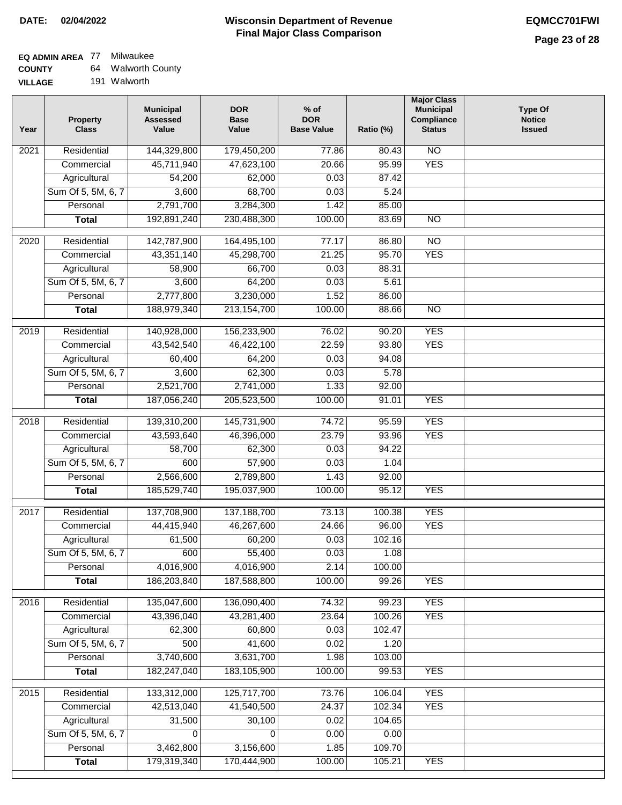# **EQ ADMIN AREA** 77 Milwaukee

**COUNTY VILLAGE** 64 Walworth County

|    | .            |
|----|--------------|
| iΕ | 191 Walworth |

| Year              | <b>Property</b><br><b>Class</b> | <b>Municipal</b><br><b>Assessed</b><br>Value | <b>DOR</b><br><b>Base</b><br>Value | $%$ of<br><b>DOR</b><br><b>Base Value</b> | Ratio (%) | <b>Major Class</b><br><b>Municipal</b><br>Compliance<br><b>Status</b> | <b>Type Of</b><br><b>Notice</b><br><b>Issued</b> |
|-------------------|---------------------------------|----------------------------------------------|------------------------------------|-------------------------------------------|-----------|-----------------------------------------------------------------------|--------------------------------------------------|
| $\overline{202}1$ | Residential                     | 144,329,800                                  | 179,450,200                        | 77.86                                     | 80.43     | N <sub>O</sub>                                                        |                                                  |
|                   | Commercial                      | 45,711,940                                   | 47,623,100                         | 20.66                                     | 95.99     | <b>YES</b>                                                            |                                                  |
|                   | Agricultural                    | 54,200                                       | 62,000                             | 0.03                                      | 87.42     |                                                                       |                                                  |
|                   | Sum Of 5, 5M, 6, 7              | 3,600                                        | 68,700                             | 0.03                                      | 5.24      |                                                                       |                                                  |
|                   | Personal                        | 2,791,700                                    | 3,284,300                          | 1.42                                      | 85.00     |                                                                       |                                                  |
|                   | <b>Total</b>                    | 192,891,240                                  | 230,488,300                        | 100.00                                    | 83.69     | $\overline{NO}$                                                       |                                                  |
| $\overline{2020}$ | Residential                     | 142,787,900                                  | 164,495,100                        | 77.17                                     | 86.80     | $\overline{NO}$                                                       |                                                  |
|                   | Commercial                      | 43,351,140                                   | 45,298,700                         | 21.25                                     | 95.70     | <b>YES</b>                                                            |                                                  |
|                   | Agricultural                    | 58,900                                       | 66,700                             | 0.03                                      | 88.31     |                                                                       |                                                  |
|                   | Sum Of 5, 5M, 6, 7              | 3,600                                        | 64,200                             | 0.03                                      | 5.61      |                                                                       |                                                  |
|                   | Personal                        | 2,777,800                                    | 3,230,000                          | 1.52                                      | 86.00     |                                                                       |                                                  |
|                   | <b>Total</b>                    | 188,979,340                                  | 213, 154, 700                      | 100.00                                    | 88.66     | $\overline{NO}$                                                       |                                                  |
| 2019              | Residential                     | 140,928,000                                  | 156,233,900                        | 76.02                                     | 90.20     | <b>YES</b>                                                            |                                                  |
|                   | Commercial                      | 43,542,540                                   | 46,422,100                         | 22.59                                     | 93.80     | <b>YES</b>                                                            |                                                  |
|                   | Agricultural                    | 60,400                                       | 64,200                             | 0.03                                      | 94.08     |                                                                       |                                                  |
|                   | Sum Of 5, 5M, 6, 7              | 3,600                                        | 62,300                             | 0.03                                      | 5.78      |                                                                       |                                                  |
|                   | Personal                        | 2,521,700                                    | 2,741,000                          | 1.33                                      | 92.00     |                                                                       |                                                  |
|                   | <b>Total</b>                    | 187,056,240                                  | 205,523,500                        | 100.00                                    | 91.01     | <b>YES</b>                                                            |                                                  |
|                   |                                 |                                              |                                    |                                           |           |                                                                       |                                                  |
| 2018              | Residential                     | 139,310,200                                  | 145,731,900                        | 74.72                                     | 95.59     | <b>YES</b>                                                            |                                                  |
|                   | Commercial                      | 43,593,640                                   | 46,396,000                         | 23.79                                     | 93.96     | <b>YES</b>                                                            |                                                  |
|                   | Agricultural                    | 58,700                                       | 62,300                             | 0.03                                      | 94.22     |                                                                       |                                                  |
|                   | Sum Of 5, 5M, 6, 7              | 600                                          | 57,900                             | 0.03                                      | 1.04      |                                                                       |                                                  |
|                   | Personal                        | 2,566,600                                    | 2,789,800                          | 1.43                                      | 92.00     |                                                                       |                                                  |
|                   | <b>Total</b>                    | 185,529,740                                  | 195,037,900                        | 100.00                                    | 95.12     | <b>YES</b>                                                            |                                                  |
| 2017              | Residential                     | 137,708,900                                  | 137, 188, 700                      | 73.13                                     | 100.38    | <b>YES</b>                                                            |                                                  |
|                   | Commercial                      | 44,415,940                                   | 46,267,600                         | 24.66                                     | 96.00     | <b>YES</b>                                                            |                                                  |
|                   | Agricultural                    | 61,500                                       | 60,200                             | 0.03                                      | 102.16    |                                                                       |                                                  |
|                   | Sum Of 5, 5M, 6, 7              | 600                                          | 55,400                             | 0.03                                      | 1.08      |                                                                       |                                                  |
|                   | Personal                        | 4,016,900                                    | 4,016,900                          | 2.14                                      | 100.00    |                                                                       |                                                  |
|                   | <b>Total</b>                    | 186,203,840                                  | 187,588,800                        | 100.00                                    | 99.26     | <b>YES</b>                                                            |                                                  |
| 2016              | Residential                     | 135,047,600                                  | 136,090,400                        | 74.32                                     | 99.23     | <b>YES</b>                                                            |                                                  |
|                   | Commercial                      | 43,396,040                                   | 43,281,400                         | 23.64                                     | 100.26    | <b>YES</b>                                                            |                                                  |
|                   | Agricultural                    | 62,300                                       | 60,800                             | 0.03                                      | 102.47    |                                                                       |                                                  |
|                   | Sum Of 5, 5M, 6, 7              | 500                                          | 41,600                             | 0.02                                      | 1.20      |                                                                       |                                                  |
|                   | Personal                        | 3,740,600                                    | 3,631,700                          | 1.98                                      | 103.00    |                                                                       |                                                  |
|                   | <b>Total</b>                    | 182,247,040                                  | 183,105,900                        | 100.00                                    | 99.53     | <b>YES</b>                                                            |                                                  |
|                   |                                 |                                              |                                    |                                           |           |                                                                       |                                                  |
| 2015              | Residential                     | 133,312,000                                  | 125,717,700                        | 73.76                                     | 106.04    | <b>YES</b>                                                            |                                                  |
|                   | Commercial                      | 42,513,040                                   | 41,540,500                         | 24.37                                     | 102.34    | <b>YES</b>                                                            |                                                  |
|                   | Agricultural                    | 31,500                                       | 30,100                             | 0.02                                      | 104.65    |                                                                       |                                                  |
|                   | Sum Of 5, 5M, 6, 7              | 0                                            | 0                                  | 0.00                                      | 0.00      |                                                                       |                                                  |
|                   | Personal                        | 3,462,800                                    | 3,156,600                          | 1.85                                      | 109.70    |                                                                       |                                                  |
|                   | <b>Total</b>                    | 179,319,340                                  | 170,444,900                        | 100.00                                    | 105.21    | <b>YES</b>                                                            |                                                  |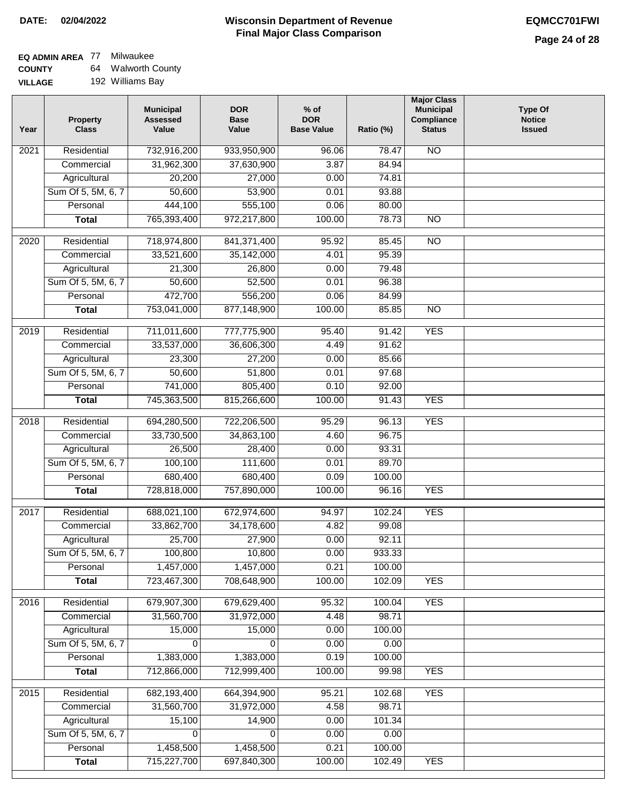# **EQ ADMIN AREA** 77 Milwaukee

**COUNTY VILLAGE** 64 Walworth County 192 Williams Bay

| Year              | <b>Property</b><br><b>Class</b> | <b>Municipal</b><br><b>Assessed</b><br>Value | <b>DOR</b><br><b>Base</b><br>Value | % of<br><b>DOR</b><br><b>Base Value</b> | Ratio (%) | <b>Major Class</b><br><b>Municipal</b><br>Compliance<br><b>Status</b> | <b>Type Of</b><br><b>Notice</b><br><b>Issued</b> |
|-------------------|---------------------------------|----------------------------------------------|------------------------------------|-----------------------------------------|-----------|-----------------------------------------------------------------------|--------------------------------------------------|
| $\overline{202}1$ | Residential                     | 732,916,200                                  | 933,950,900                        | 96.06                                   | 78.47     | N <sub>O</sub>                                                        |                                                  |
|                   | Commercial                      | 31,962,300                                   | 37,630,900                         | 3.87                                    | 84.94     |                                                                       |                                                  |
|                   | Agricultural                    | 20,200                                       | 27,000                             | 0.00                                    | 74.81     |                                                                       |                                                  |
|                   | Sum Of 5, 5M, 6, 7              | 50,600                                       | 53,900                             | 0.01                                    | 93.88     |                                                                       |                                                  |
|                   | Personal                        | 444,100                                      | 555,100                            | 0.06                                    | 80.00     |                                                                       |                                                  |
|                   | <b>Total</b>                    | 765,393,400                                  | 972,217,800                        | 100.00                                  | 78.73     | $\overline{NO}$                                                       |                                                  |
| 2020              | Residential                     | 718,974,800                                  | 841,371,400                        | 95.92                                   | 85.45     | $\overline{NO}$                                                       |                                                  |
|                   | Commercial                      | 33,521,600                                   | 35,142,000                         | 4.01                                    | 95.39     |                                                                       |                                                  |
|                   | Agricultural                    | 21,300                                       | 26,800                             | 0.00                                    | 79.48     |                                                                       |                                                  |
|                   | Sum Of 5, 5M, 6, 7              | 50,600                                       | 52,500                             | 0.01                                    | 96.38     |                                                                       |                                                  |
|                   | Personal                        | 472,700                                      | 556,200                            | 0.06                                    | 84.99     |                                                                       |                                                  |
|                   | <b>Total</b>                    | 753,041,000                                  | 877,148,900                        | 100.00                                  | 85.85     | $\overline{NO}$                                                       |                                                  |
| 2019              | Residential                     | 711,011,600                                  | 777,775,900                        | 95.40                                   | 91.42     | <b>YES</b>                                                            |                                                  |
|                   | Commercial                      | 33,537,000                                   | 36,606,300                         | 4.49                                    | 91.62     |                                                                       |                                                  |
|                   | Agricultural                    | 23,300                                       | 27,200                             | 0.00                                    | 85.66     |                                                                       |                                                  |
|                   | Sum Of 5, 5M, 6, 7              | 50,600                                       | 51,800                             | 0.01                                    | 97.68     |                                                                       |                                                  |
|                   | Personal                        | 741,000                                      | 805,400                            | 0.10                                    | 92.00     |                                                                       |                                                  |
|                   | <b>Total</b>                    | 745,363,500                                  | 815,266,600                        | 100.00                                  | 91.43     | <b>YES</b>                                                            |                                                  |
| 2018              | Residential                     | 694,280,500                                  | 722,206,500                        | 95.29                                   | 96.13     | <b>YES</b>                                                            |                                                  |
|                   | Commercial                      | 33,730,500                                   | 34,863,100                         | 4.60                                    | 96.75     |                                                                       |                                                  |
|                   | Agricultural                    | 26,500                                       | 28,400                             | 0.00                                    | 93.31     |                                                                       |                                                  |
|                   | Sum Of 5, 5M, 6, 7              | 100,100                                      | 111,600                            | 0.01                                    | 89.70     |                                                                       |                                                  |
|                   | Personal                        | 680,400                                      | 680,400                            | 0.09                                    | 100.00    |                                                                       |                                                  |
|                   | <b>Total</b>                    | 728,818,000                                  | 757,890,000                        | 100.00                                  | 96.16     | <b>YES</b>                                                            |                                                  |
| 2017              | Residential                     | 688,021,100                                  | 672,974,600                        | 94.97                                   | 102.24    | <b>YES</b>                                                            |                                                  |
|                   | Commercial                      | 33,862,700                                   | 34,178,600                         | 4.82                                    | 99.08     |                                                                       |                                                  |
|                   | Agricultural                    | 25,700                                       | 27,900                             | 0.00                                    | 92.11     |                                                                       |                                                  |
|                   | Sum Of 5, 5M, 6, 7              | 100,800                                      | 10,800                             | 0.00                                    | 933.33    |                                                                       |                                                  |
|                   | Personal                        | 1,457,000                                    | 1,457,000                          | 0.21                                    | 100.00    |                                                                       |                                                  |
|                   | <b>Total</b>                    | 723,467,300                                  | 708,648,900                        | 100.00                                  | 102.09    | <b>YES</b>                                                            |                                                  |
| 2016              | Residential                     | 679,907,300                                  | 679,629,400                        | 95.32                                   | 100.04    | <b>YES</b>                                                            |                                                  |
|                   | Commercial                      | 31,560,700                                   | 31,972,000                         | 4.48                                    | 98.71     |                                                                       |                                                  |
|                   | Agricultural                    | 15,000                                       | 15,000                             | 0.00                                    | 100.00    |                                                                       |                                                  |
|                   | Sum Of 5, 5M, 6, 7              | $\Omega$                                     | $\Omega$                           | 0.00                                    | 0.00      |                                                                       |                                                  |
|                   | Personal                        | 1,383,000                                    | 1,383,000                          | 0.19                                    | 100.00    |                                                                       |                                                  |
|                   | <b>Total</b>                    | 712,866,000                                  | 712,999,400                        | 100.00                                  | 99.98     | <b>YES</b>                                                            |                                                  |
| 2015              | Residential                     | 682,193,400                                  | 664,394,900                        | 95.21                                   | 102.68    | <b>YES</b>                                                            |                                                  |
|                   | Commercial                      | 31,560,700                                   | 31,972,000                         | 4.58                                    | 98.71     |                                                                       |                                                  |
|                   | Agricultural                    | 15,100                                       | 14,900                             | 0.00                                    | 101.34    |                                                                       |                                                  |
|                   | Sum Of 5, 5M, 6, 7              | 0                                            | 0                                  | 0.00                                    | 0.00      |                                                                       |                                                  |
|                   | Personal                        | 1,458,500                                    | 1,458,500                          | 0.21                                    | 100.00    |                                                                       |                                                  |
|                   | <b>Total</b>                    | 715,227,700                                  | 697,840,300                        | 100.00                                  | 102.49    | <b>YES</b>                                                            |                                                  |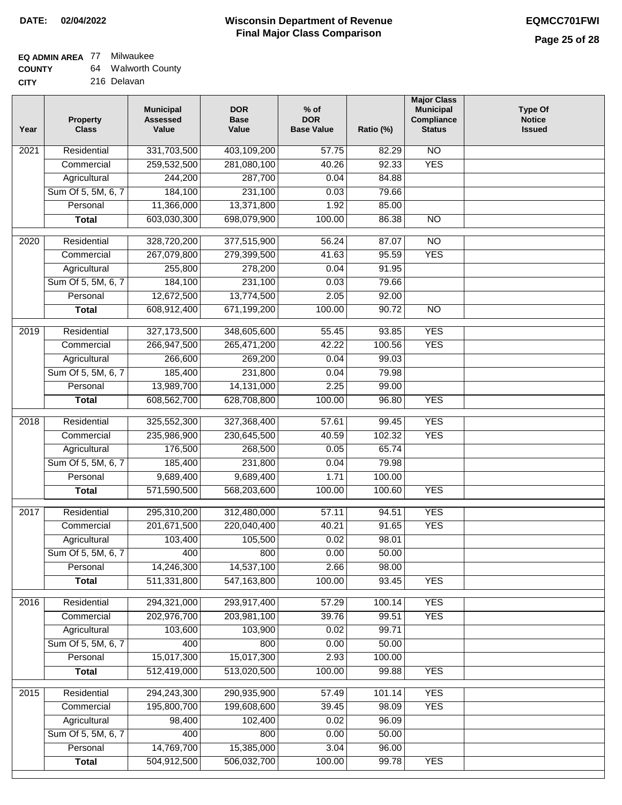## **EQ ADMIN AREA** 77 Milwaukee

| <b>COUNTY</b> | 64. | <b>Walworth County</b> |
|---------------|-----|------------------------|
| CITY          |     | 216 Delavan            |

| Year             | <b>Property</b><br><b>Class</b> | <b>Municipal</b><br><b>Assessed</b><br>Value | <b>DOR</b><br><b>Base</b><br>Value | $%$ of<br><b>DOR</b><br><b>Base Value</b> | Ratio (%) | <b>Major Class</b><br><b>Municipal</b><br>Compliance<br><b>Status</b> | <b>Type Of</b><br><b>Notice</b><br><b>Issued</b> |
|------------------|---------------------------------|----------------------------------------------|------------------------------------|-------------------------------------------|-----------|-----------------------------------------------------------------------|--------------------------------------------------|
| 2021             | Residential                     | 331,703,500                                  | 403,109,200                        | 57.75                                     | 82.29     | $\overline{NO}$                                                       |                                                  |
|                  | Commercial                      | 259,532,500                                  | 281,080,100                        | 40.26                                     | 92.33     | <b>YES</b>                                                            |                                                  |
|                  | Agricultural                    | 244,200                                      | 287,700                            | 0.04                                      | 84.88     |                                                                       |                                                  |
|                  | Sum Of 5, 5M, 6, 7              | 184,100                                      | 231,100                            | 0.03                                      | 79.66     |                                                                       |                                                  |
|                  | Personal                        | 11,366,000                                   | 13,371,800                         | 1.92                                      | 85.00     |                                                                       |                                                  |
|                  | <b>Total</b>                    | 603,030,300                                  | 698,079,900                        | 100.00                                    | 86.38     | $\overline{NO}$                                                       |                                                  |
| 2020             | Residential                     | 328,720,200                                  | 377,515,900                        | 56.24                                     | 87.07     | $\overline{NO}$                                                       |                                                  |
|                  | Commercial                      | 267,079,800                                  | 279,399,500                        | 41.63                                     | 95.59     | <b>YES</b>                                                            |                                                  |
|                  | Agricultural                    | 255,800                                      | 278,200                            | 0.04                                      | 91.95     |                                                                       |                                                  |
|                  | Sum Of 5, 5M, 6, 7              | 184,100                                      | 231,100                            | 0.03                                      | 79.66     |                                                                       |                                                  |
|                  | Personal                        | 12,672,500                                   | 13,774,500                         | 2.05                                      | 92.00     |                                                                       |                                                  |
|                  | <b>Total</b>                    | 608,912,400                                  | 671,199,200                        | 100.00                                    | 90.72     | $\overline{NO}$                                                       |                                                  |
|                  |                                 |                                              |                                    |                                           |           |                                                                       |                                                  |
| $\frac{1}{2019}$ | Residential                     | 327, 173, 500                                | 348,605,600                        | 55.45                                     | 93.85     | <b>YES</b>                                                            |                                                  |
|                  | Commercial                      | 266,947,500                                  | 265,471,200                        | 42.22                                     | 100.56    | <b>YES</b>                                                            |                                                  |
|                  | Agricultural                    | 266,600                                      | 269,200                            | 0.04                                      | 99.03     |                                                                       |                                                  |
|                  | Sum Of 5, 5M, 6, 7              | 185,400                                      | 231,800                            | 0.04                                      | 79.98     |                                                                       |                                                  |
|                  | Personal                        | 13,989,700                                   | 14,131,000                         | 2.25                                      | 99.00     |                                                                       |                                                  |
|                  | <b>Total</b>                    | 608,562,700                                  | 628,708,800                        | 100.00                                    | 96.80     | <b>YES</b>                                                            |                                                  |
| 2018             | Residential                     | 325,552,300                                  | 327,368,400                        | 57.61                                     | 99.45     | <b>YES</b>                                                            |                                                  |
|                  | Commercial                      | 235,986,900                                  | 230,645,500                        | 40.59                                     | 102.32    | <b>YES</b>                                                            |                                                  |
|                  | Agricultural                    | 176,500                                      | 268,500                            | 0.05                                      | 65.74     |                                                                       |                                                  |
|                  | Sum Of 5, 5M, 6, 7              | 185,400                                      | 231,800                            | 0.04                                      | 79.98     |                                                                       |                                                  |
|                  | Personal                        | 9,689,400                                    | 9,689,400                          | 1.71                                      | 100.00    |                                                                       |                                                  |
|                  | <b>Total</b>                    | 571,590,500                                  | 568,203,600                        | 100.00                                    | 100.60    | <b>YES</b>                                                            |                                                  |
| 2017             | Residential                     | 295,310,200                                  | 312,480,000                        | 57.11                                     | 94.51     | <b>YES</b>                                                            |                                                  |
|                  | Commercial                      | 201,671,500                                  | 220,040,400                        | 40.21                                     | 91.65     | <b>YES</b>                                                            |                                                  |
|                  | Agricultural                    | 103,400                                      | 105,500                            | 0.02                                      | 98.01     |                                                                       |                                                  |
|                  | Sum Of 5, 5M, 6, 7              | 400                                          | 800                                | 0.00                                      | 50.00     |                                                                       |                                                  |
|                  | Personal                        | 14,246,300                                   | 14,537,100                         | 2.66                                      | 98.00     |                                                                       |                                                  |
|                  | <b>Total</b>                    | 511,331,800                                  | 547,163,800                        | 100.00                                    | 93.45     | <b>YES</b>                                                            |                                                  |
|                  |                                 |                                              |                                    |                                           |           |                                                                       |                                                  |
| 2016             | Residential                     | 294,321,000                                  | 293,917,400                        | 57.29                                     | 100.14    | <b>YES</b>                                                            |                                                  |
|                  | Commercial                      | 202,976,700                                  | 203,981,100                        | 39.76                                     | 99.51     | <b>YES</b>                                                            |                                                  |
|                  | Agricultural                    | 103,600                                      | 103,900                            | 0.02                                      | 99.71     |                                                                       |                                                  |
|                  | Sum Of 5, 5M, 6, 7              | 400                                          | 800                                | 0.00                                      | 50.00     |                                                                       |                                                  |
|                  | Personal                        | 15,017,300                                   | 15,017,300                         | 2.93                                      | 100.00    |                                                                       |                                                  |
|                  | <b>Total</b>                    | 512,419,000                                  | 513,020,500                        | 100.00                                    | 99.88     | <b>YES</b>                                                            |                                                  |
| 2015             | Residential                     | 294,243,300                                  | 290,935,900                        | 57.49                                     | 101.14    | <b>YES</b>                                                            |                                                  |
|                  | Commercial                      | 195,800,700                                  | 199,608,600                        | 39.45                                     | 98.09     | <b>YES</b>                                                            |                                                  |
|                  | Agricultural                    | 98,400                                       | 102,400                            | 0.02                                      | 96.09     |                                                                       |                                                  |
|                  | Sum Of 5, 5M, 6, 7              | 400                                          | 800                                | 0.00                                      | 50.00     |                                                                       |                                                  |
|                  | Personal                        | 14,769,700                                   | 15,385,000                         | 3.04                                      | 96.00     |                                                                       |                                                  |
|                  | <b>Total</b>                    | 504,912,500                                  | 506,032,700                        | 100.00                                    | 99.78     | <b>YES</b>                                                            |                                                  |
|                  |                                 |                                              |                                    |                                           |           |                                                                       |                                                  |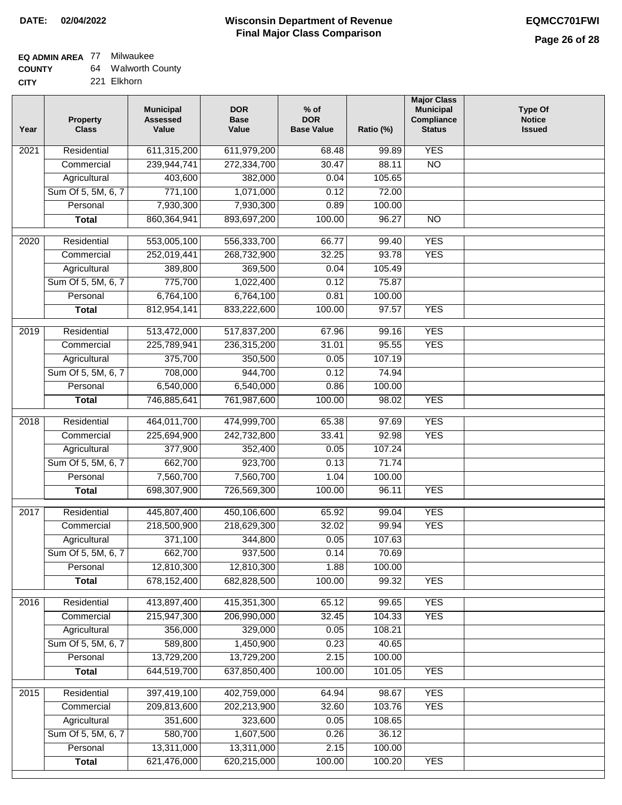# **EQ ADMIN AREA** 77 Milwaukee

| <b>COUNTY</b> | 64 | <b>Walworth County</b> |
|---------------|----|------------------------|
| CITY          |    | 221 Elkhorn            |

221 Elkhorn

| Year | <b>Property</b><br><b>Class</b> | <b>Municipal</b><br><b>Assessed</b><br>Value | <b>DOR</b><br><b>Base</b><br>Value | $%$ of<br><b>DOR</b><br><b>Base Value</b> | Ratio (%)       | <b>Major Class</b><br><b>Municipal</b><br>Compliance<br><b>Status</b> | <b>Type Of</b><br><b>Notice</b><br><b>Issued</b> |
|------|---------------------------------|----------------------------------------------|------------------------------------|-------------------------------------------|-----------------|-----------------------------------------------------------------------|--------------------------------------------------|
| 2021 | Residential                     | 611,315,200                                  | 611,979,200                        | 68.48                                     | 99.89           | <b>YES</b>                                                            |                                                  |
|      | Commercial                      | 239,944,741                                  | 272,334,700                        | 30.47                                     | 88.11           | $\overline{NO}$                                                       |                                                  |
|      | Agricultural                    | 403,600                                      | 382,000                            | 0.04                                      | 105.65          |                                                                       |                                                  |
|      | Sum Of 5, 5M, 6, 7              | 771,100                                      | 1,071,000                          | 0.12                                      | 72.00           |                                                                       |                                                  |
|      | Personal                        | 7,930,300                                    | 7,930,300                          | 0.89                                      | 100.00          |                                                                       |                                                  |
|      | <b>Total</b>                    | 860,364,941                                  | 893,697,200                        | 100.00                                    | 96.27           | $\overline{NO}$                                                       |                                                  |
| 2020 | Residential                     | 553,005,100                                  | 556,333,700                        | 66.77                                     | 99.40           | <b>YES</b>                                                            |                                                  |
|      | Commercial                      | 252,019,441                                  | 268,732,900                        | 32.25                                     | 93.78           | <b>YES</b>                                                            |                                                  |
|      | Agricultural                    | 389,800                                      | 369,500                            | 0.04                                      | 105.49          |                                                                       |                                                  |
|      | Sum Of 5, 5M, 6, 7              | 775,700                                      | 1,022,400                          | 0.12                                      | 75.87           |                                                                       |                                                  |
|      | Personal                        | 6,764,100                                    | 6,764,100                          | 0.81                                      | 100.00          |                                                                       |                                                  |
|      | <b>Total</b>                    | 812,954,141                                  | 833,222,600                        | 100.00                                    | 97.57           | <b>YES</b>                                                            |                                                  |
| 2019 | Residential                     | 513,472,000                                  | 517,837,200                        | 67.96                                     | 99.16           | <b>YES</b>                                                            |                                                  |
|      | Commercial                      | 225,789,941                                  | 236,315,200                        | 31.01                                     | 95.55           | <b>YES</b>                                                            |                                                  |
|      | Agricultural                    | 375,700                                      | 350,500                            | 0.05                                      | 107.19          |                                                                       |                                                  |
|      | Sum Of 5, 5M, 6, 7              | 708,000                                      | 944,700                            | 0.12                                      | 74.94           |                                                                       |                                                  |
|      | Personal                        | 6,540,000                                    | 6,540,000                          | 0.86                                      | 100.00          |                                                                       |                                                  |
|      | <b>Total</b>                    | 746,885,641                                  | 761,987,600                        | 100.00                                    | 98.02           | <b>YES</b>                                                            |                                                  |
| 2018 | Residential                     | 464,011,700                                  | 474,999,700                        | 65.38                                     | 97.69           | <b>YES</b>                                                            |                                                  |
|      | Commercial                      | 225,694,900                                  | 242,732,800                        | 33.41                                     | 92.98           | <b>YES</b>                                                            |                                                  |
|      | Agricultural                    | 377,900                                      | 352,400                            | 0.05                                      | 107.24          |                                                                       |                                                  |
|      | Sum Of 5, 5M, 6, 7              | 662,700                                      | 923,700                            | 0.13                                      | 71.74           |                                                                       |                                                  |
|      | Personal                        | 7,560,700                                    | 7,560,700                          | 1.04                                      | 100.00          |                                                                       |                                                  |
|      | <b>Total</b>                    | 698,307,900                                  | 726,569,300                        | 100.00                                    | 96.11           | <b>YES</b>                                                            |                                                  |
|      |                                 |                                              |                                    |                                           |                 |                                                                       |                                                  |
| 2017 | Residential                     | 445,807,400                                  | 450,106,600                        | 65.92                                     | 99.04           | <b>YES</b>                                                            |                                                  |
|      | Commercial                      | 218,500,900                                  | 218,629,300                        | 32.02                                     | 99.94           | <b>YES</b>                                                            |                                                  |
|      | Agricultural                    | 371,100                                      | 344,800                            | 0.05                                      | 107.63          |                                                                       |                                                  |
|      | Sum Of 5, 5M, 6, 7              | 662,700                                      | 937,500                            | 0.14                                      | 70.69           |                                                                       |                                                  |
|      | Personal<br><b>Total</b>        | 12,810,300<br>678,152,400                    | 12,810,300<br>682,828,500          | 1.88<br>100.00                            | 100.00<br>99.32 | <b>YES</b>                                                            |                                                  |
|      |                                 |                                              |                                    |                                           |                 |                                                                       |                                                  |
| 2016 | Residential                     | 413,897,400                                  | 415,351,300                        | 65.12                                     | 99.65           | <b>YES</b>                                                            |                                                  |
|      | Commercial                      | 215,947,300                                  | 206,990,000                        | 32.45                                     | 104.33          | <b>YES</b>                                                            |                                                  |
|      | Agricultural                    | 356,000                                      | 329,000                            | 0.05                                      | 108.21          |                                                                       |                                                  |
|      | Sum Of 5, 5M, 6, 7              | 589,800                                      | 1,450,900                          | 0.23                                      | 40.65           |                                                                       |                                                  |
|      | Personal                        | 13,729,200                                   | 13,729,200                         | 2.15                                      | 100.00          |                                                                       |                                                  |
|      | <b>Total</b>                    | 644,519,700                                  | 637,850,400                        | 100.00                                    | 101.05          | <b>YES</b>                                                            |                                                  |
| 2015 | Residential                     | 397,419,100                                  | 402,759,000                        | 64.94                                     | 98.67           | <b>YES</b>                                                            |                                                  |
|      | Commercial                      | 209,813,600                                  | 202,213,900                        | 32.60                                     | 103.76          | <b>YES</b>                                                            |                                                  |
|      | Agricultural                    | 351,600                                      | 323,600                            | 0.05                                      | 108.65          |                                                                       |                                                  |
|      | Sum Of 5, 5M, 6, 7              | 580,700                                      | 1,607,500                          | 0.26                                      | 36.12           |                                                                       |                                                  |
|      | Personal                        | 13,311,000                                   | 13,311,000                         | 2.15                                      | 100.00          |                                                                       |                                                  |
|      | <b>Total</b>                    | 621,476,000                                  | 620,215,000                        | 100.00                                    | 100.20          | <b>YES</b>                                                            |                                                  |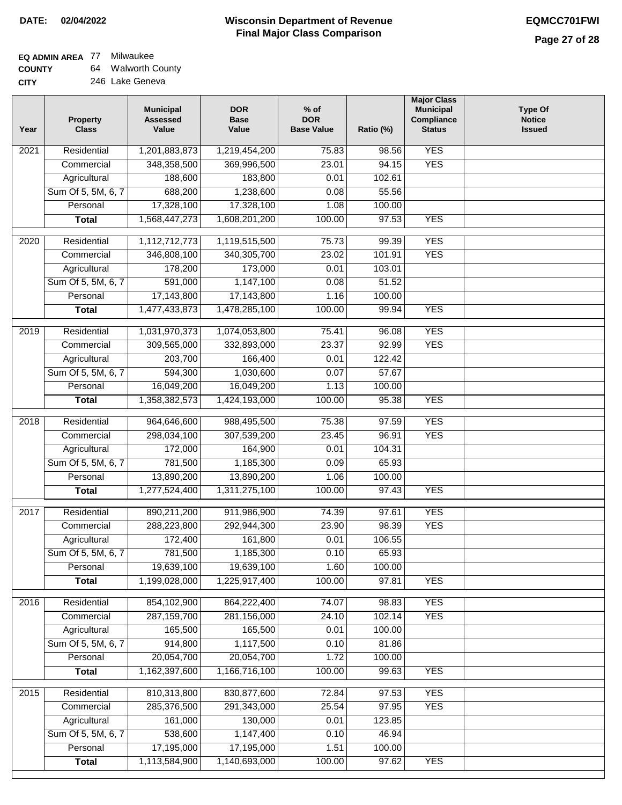# **EQ ADMIN AREA** 77 Milwaukee

**COUNTY** 64 Walworth County **CITY** 246 Lake Geneva

| Year              | <b>Property</b><br><b>Class</b> | <b>Municipal</b><br><b>Assessed</b><br>Value | <b>DOR</b><br><b>Base</b><br>Value | % of<br><b>DOR</b><br><b>Base Value</b> | Ratio (%) | <b>Major Class</b><br><b>Municipal</b><br>Compliance<br><b>Status</b> | <b>Type Of</b><br><b>Notice</b><br><b>Issued</b> |
|-------------------|---------------------------------|----------------------------------------------|------------------------------------|-----------------------------------------|-----------|-----------------------------------------------------------------------|--------------------------------------------------|
| 2021              | Residential                     | 1,201,883,873                                | 1,219,454,200                      | 75.83                                   | 98.56     | <b>YES</b>                                                            |                                                  |
|                   | Commercial                      | 348,358,500                                  | 369,996,500                        | 23.01                                   | 94.15     | <b>YES</b>                                                            |                                                  |
|                   | Agricultural                    | 188,600                                      | 183,800                            | 0.01                                    | 102.61    |                                                                       |                                                  |
|                   | Sum Of 5, 5M, 6, 7              | 688,200                                      | 1,238,600                          | 0.08                                    | 55.56     |                                                                       |                                                  |
|                   | Personal                        | 17,328,100                                   | 17,328,100                         | 1.08                                    | 100.00    |                                                                       |                                                  |
|                   | <b>Total</b>                    | 1,568,447,273                                | 1,608,201,200                      | 100.00                                  | 97.53     | <b>YES</b>                                                            |                                                  |
|                   |                                 |                                              |                                    |                                         |           |                                                                       |                                                  |
| $\overline{2020}$ | Residential                     | 1,112,712,773                                | 1,119,515,500                      | 75.73                                   | 99.39     | <b>YES</b>                                                            |                                                  |
|                   | Commercial                      | 346,808,100                                  | 340,305,700                        | 23.02                                   | 101.91    | <b>YES</b>                                                            |                                                  |
|                   | Agricultural                    | 178,200                                      | 173,000                            | 0.01                                    | 103.01    |                                                                       |                                                  |
|                   | Sum Of 5, 5M, 6, 7              | 591,000                                      | 1,147,100                          | 0.08                                    | 51.52     |                                                                       |                                                  |
|                   | Personal                        | 17,143,800                                   | 17,143,800                         | 1.16                                    | 100.00    |                                                                       |                                                  |
|                   | <b>Total</b>                    | 1,477,433,873                                | 1,478,285,100                      | 100.00                                  | 99.94     | <b>YES</b>                                                            |                                                  |
| $\frac{1}{2019}$  | Residential                     | 1,031,970,373                                | 1,074,053,800                      | 75.41                                   | 96.08     | <b>YES</b>                                                            |                                                  |
|                   | Commercial                      | 309,565,000                                  | 332,893,000                        | 23.37                                   | 92.99     | <b>YES</b>                                                            |                                                  |
|                   | Agricultural                    | 203,700                                      | 166,400                            | 0.01                                    | 122.42    |                                                                       |                                                  |
|                   | Sum Of 5, 5M, 6, 7              | 594,300                                      | 1,030,600                          | 0.07                                    | 57.67     |                                                                       |                                                  |
|                   | Personal                        | 16,049,200                                   | 16,049,200                         | 1.13                                    | 100.00    |                                                                       |                                                  |
|                   | <b>Total</b>                    | 1,358,382,573                                | 1,424,193,000                      | 100.00                                  | 95.38     | <b>YES</b>                                                            |                                                  |
| 2018              | Residential                     | 964,646,600                                  | 988,495,500                        | 75.38                                   | 97.59     | <b>YES</b>                                                            |                                                  |
|                   | Commercial                      | 298,034,100                                  | 307,539,200                        | 23.45                                   | 96.91     | <b>YES</b>                                                            |                                                  |
|                   | Agricultural                    | 172,000                                      | 164,900                            | 0.01                                    | 104.31    |                                                                       |                                                  |
|                   | Sum Of 5, 5M, 6, 7              | 781,500                                      | 1,185,300                          | 0.09                                    | 65.93     |                                                                       |                                                  |
|                   | Personal                        | 13,890,200                                   | 13,890,200                         | 1.06                                    | 100.00    |                                                                       |                                                  |
|                   | <b>Total</b>                    | 1,277,524,400                                | 1,311,275,100                      | 100.00                                  | 97.43     | <b>YES</b>                                                            |                                                  |
| 2017              | Residential                     | 890,211,200                                  | 911,986,900                        | 74.39                                   | 97.61     | <b>YES</b>                                                            |                                                  |
|                   | Commercial                      | 288,223,800                                  | 292,944,300                        | 23.90                                   | 98.39     | <b>YES</b>                                                            |                                                  |
|                   | Agricultural                    | 172,400                                      | 161,800                            | 0.01                                    | 106.55    |                                                                       |                                                  |
|                   | Sum Of 5, 5M, 6, 7              | 781,500                                      | 1,185,300                          | 0.10                                    | 65.93     |                                                                       |                                                  |
|                   | Personal                        | 19,639,100                                   | 19,639,100                         | 1.60                                    | 100.00    |                                                                       |                                                  |
|                   | <b>Total</b>                    | 1,199,028,000                                | 1,225,917,400                      | 100.00                                  | 97.81     | <b>YES</b>                                                            |                                                  |
| 2016              | Residential                     | 854,102,900                                  | 864,222,400                        | 74.07                                   | 98.83     | <b>YES</b>                                                            |                                                  |
|                   | Commercial                      | 287, 159, 700                                | 281,156,000                        | 24.10                                   | 102.14    | <b>YES</b>                                                            |                                                  |
|                   | Agricultural                    | 165,500                                      | 165,500                            | 0.01                                    | 100.00    |                                                                       |                                                  |
|                   | Sum Of 5, 5M, 6, 7              | 914,800                                      | 1,117,500                          | 0.10                                    | 81.86     |                                                                       |                                                  |
|                   | Personal                        | 20,054,700                                   | 20,054,700                         | 1.72                                    | 100.00    |                                                                       |                                                  |
|                   | <b>Total</b>                    | 1,162,397,600                                | 1,166,716,100                      | 100.00                                  | 99.63     | <b>YES</b>                                                            |                                                  |
| 2015              | Residential                     | 810,313,800                                  | 830,877,600                        | 72.84                                   | 97.53     | <b>YES</b>                                                            |                                                  |
|                   | Commercial                      | 285,376,500                                  | 291,343,000                        | 25.54                                   | 97.95     | <b>YES</b>                                                            |                                                  |
|                   | Agricultural                    | 161,000                                      | 130,000                            | 0.01                                    | 123.85    |                                                                       |                                                  |
|                   | Sum Of 5, 5M, 6, 7              | 538,600                                      | 1,147,400                          | 0.10                                    | 46.94     |                                                                       |                                                  |
|                   | Personal                        | 17,195,000                                   | 17,195,000                         | 1.51                                    | 100.00    |                                                                       |                                                  |
|                   | <b>Total</b>                    | 1,113,584,900                                | 1,140,693,000                      | 100.00                                  | 97.62     | <b>YES</b>                                                            |                                                  |